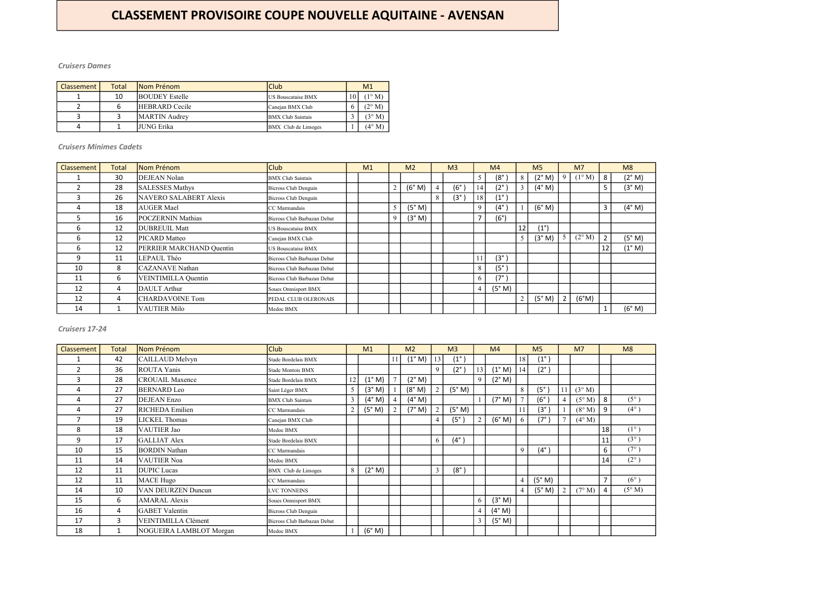| <b>Classement</b> | Total | <b>INom Prénom</b>    | <b>Club</b>                |               | M <sub>1</sub>  |
|-------------------|-------|-----------------------|----------------------------|---------------|-----------------|
|                   | 10    | <b>BOUDEY Estelle</b> | <b>IUS Bouscataise BMX</b> | 10            | $(1^{\circ} M)$ |
|                   |       | <b>HEBRARD</b> Cecile | Canejan BMX Club           | $\mathfrak b$ | $(2^{\circ} M)$ |
|                   |       | <b>MARTIN</b> Audrey  | <b>BMX</b> Club Saintais   |               | (3° M)          |
| 4                 |       | JUNG Erika            | BMX Club de Limoges        |               | $(4^{\circ}$ M) |

| Classement | <b>Total</b> | Nom Prénom               | Club                        | M <sub>1</sub> |                | M <sub>2</sub> |   | M <sub>3</sub> |                | M <sub>4</sub> |                | M <sub>5</sub>  |   | M <sub>7</sub>  |                | M8              |
|------------|--------------|--------------------------|-----------------------------|----------------|----------------|----------------|---|----------------|----------------|----------------|----------------|-----------------|---|-----------------|----------------|-----------------|
|            | 30           | DEJEAN Nolan             | <b>BMX</b> Club Saintais    |                |                |                |   |                | 5              | $(8^\circ$     | 8              | (2° M)          | 9 | $(1^{\circ} M)$ | 8 <sup>1</sup> | (2° M)          |
| ີ          | 28           | <b>SALESSES Mathys</b>   | Bicross Club Denguin        |                | $\overline{2}$ | (6° M)         |   | $(6^\circ$     | 14'            | $(2^{\circ})$  |                | $(4^{\circ}$ M) |   |                 | 5              | (3° M)          |
| 3          | 26           | NAVERO SALABERT Alexis   | Bicross Club Denguin        |                |                |                | 8 | $(3^{\circ})$  | 18             | $(1^{\circ})$  |                |                 |   |                 |                |                 |
| 4          | 18           | <b>AUGER Mael</b>        | CC Marmandais               |                | 5              | (5° M)         |   |                | 9              | $(4^\circ)$    |                | (6° M)          |   |                 | $\overline{3}$ | (4° M)          |
|            | 16           | <b>POCZERNIN Mathias</b> | Bicross Club Barbazan Debat |                | 9              | (3° M)         |   |                |                | $(6^{\circ})$  |                |                 |   |                 |                |                 |
| 6          | 12           | <b>DUBREUIL Matt</b>     | US Bouscataise BMX          |                |                |                |   |                |                |                | 12             | $(1^{\circ})$   |   |                 |                |                 |
| 6          | 12           | PICARD Matteo            | Canejan BMX Club            |                |                |                |   |                |                |                | 5 <sup>5</sup> | (3° M)          |   | $(2^{\circ} M)$ | $\overline{2}$ | (5° M)          |
| 6          | 12           | PERRIER MARCHAND Quentin | US Bouscataise BMX          |                |                |                |   |                |                |                |                |                 |   |                 | 12             | $(1^{\circ} M)$ |
| 9          | 11           | LEPAUL Théo              | Bicross Club Barbazan Debat |                |                |                |   |                |                | $(3^\circ)$    |                |                 |   |                 |                |                 |
| 10         | 8            | <b>CAZANAVE</b> Nathan   | Bicross Club Barbazan Debat |                |                |                |   |                | 8              | $(5^\circ$     |                |                 |   |                 |                |                 |
| 11         | 6            | VEINTIMILLA Quentin      | Bicross Club Barbazan Debat |                |                |                |   |                | 6              | (7°            |                |                 |   |                 |                |                 |
| 12         | 4            | DAULT Arthur             | Soues Omnisport BMX         |                |                |                |   |                | $\overline{4}$ | (5° M)         |                |                 |   |                 |                |                 |
| 12         | 4            | CHARDAVOINE Tom          | PEDAL CLUB OLERONAIS        |                |                |                |   |                |                |                | $\overline{2}$ | (5° M)          |   | (6°M)           |                |                 |
| 14         |              | <b>VAUTIER Milo</b>      | Medoc BMX                   |                |                |                |   |                |                |                |                |                 |   |                 |                | (6° M)          |

| <b>Cruisers 17-24</b> |              |                           |                             |    |                 |    |                 |             |                |                |                 |                |                |    |                 |                |                 |
|-----------------------|--------------|---------------------------|-----------------------------|----|-----------------|----|-----------------|-------------|----------------|----------------|-----------------|----------------|----------------|----|-----------------|----------------|-----------------|
| Classement            | <b>Total</b> | Nom Prénom                | <b>Club</b>                 |    | M1              |    | M <sub>2</sub>  |             | M <sub>3</sub> |                | M <sub>4</sub>  |                | M <sub>5</sub> |    | M <sub>7</sub>  |                | M8              |
|                       | 42           | CAILLAUD Melvyn           | Stade Bordelais BMX         |    |                 | 11 | $(1^{\circ} M)$ | 13          | $(1^{\circ})$  |                |                 | 18             | $(1^{\circ}$   |    |                 |                |                 |
| 2                     | 36           | <b>ROUTA Yanis</b>        | Stade Montois BMX           |    |                 |    |                 | $\mathbf Q$ | $(2^{\circ})$  | 13             | $(1^{\circ} M)$ | 14             | $(2^{\circ})$  |    |                 |                |                 |
| 3                     | 28           | <b>CROUAIL Maxence</b>    | Stade Bordelais BMX         | 12 | (1° M)          |    | (2° M)          |             |                | $\mathbf Q$    | (2° M)          |                |                |    |                 |                |                 |
| $\overline{4}$        | 27           | <b>BERNARD</b> Leo        | Saint Léger BMX             | 5  | (3° M)          |    | (8° M)          |             | (5° M)         |                |                 | 8              | $(5^\circ)$    | 11 | $(3^{\circ} M)$ |                |                 |
| 4                     | 27           | <b>DEJEAN</b> Enzo        | <b>BMX</b> Club Saintais    | 3  | (4° M)          |    | (4° M)          |             |                |                | (7° M)          |                | $(6^{\circ})$  |    | $(5^\circ M)$   | 8              | $(5^{\circ})$   |
| 4                     | 27           | <b>RICHEDA</b> Emilien    | CC Marmandais               |    | (5° M)          |    | (7° M)          |             | (5° M)         |                |                 |                | $(3^{\circ}$   |    | $(8^\circ M)$   | 9              | $(4^{\circ})$   |
| 7                     | 19           | <b>LICKEL Thomas</b>      | Canejan BMX Club            |    |                 |    |                 |             | $(5^\circ)$    |                | (6° M)          | 6              | $(7^{\circ}$   |    | $(4^{\circ} M)$ |                |                 |
| 8                     | 18           | VAUTIER Jao               | Medoc BMX                   |    |                 |    |                 |             |                |                |                 |                |                |    |                 | 18             | $(1^{\circ})$   |
| 9                     | 17           | <b>GALLIAT Alex</b>       | Stade Bordelais BMX         |    |                 |    |                 | 6           | $(4^\circ)$    |                |                 |                |                |    |                 | 11             | $(3^{\circ})$   |
| 10                    | 15           | <b>BORDIN Nathan</b>      | CC Marmandais               |    |                 |    |                 |             |                |                |                 | 9              | $(4^\circ)$    |    |                 | 6              | $(7^{\circ})$   |
| 11                    | 14           | <b>VAUTIER Noa</b>        | Medoc BMX                   |    |                 |    |                 |             |                |                |                 |                |                |    |                 | 14             | $(2^{\circ})$   |
| 12                    | 11           | <b>DUPIC</b> Lucas        | <b>BMX</b> Club de Limoges  | 8  | $(2^{\circ} M)$ |    |                 | 3           | $(8^\circ)$    |                |                 |                |                |    |                 |                |                 |
| 12                    | 11           | MACE Hugo                 | CC Marmandais               |    |                 |    |                 |             |                |                |                 | $\overline{4}$ | (5° M)         |    |                 | $\overline{7}$ | $(6^{\circ})$   |
| 14                    | 10           | <b>VAN DEURZEN Duncun</b> | <b>LVC TONNEINS</b>         |    |                 |    |                 |             |                |                |                 | $\overline{4}$ | (5° M)         |    | $(7^{\circ} M)$ | $\overline{4}$ | $(5^{\circ} M)$ |
| 15                    | 6            | <b>AMARAL</b> Alexis      | Soues Omnisport BMX         |    |                 |    |                 |             |                | 6              | (3° M)          |                |                |    |                 |                |                 |
| 16                    | 4            | <b>GABET</b> Valentin     | Bicross Club Denguin        |    |                 |    |                 |             |                | $\overline{4}$ | $(4^{\circ}$ M) |                |                |    |                 |                |                 |
| 17                    | 3            | VEINTIMILLA Clément       | Bicross Club Barbazan Debat |    |                 |    |                 |             |                | 3              | (5° M)          |                |                |    |                 |                |                 |
| 18                    |              | NOGUEIRA LAMBLOT Morgan   | Medoc BMX                   |    | (6° M)          |    |                 |             |                |                |                 |                |                |    |                 |                |                 |

# CLASSEMENT PROVISOIRE COUPE NOUVELLE AQUITAINE - AVENSAN

#### Cruisers Dames

## Cruisers Minimes Cadets

#### Cruisers 17-24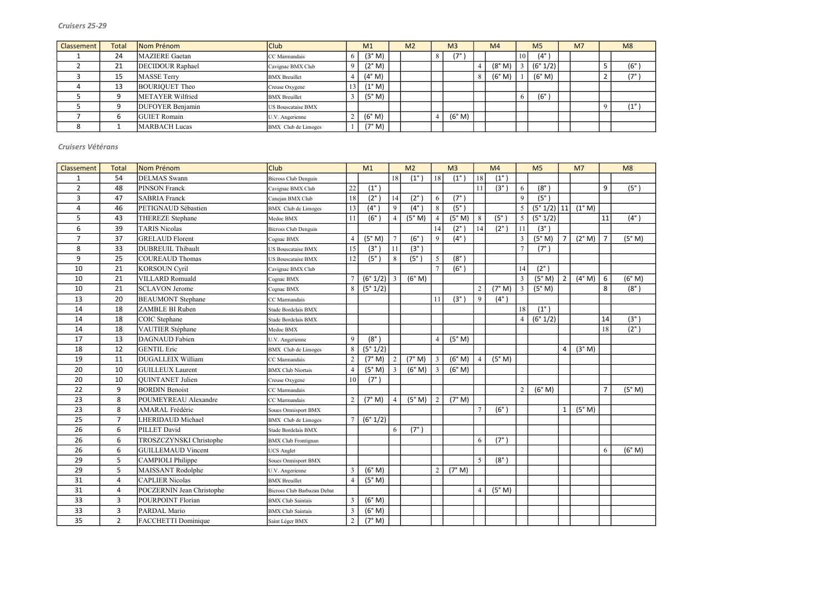| Classement | <b>Total</b> | Nom Prénom              | Club                      |                 | M <sub>1</sub>  | M <sub>2</sub> | M <sub>3</sub> | M <sub>4</sub> |    | M <sub>5</sub> | M <sub>7</sub> | M8            |
|------------|--------------|-------------------------|---------------------------|-----------------|-----------------|----------------|----------------|----------------|----|----------------|----------------|---------------|
|            | 24           | <b>MAZIERE</b> Gaetan   | CC Marmandais             | 6.              | (3° M)          |                | (7°            |                | 10 | $(4^\circ)$    |                |               |
|            | 21           | <b>DECIDOUR Raphael</b> | Cavignac BMX Club         |                 | (2° M)          |                |                | (8° M)         |    | (6° 1/2)       |                | $(6^\circ)$   |
|            | 15           | <b>MASSE Terry</b>      | <b>BMX</b> Breuillet      |                 | $(4^{\circ}$ M) |                |                | (6° M)         |    | (6° M)         |                | $(7^\circ)$   |
|            | 13           | <b>BOURIQUET Theo</b>   | Creuse Oxygene            | 13 <sup>1</sup> | $(1^{\circ} M)$ |                |                |                |    |                |                |               |
|            |              | METAYER Wilfried        | <b>BMX</b> Breuillet      |                 | (5° M)          |                |                |                |    | $(6^{\circ}$   |                |               |
|            |              | <b>DUFOYER Benjamin</b> | <b>US Bouscataise BMX</b> |                 |                 |                |                |                |    |                |                | $(1^{\circ})$ |
|            |              | <b>GUIET</b> Romain     | U.V. Angerienne           | $\overline{ }$  | (6° M)          |                | (6° M)         |                |    |                |                |               |
|            |              | <b>MARBACH Lucas</b>    | BMX Club de Limoges       |                 | (7° M)          |                |                |                |    |                |                |               |

| Classement     | <b>Total</b>   | Nom Prénom                | Club                        |                | M1            |                 | M <sub>2</sub>    |                | M <sub>3</sub>    |                | M <sub>4</sub> |                | M <sub>5</sub> |                | M <sub>7</sub> |                | M8            |
|----------------|----------------|---------------------------|-----------------------------|----------------|---------------|-----------------|-------------------|----------------|-------------------|----------------|----------------|----------------|----------------|----------------|----------------|----------------|---------------|
| $\mathbf{1}$   | 54             | <b>DELMAS</b> Swann       | <b>Bicross Club Denguin</b> |                |               | 18              | $(1^{\circ})$     | 18             | $(1^{\circ})$     | 18             | $(1^{\circ})$  |                |                |                |                |                |               |
| $\overline{2}$ | 48             | <b>PINSON Franck</b>      | Cavignac BMX Club           | 22             | $(1^{\circ})$ |                 |                   |                |                   | 11             | (3°)           | 6              | $(8^\circ)$    |                |                | 9              | (5°)          |
| 3              | 47             | <b>SABRIA Franck</b>      | Canejan BMX Club            | $18\,$         | $(2^{\circ})$ | 14              | $(2^{\circ})$     | 6              | $(7^\circ)$       |                |                | $\overline{9}$ | $(5^{\circ})$  |                |                |                |               |
| $\overline{4}$ | 46             | PETIGNAUD Sébastien       | <b>BMX</b> Club de Limoges  | 13             | $(4^{\circ})$ | 9               | $(4^\circ)$       | 8              | (5 <sup>°</sup> ) |                |                | 5 <sup>5</sup> | $(5° 1/2)$  11 |                | (1° M)         |                |               |
| 5              | 43             | THEREZE Stephane          | Medoc BMX                   | 11             | $(6^\circ)$   | $\overline{4}$  | (5° M)            | $\overline{4}$ | (5° M)            | 8              | $(5^\circ)$    | 5 <sup>5</sup> | (5° 1/2)       |                |                | 11             | $(4^{\circ})$ |
| 6              | 39             | <b>TARIS Nicolas</b>      | <b>Bicross Club Denguin</b> |                |               |                 |                   | 14             | $(2^{\circ})$     | 14             | $(2^{\circ}$   | 11             | (3°)           |                |                |                |               |
| $\overline{7}$ | 37             | <b>GRELAUD Florent</b>    | Cognac BMX                  | $\overline{4}$ | (5° M)        | $7\overline{ }$ | $(6^\circ)$       | 9              | $(4^{\circ})$     |                |                | $\mathfrak{Z}$ | (5° M)         | $\overline{7}$ | (2° M)         | $\overline{7}$ | (5° M)        |
| 8              | 33             | <b>DUBREUIL Thibault</b>  | US Bouscataise BMX          | 15             | $(3^\circ)$   | 11              | $(3^\circ)$       |                |                   |                |                | $\overline{7}$ | $(7^\circ)$    |                |                |                |               |
| 9              | 25             | COUREAUD Thomas           | US Bouscataise BMX          | 12             | $(5^\circ)$   | 8               | (5 <sup>°</sup> ) | 5              | $(8^\circ)$       |                |                |                |                |                |                |                |               |
| 10             | 21             | <b>KORSOUN Cyril</b>      | Cavignac BMX Club           |                |               |                 |                   |                | (6°)              |                |                | 14             | $(2^{\circ})$  |                |                |                |               |
| 10             | 21             | <b>VILLARD Romuald</b>    | Cognac BMX                  |                | $(6° 1/2)$ 3  |                 | (6° M)            |                |                   |                |                | $\overline{3}$ | (5° M)         | $\overline{2}$ | (4° M)         | $\sqrt{6}$     | (6° M)        |
| 10             | 21             | <b>SCLAVON Jerome</b>     | Cognac BMX                  | 8              | (5° 1/2)      |                 |                   |                |                   | $\overline{2}$ | (7° M)         | $\mathfrak{Z}$ | (5° M)         |                |                | 8              | $(8^\circ)$   |
| 13             | 20             | <b>BEAUMONT</b> Stephane  | CC Marmandais               |                |               |                 |                   | 11             | $(3^{\circ})$     | 9              | $(4^{\circ})$  |                |                |                |                |                |               |
| 14             | 18             | ZAMBLE BI Ruben           | Stade Bordelais BMX         |                |               |                 |                   |                |                   |                |                | 18             | $(1^{\circ})$  |                |                |                |               |
| 14             | 18             | COIC Stephane             | Stade Bordelais BMX         |                |               |                 |                   |                |                   |                |                | $\overline{4}$ | (6° 1/2)       |                |                | 14             | (3°)          |
| 14             | 18             | VAUTIER Stéphane          | Medoc BMX                   |                |               |                 |                   |                |                   |                |                |                |                |                |                | 18             | $(2^{\circ})$ |
| 17             | 13             | <b>DAGNAUD</b> Fabien     | U.V. Angerienne             | 9              | $(8^\circ)$   |                 |                   | $\overline{4}$ | (5° M)            |                |                |                |                |                |                |                |               |
| 18             | 12             | <b>GENTIL</b> Eric        | <b>BMX</b> Club de Limoges  | 8              | (5° 1/2)      |                 |                   |                |                   |                |                |                |                | $\overline{4}$ | (3° M)         |                |               |
| 19             | 11             | <b>DUGALLEIX William</b>  | CC Marmandais               | $\mathbf{2}$   | (7° M)        | $\overline{2}$  | (7° M)            | $\overline{3}$ | (6° M)            | 4              | (5° M)         |                |                |                |                |                |               |
| 20             | 10             | GUILLEUX Laurent          | <b>BMX Club Niortais</b>    | $\overline{4}$ | (5° M)        | $\overline{3}$  | (6° M)            | 3              | (6° M)            |                |                |                |                |                |                |                |               |
| 20             | 10             | <b>QUINTANET</b> Julien   | Creuse Oxygene              | 10             | $(7^\circ)$   |                 |                   |                |                   |                |                |                |                |                |                |                |               |
| 22             | 9              | <b>BORDIN Benoist</b>     | CC Marmandais               |                |               |                 |                   |                |                   |                |                | $\overline{2}$ | (6° M)         |                |                | $\overline{7}$ | (5° M)        |
| 23             | 8              | POUMEYREAU Alexandre      | CC Marmandais               | $\overline{2}$ | (7° M)        | $\overline{4}$  | (5° M)            | $\overline{2}$ | (7° M)            |                |                |                |                |                |                |                |               |
| 23             | 8              | AMARAL Frédéric           | <b>Soues Omnisport BMX</b>  |                |               |                 |                   |                |                   | $\overline{7}$ | $(6^\circ)$    |                |                | $\mathbf{1}$   | (5° M)         |                |               |
| 25             | $\overline{7}$ | <b>LHERIDAUD Michael</b>  | <b>BMX</b> Club de Limoges  |                | (6° 1/2)      |                 |                   |                |                   |                |                |                |                |                |                |                |               |
| 26             | 6              | PILLET David              | Stade Bordelais BMX         |                |               | 6               | $(7^\circ)$       |                |                   |                |                |                |                |                |                |                |               |
| 26             | 6              | TROSZCZYNSKI Christophe   | <b>BMX Club Frontignan</b>  |                |               |                 |                   |                |                   | 6              | $(7^\circ)$    |                |                |                |                |                |               |
| 26             | 6              | <b>GUILLEMAUD Vincent</b> | <b>JCS</b> Anglet           |                |               |                 |                   |                |                   |                |                |                |                |                |                | 6              | (6° M)        |
| 29             | 5              | CAMPIOLI Philippe         | <b>Soues Omnisport BMX</b>  |                |               |                 |                   |                |                   | 5 <sup>5</sup> | $(8^\circ)$    |                |                |                |                |                |               |
| 29             | 5              | MAISSANT Rodolphe         | U.V. Angerienne             | 3              | (6° M)        |                 |                   | $\overline{2}$ | (7° M)            |                |                |                |                |                |                |                |               |
| 31             | 4              | <b>CAPLIER Nicolas</b>    | <b>BMX</b> Breuillet        | $\overline{4}$ | (5° M)        |                 |                   |                |                   |                |                |                |                |                |                |                |               |
| 31             | 4              | POCZERNIN Jean Christophe | Bicross Club Barbazan Debat |                |               |                 |                   |                |                   | $\overline{4}$ | (5° M)         |                |                |                |                |                |               |
| 33             | 3              | POURPOINT Florian         | <b>BMX</b> Club Saintais    | 3              | (6° M)        |                 |                   |                |                   |                |                |                |                |                |                |                |               |
| 33             | $\mathbf{3}$   | PARDAL Mario              | <b>BMX</b> Club Saintais    | 3              | (6° M)        |                 |                   |                |                   |                |                |                |                |                |                |                |               |
| 35             | $2^{\circ}$    | FACCHETTI Dominique       | Saint Léger BMX             | $\overline{c}$ | (7° M)        |                 |                   |                |                   |                |                |                |                |                |                |                |               |

| 8                             |
|-------------------------------|
|                               |
| $(6^{\circ}$<br>$\mathcal{E}$ |
| (7<br>1                       |
|                               |
|                               |
| (1)<br>$\circ$<br>$\lambda$   |
|                               |
|                               |

Cruisers Vétérans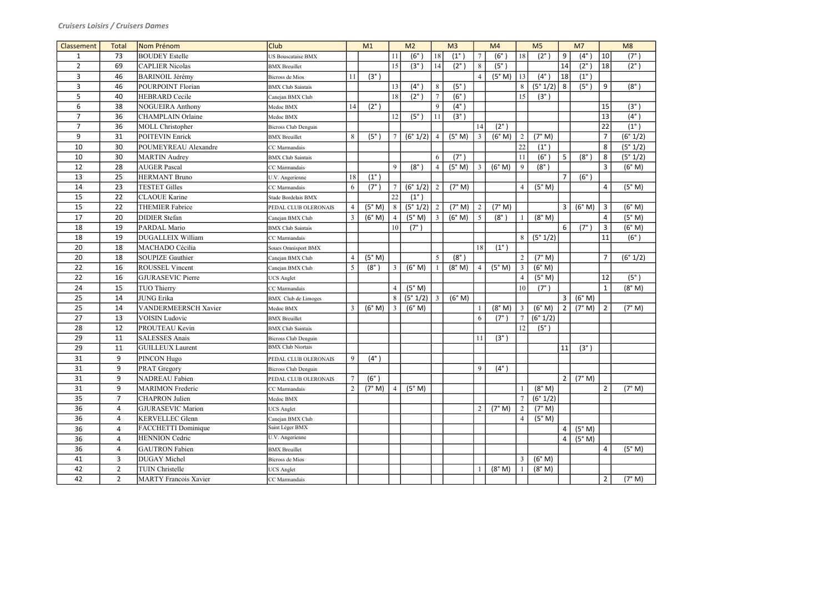| Classement     | <b>Total</b>   | Nom Prénom                   | <b>Club</b>                 |                | M1            |                 | M <sub>2</sub> |                | M <sub>3</sub>    |                | M4            |                | M <sub>5</sub> |                | M <sub>7</sub> |                | M8            |
|----------------|----------------|------------------------------|-----------------------------|----------------|---------------|-----------------|----------------|----------------|-------------------|----------------|---------------|----------------|----------------|----------------|----------------|----------------|---------------|
| $\mathbf{1}$   | 73             | <b>BOUDEY</b> Estelle        | US Bouscataise BMX          |                |               | 11              | (6°)           | 18             | $(1^{\circ})$     | $\tau$         | $(6^\circ$    | 18             | $(2^\circ)$    | 9              | $(4^\circ)$    | 10             | $(7^\circ)$   |
| $\overline{2}$ | 69             | <b>CAPLIER Nicolas</b>       | <b>BMX</b> Breuillet        |                |               | 15              | $(3^\circ)$    | 14             | $(2^{\circ})$     | 8              | $(5^\circ)$   |                |                | 14             | $(2^{\circ}$   | 18             | $(2^{\circ})$ |
| 3              | 46             | <b>BARINOIL Jérémy</b>       | <b>Bicross de Mios</b>      | 11             | $(3^{\circ})$ |                 |                |                |                   | $\overline{4}$ | (5° M)        | 13             | $(4^\circ)$    | 18             | $(1^{\circ})$  |                |               |
| 3              | 46             | POURPOINT Florian            | <b>BMX</b> Club Saintais    |                |               | 13              | $(4^\circ)$    | 8              | (5 <sup>°</sup> ) |                |               | 8              | (5° 1/2)       | 8              | $(5^\circ)$    | 9              | $(8^\circ)$   |
| 5              | 40             | <b>HEBRARD</b> Cecile        | Canejan BMX Club            |                |               | 18              | $(2^\circ)$    | $\overline{7}$ | $(6^\circ)$       |                |               | 15             | $(3^\circ)$    |                |                |                |               |
| 6              | 38             | <b>NOGUEIRA Anthony</b>      | Medoc BMX                   | 14             | $(2^{\circ})$ |                 |                | 9              | $(4^{\circ})$     |                |               |                |                |                |                | 15             | (3°)          |
| $\overline{7}$ | 36             | CHAMPLAIN Orlaine            | Medoc BMX                   |                |               | 12              | $(5^\circ)$    | 11             | $(3^\circ)$       |                |               |                |                |                |                | 13             | $(4^{\circ})$ |
| $\overline{7}$ | 36             | MOLL Christopher             | <b>Bicross Club Denguin</b> |                |               |                 |                |                |                   | 14             | $(2^{\circ})$ |                |                |                |                | 22             | $(1^{\circ})$ |
| 9              | 31             | POITEVIN Enrick              | <b>BMX</b> Breuillet        | 8              | $(5^\circ)$   | $\tau$          | (6° 1/2)       | $\overline{4}$ | (5° M)            | 3 <sup>1</sup> | (6° M)        | $\overline{2}$ | (7° M)         |                |                | $\overline{7}$ | (6° 1/2)      |
| 10             | 30             | POUMEYREAU Alexandre         | CC Marmandais               |                |               |                 |                |                |                   |                |               | 22             | $(1^{\circ}$   |                |                | 8              | (5° 1/2)      |
| 10             | 30             | MARTIN Audrey                | <b>BMX</b> Club Saintais    |                |               |                 |                | 6              | $(7^{\circ})$     |                |               |                | $(6^{\circ}$   | 5              | $(8^\circ)$    | $\,8\,$        | (5° 1/2)      |
| 12             | 28             | <b>AUGER Pascal</b>          | CC Marmandais               |                |               | 9               | $(8^\circ$     | $\overline{4}$ | (5° M)            | 3              | (6° M)        | 9              | $(8^\circ)$    |                |                | $\overline{3}$ | (6° M)        |
| 13             | 25             | <b>HERMANT Bruno</b>         | U.V. Angerienne             | 18             | $(1^{\circ})$ |                 |                |                |                   |                |               |                |                | $\overline{7}$ | $(6^\circ)$    |                |               |
| 14             | 23             | <b>TESTET Gilles</b>         | CC Marmandais               | 6              | $(7^\circ)$   | $\overline{7}$  | (6° 1/2)       | 2              | (7° M)            |                |               |                | (5° M)         |                |                | $\overline{4}$ | (5° M)        |
| 15             | 22             | <b>CLAOUE</b> Karine         | Stade Bordelais BMX         |                |               | 22              | $(1^{\circ}$   |                |                   |                |               |                |                |                |                |                |               |
| 15             | 22             | <b>THEMIER Fabrice</b>       | PEDAL CLUB OLERONAIS        | $\overline{4}$ | (5° M)        | 8               | (5° 1/2)       | 2              | (7° M)            | $\overline{2}$ | (7° M)        |                |                | $\mathbf{3}$   | (6° M)         | $\mathbf{3}$   | (6° M)        |
| 17             | 20             | <b>DIDIER</b> Stefan         | Canejan BMX Club            | 3              | (6° M)        | $\overline{4}$  | (5° M)         | 3              | (6° M)            | 5              | $(8^\circ)$   |                | (8° M)         |                |                | $\overline{4}$ | (5° M)        |
| 18             | 19             | PARDAL Mario                 | <b>BMX</b> Club Saintais    |                |               | 10 <sup>1</sup> | $(7^\circ)$    |                |                   |                |               |                |                | 6              | $(7^\circ)$    | $\mathbf{3}$   | (6° M)        |
| 18             | 19             | <b>DUGALLEIX William</b>     | CC Marmandais               |                |               |                 |                |                |                   |                |               | 8              | (5° 1/2)       |                |                | 11             | (6°)          |
| 20             | 18             | MACHADO Cécilia              | Soues Omnisport BMX         |                |               |                 |                |                |                   | 18             | $(1^{\circ})$ |                |                |                |                |                |               |
| 20             | 18             | SOUPIZE Gauthier             | Canejan BMX Club            | $\overline{4}$ | (5° M)        |                 |                | 5              | $(8^\circ)$       |                |               | $\overline{2}$ | (7° M)         |                |                | $\overline{7}$ | (6° 1/2)      |
| 22             | 16             | <b>ROUSSEL Vincent</b>       | Canejan BMX Club            | 5              | $(8^\circ)$   | $\mathfrak{Z}$  | (6° M)         |                | (8° M)            |                | (5° M)        |                | (6° M)         |                |                |                |               |
| 22             | 16             | GJURASEVIC Pierre            | <b>UCS</b> Anglet           |                |               |                 |                |                |                   |                |               |                | (5° M)         |                |                | 12             | (5°)          |
| 24             | 15             | TUO Thierry                  | CC Marmandais               |                |               | $\overline{4}$  | (5° M)         |                |                   |                |               | 10             | $(7^\circ)$    |                |                | $\mathbf{1}$   | (8° M)        |
| 25             | 14             | <b>JUNG Erika</b>            | <b>BMX</b> Club de Limoges  |                |               | 8               | (5° 1/2)       | $\overline{3}$ | (6° M)            |                |               |                |                | 3              | (6° M)         |                |               |
| 25             | 14             | <b>VANDERMEERSCH Xavier</b>  | Medoc BMX                   | 3              | (6° M)        | $\mathfrak{Z}$  | (6° M)         |                |                   |                | (8° M)        | 3              | (6° M)         | $\overline{2}$ | (7° M)         | $\overline{2}$ | (7° M)        |
| 27             | 13             | VOISIN Ludovic               | <b>BMX</b> Breuillet        |                |               |                 |                |                |                   | 6              | $(7^\circ$    |                | (6° 1/2)       |                |                |                |               |
| 28             | 12             | PROUTEAU Kevin               | <b>BMX</b> Club Saintais    |                |               |                 |                |                |                   |                |               | 12             | $(5^\circ)$    |                |                |                |               |
| 29             | 11             | <b>SALESSES Anais</b>        | <b>Bicross Club Denguin</b> |                |               |                 |                |                |                   | 11             | (3°)          |                |                |                |                |                |               |
| 29             | 11             | GUILLEUX Laurent             | <b>BMX Club Niortais</b>    |                |               |                 |                |                |                   |                |               |                |                | 11             | $(3^{\circ})$  |                |               |
| 31             | 9              | PINCON Hugo                  | PEDAL CLUB OLERONAIS        | 9              | $(4^{\circ})$ |                 |                |                |                   |                |               |                |                |                |                |                |               |
| 31             | 9              | <b>PRAT</b> Gregory          | <b>Bicross Club Denguin</b> |                |               |                 |                |                |                   | 9              | $(4^{\circ})$ |                |                |                |                |                |               |
| 31             | 9              | <b>NADREAU</b> Fabien        | PEDAL CLUB OLERONAIS        | 7              | $(6^\circ)$   |                 |                |                |                   |                |               |                |                | $2^{\circ}$    | (7° M)         |                |               |
| 31             | 9              | <b>MARIMON</b> Frederic      | CC Marmandais               | $\overline{2}$ | (7° M)        | $\overline{4}$  | (5° M)         |                |                   |                |               |                | (8° M)         |                |                | $\overline{2}$ | (7° M)        |
| 35             | $\overline{7}$ | <b>CHAPRON</b> Julien        | Medoc BMX                   |                |               |                 |                |                |                   |                |               |                | (6° 1/2)       |                |                |                |               |
| 36             | 4              | <b>GJURASEVIC Marion</b>     | <b>UCS</b> Anglet           |                |               |                 |                |                |                   | 2              | (7° M)        | $\overline{2}$ | (7° M)         |                |                |                |               |
| 36             | 4              | <b>KERVELLEC</b> Glenn       | Canejan BMX Club            |                |               |                 |                |                |                   |                |               |                | (5° M)         |                |                |                |               |
| 36             | 4              | FACCHETTI Dominique          | Saint Léger BMX             |                |               |                 |                |                |                   |                |               |                |                | 4              | (5° M)         |                |               |
| 36             | 4              | <b>HENNION</b> Cedric        | U.V. Angerienne             |                |               |                 |                |                |                   |                |               |                |                | 4              | (5° M)         |                |               |
| 36             | 4              | <b>GAUTRON</b> Fabien        | <b>BMX</b> Breuillet        |                |               |                 |                |                |                   |                |               |                |                |                |                | $\overline{a}$ | (5° M)        |
| 41             | 3              | DUGAY Michel                 | Bicross de Mios             |                |               |                 |                |                |                   |                |               | 3              | (6° M)         |                |                |                |               |
| 42             | $\overline{2}$ | TUIN Christelle              | <b>UCS</b> Anglet           |                |               |                 |                |                |                   |                | (8° M)        |                | (8° M)         |                |                |                |               |
| 42             | $2^{\circ}$    | <b>MARTY</b> Francois Xavier | CC Marmandais               |                |               |                 |                |                |                   |                |               |                |                |                |                | $\overline{2}$ | (7° M)        |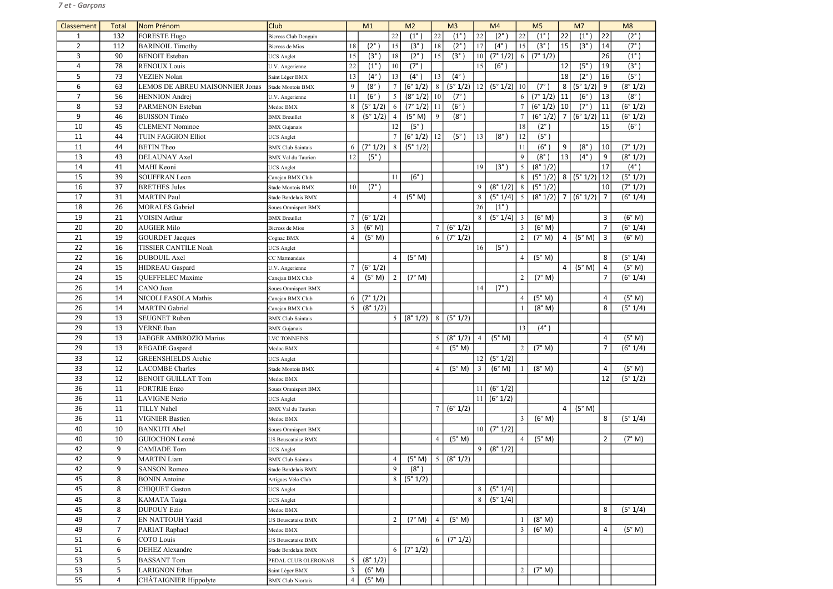| Classement     | <b>Total</b>        | Nom Prénom                          | <b>Club</b>                 |                | M1            |                 | M <sub>2</sub>    |                | M <sub>3</sub> |                | M <sub>4</sub>            |                 | M <sub>5</sub>    |          | M <sub>7</sub>             |                 | M8            |
|----------------|---------------------|-------------------------------------|-----------------------------|----------------|---------------|-----------------|-------------------|----------------|----------------|----------------|---------------------------|-----------------|-------------------|----------|----------------------------|-----------------|---------------|
| $\mathbf{1}$   | 132                 | <b>FORESTE Hugo</b>                 | <b>Bicross Club Denguin</b> |                |               | 22              | $(1^{\circ}$      | 22             | $(1^{\circ}$   | 22             | $(2^{\circ})$             | 22              | $(1^{\circ}$      | 22       | $(1^{\circ})$              | 22              | $(2^{\circ})$ |
| $\overline{2}$ | 112                 | <b>BARINOIL Timothy</b>             | Bicross de Mios             | 18             | $(2^{\circ})$ | 15              | (3 <sup>°</sup> ) | 18             | $(2^\circ)$    | 17             | $(4^\circ)$               | 15              | $(3^{\circ})$     | 15       | (3 <sup>°</sup> )          | 14              | (7°)          |
| 3              | 90                  | <b>BENOIT</b> Esteban               | <b>UCS</b> Anglet           | 15             | $(3^\circ)$   | 18              | $(2^\circ)$       | 15             | $(3^\circ)$    | 10             | (7° 1/2)                  | 6               | (7° 1/2)          |          |                            | 26              | $(1^{\circ})$ |
| $\overline{4}$ | 78                  | <b>RENOUX Louis</b>                 | U.V. Angerienne             | 22             | $(1^{\circ}$  | 10              | $(7^\circ)$       |                |                | 15             | $(6^\circ)$               |                 |                   | 12       | $(5^\circ)$                | 19              | (3°)          |
| 5              | 73                  | <b>VEZIEN Nolan</b>                 | Saint Léger BMX             | 13             | $(4^\circ)$   | 13              | $(4^\circ)$       | 13             | $(4^\circ)$    |                |                           |                 |                   | 18       | $(2^{\circ})$              | 16              | (5°)          |
| 6              | 63                  | LEMOS DE ABREU MAISONNIER Jonas     | Stade Montois BMX           | 9              | $(8^\circ)$   |                 | (6° 1/2)          | 8              | (5° 1/2)       | 12             | (5° 1/2)                  | 10              | $(7^\circ)$       | 8        | (5° 1/2)                   | 9               | (8° 1/2)      |
| $\overline{7}$ | 56                  | <b>HENNION</b> Andrej               | U.V. Angerienne             | 11             | $(6^\circ)$   | $5\overline{)}$ | (8° 1/2)          | 10             | $(7^\circ)$    |                |                           | 6               | (7° 1/2)          | 11       | (6°)                       | 13              | (8°)          |
| 8              | 53                  | PARMENON Esteban                    | Medoc BMX                   | 8              | (5° 1/2)      | 6               | $(7° 1/2)$   11   |                | $(6^\circ)$    |                |                           |                 | (6° 1/2)          | 10       | $(7^\circ)$                | 11              | (6° 1/2)      |
| 9              | 46                  | <b>BUISSON Timéo</b>                | <b>BMX</b> Breuillet        | 8              | (5° 1/2)      | $\overline{4}$  | (5° M)            | 9              | $(8^\circ)$    |                |                           | $\overline{7}$  | (6° 1/2)          | $\mid$ 7 | (6° 1/2)                   | 11              | (6° 1/2)      |
| 10             | 45                  | <b>CLEMENT Nominoe</b>              | <b>BMX</b> Gujanais         |                |               | 12              | (5°)              |                |                |                |                           | 18              | $(2^{\circ})$     |          |                            | 15              | (6°)          |
| 11             | 44                  | <b>TUIN FAGGION Elliot</b>          | <b>JCS</b> Anglet           |                |               |                 | (6° 1/2)          | 12             | $(5^\circ)$    | 13             | $(8^\circ)$               | 12              | (5 <sup>°</sup> ) |          |                            |                 |               |
| 11             | 44                  | <b>BETIN</b> Theo                   | <b>BMX</b> Club Saintais    | 6              | (7° 1/2)      | $8\phantom{.}8$ | (5° 1/2)          |                |                |                |                           | 11              | $(6^\circ)$       | 9        | $(8^\circ)$                | 10              | (7° 1/2)      |
| 13             | 43                  | <b>DELAUNAY Axel</b>                | <b>BMX</b> Val du Taurion   | 12             | $(5^\circ)$   |                 |                   |                |                |                |                           | 9               | $(8^{\circ}$      | 13       | $(4^\circ)$                | 9               | (8° 1/2)      |
| 14             | 41                  | MAHI Keoni                          | <b>UCS</b> Anglet           |                |               |                 |                   |                |                | 19             | $(3^{\circ})$             | 5               | (8° 1/2)          |          |                            | 17              | $(4^{\circ})$ |
| 15             | 39                  | <b>SOUFFRAN</b> Leon                | Canejan BMX Club            |                |               | 11              | $(6^\circ)$       |                |                |                |                           | 8               | (5° 1/2)          |          | $\lceil 8 \rceil$ (5° 1/2) | 12              | (5° 1/2)      |
| 16             | 37                  | <b>BRETHES Jules</b>                | Stade Montois BMX           | 10             | $(7^\circ)$   |                 |                   |                |                | 9              | (8° 1/2)                  | 8               | (5° 1/2)          |          |                            | 10 <sup>1</sup> | (7° 1/2)      |
| 17             | 31                  | <b>MARTIN Paul</b>                  | Stade Bordelais BMX         |                |               | $\overline{4}$  | (5° M)            |                |                | 8              | (5° 1/4)                  | $5\overline{)}$ | (8° 1/2)          | l 7      | (6° 1/2)                   | 7               | (6° 1/4)      |
| 18             | 26                  | <b>MORALES</b> Gabriel              | Soues Omnisport BMX         |                |               |                 |                   |                |                | 26             | $(1^{\circ})$             |                 |                   |          |                            |                 |               |
| 19             | 21                  | <b>VOISIN Arthur</b>                | <b>BMX</b> Breuillet        |                | (6° 1/2)      |                 |                   |                |                | 8              | (5° 1/4)                  | $\mathfrak{Z}$  | (6° M)            |          |                            | 3               | (6° M)        |
| 20             | 20                  | <b>AUGIER Milo</b>                  | Bicross de Mios             | 3              | (6° M)        |                 |                   | $\overline{7}$ | (6° 1/2)       |                |                           | $\mathfrak{Z}$  | (6° M)            |          |                            | 7               | (6° 1/4)      |
| 21             | 19                  | <b>GOURDET Jacques</b>              | Cognac BMX                  | $\overline{4}$ | (5° M)        |                 |                   | 6              | (7° 1/2)       |                |                           | $\overline{2}$  | (7° M)            | 4        | (5° M)                     | 3               | (6° M)        |
| 22             | 16                  | <b>TISSIER CANTILE Noah</b>         | <b>JCS</b> Anglet           |                |               |                 |                   |                |                | 16             | $(5^\circ)$               |                 |                   |          |                            |                 |               |
| 22             | 16                  | DUBOUIL Axel                        | CC Marmandais               |                |               | $\overline{4}$  | (5° M)            |                |                |                |                           | $\overline{4}$  | (5° M)            |          |                            | 8               | (5° 1/4)      |
| 24             | 15                  | HIDREAU Gaspard                     | U.V. Angerienne             |                | (6° 1/2)      |                 |                   |                |                |                |                           |                 |                   | 4        | (5° M)                     | 4               | (5° M)        |
| 24             | 15                  | QUEFFELEC Maxime                    | Canejan BMX Club            | $\overline{4}$ | (5° M)        | 2               | (7° M)            |                |                |                |                           | 2               | (7° M)            |          |                            | 7               | (6° 1/4)      |
| 26             | 14                  | CANO Juan                           | Soues Omnisport BMX         |                |               |                 |                   |                |                | 14             | $(7^\circ)$               |                 |                   |          |                            |                 |               |
| 26             | 14                  | NICOLI FASOLA Mathis                | Canejan BMX Club            | 6              | (7° 1/2)      |                 |                   |                |                |                |                           | $\overline{4}$  | (5° M)            |          |                            | $\overline{4}$  | (5° M)        |
| 26             | 14                  | <b>MARTIN</b> Gabriel               | Canejan BMX Club            | 5              | (8° 1/2)      |                 |                   |                |                |                |                           |                 | (8° M)            |          |                            | 8               | (5° 1/4)      |
| 29             | 13                  | <b>SEUGNET Ruben</b>                | <b>BMX</b> Club Saintais    |                |               | 5               | (8° 1/2)          | 8              | (5° 1/2)       |                |                           |                 |                   |          |                            |                 |               |
| 29             | 13                  | VERNE Iban                          | <b>BMX</b> Gujanais         |                |               |                 |                   |                |                |                |                           | 13              | $(4^{\circ})$     |          |                            |                 |               |
| 29             | 13                  | <b>JAEGER AMBROZIO Marius</b>       | LVC TONNEINS                |                |               |                 |                   | 5              | (8° 1/2)       | $\overline{4}$ | (5° M)                    |                 |                   |          |                            | 4               | (5° M)        |
| 29             | 13                  | <b>REGADE</b> Gaspard               | Medoc BMX                   |                |               |                 |                   | $\overline{4}$ | (5° M)         |                |                           | $\overline{2}$  | (7° M)            |          |                            | $\overline{7}$  | (6° 1/4)      |
| 33             | 12                  | <b>GREENSHIELDS</b> Archie          | <b>UCS</b> Anglet           |                |               |                 |                   |                |                | 12             | (5° 1/2)                  |                 |                   |          |                            |                 |               |
| 33             | 12                  | <b>LACOMBE Charles</b>              | Stade Montois BMX           |                |               |                 |                   | $\overline{4}$ | (5° M)         | $\mathfrak{Z}$ | (6° M)                    |                 | (8° M)            |          |                            | 4               | (5° M)        |
| 33             | 12                  | <b>BENOIT GUILLAT Tom</b>           | Medoc BMX                   |                |               |                 |                   |                |                |                |                           |                 |                   |          |                            | 12              | (5° 1/2)      |
| 36             | 11                  | <b>FORTRIE Enzo</b>                 | Soues Omnisport BMX         |                |               |                 |                   |                |                | 11             | (6° 1/2)                  |                 |                   |          |                            |                 |               |
| 36             | 11                  | <b>LAVIGNE</b> Nerio                | <b>UCS</b> Anglet           |                |               |                 |                   |                |                | 11             | (6° 1/2)                  |                 |                   |          |                            |                 |               |
| 36             | 11                  | <b>TILLY Nahel</b>                  | <b>BMX</b> Val du Taurion   |                |               |                 |                   | $\overline{7}$ | (6° 1/2)       |                |                           |                 |                   | 4        | (5° M)                     |                 |               |
| 36             | 11                  | <b>VIGNIER Bastien</b>              | Medoc BMX                   |                |               |                 |                   |                |                |                |                           | $\mathfrak{Z}$  | (6° M)            |          |                            | 8               | (5° 1/4)      |
| 40             | 10                  | <b>BANKUTI Abel</b>                 | Soues Omnisport BMX         |                |               |                 |                   |                |                |                | $10 \mid (7^{\circ} 1/2)$ |                 |                   |          |                            |                 |               |
| 40             | 10                  | GUIOCHON Leoné                      | US Bouscataise BMX          |                |               |                 |                   | $\overline{4}$ | (5° M)         |                |                           | $\overline{4}$  | (5° M)            |          |                            | $\overline{2}$  | (7° M)        |
| 42             | 9                   | <b>CAMIADE</b> Tom                  | <b>JCS</b> Anglet           |                |               |                 |                   |                |                | 9              | (8° 1/2)                  |                 |                   |          |                            |                 |               |
| 42             | 9                   | <b>MARTIN Liam</b>                  | <b>BMX</b> Club Saintais    |                |               | $\overline{4}$  | (5° M)            | 5              | (8° 1/2)       |                |                           |                 |                   |          |                            |                 |               |
| 42             | 9                   | <b>SANSON Romeo</b>                 | Stade Bordelais BMX         |                |               | 9               | $(8^\circ)$       |                |                |                |                           |                 |                   |          |                            |                 |               |
| 45             | 8                   | <b>BONIN</b> Antoine                | Artigues Vélo Club          |                |               | 8               | (5° 1/2)          |                |                |                |                           |                 |                   |          |                            |                 |               |
| 45<br>45       | 8                   | <b>CHIQUET Gaston</b>               | <b>JCS</b> Anglet           |                |               |                 |                   |                |                | 8<br>8         | (5° 1/4)                  |                 |                   |          |                            |                 |               |
|                | 8                   | KAMATA Taiga                        | <b>JCS</b> Anglet           |                |               |                 |                   |                |                |                | (5° 1/4)                  |                 |                   |          |                            |                 |               |
| 45             | 8<br>$\overline{7}$ | <b>DUPOUY Ezio</b>                  | Medoc BMX                   |                |               |                 |                   |                |                |                |                           |                 |                   |          |                            | 8               | (5° 1/4)      |
| 49             |                     | EN NATTOUH Yazid                    | US Bouscataise BMX          |                |               | 2               | (7° M)            | $\overline{4}$ | (5° M)         |                |                           |                 | (8° M)            |          |                            |                 |               |
| 49<br>51       | $\overline{7}$      | PARIAT Raphael<br><b>COTO</b> Louis | Medoc BMX                   |                |               |                 |                   |                |                |                |                           | $\mathfrak{Z}$  | (6° M)            |          |                            | 4               | (5° M)        |
| 51             | 6<br>6              | <b>DEHEZ</b> Alexandre              | US Bouscataise BMX          |                |               | 6               | (7° 1/2)          | 6              | (7° 1/2)       |                |                           |                 |                   |          |                            |                 |               |
| 53             | 5                   | <b>BASSANT Tom</b>                  | Stade Bordelais BMX         | 5              | (8° 1/2)      |                 |                   |                |                |                |                           |                 |                   |          |                            |                 |               |
| 53             | 5                   | <b>LARIGNON Ethan</b>               | PEDAL CLUB OLERONAIS        | 3              | (6° M)        |                 |                   |                |                |                |                           | $\overline{2}$  | (7° M)            |          |                            |                 |               |
| 55             | 4                   | CHÂTAIGNIER Hippolyte               | Saint Léger BMX             | $\overline{4}$ | (5° M)        |                 |                   |                |                |                |                           |                 |                   |          |                            |                 |               |
|                |                     |                                     | <b>BMX</b> Club Niortais    |                |               |                 |                   |                |                |                |                           |                 |                   |          |                            |                 |               |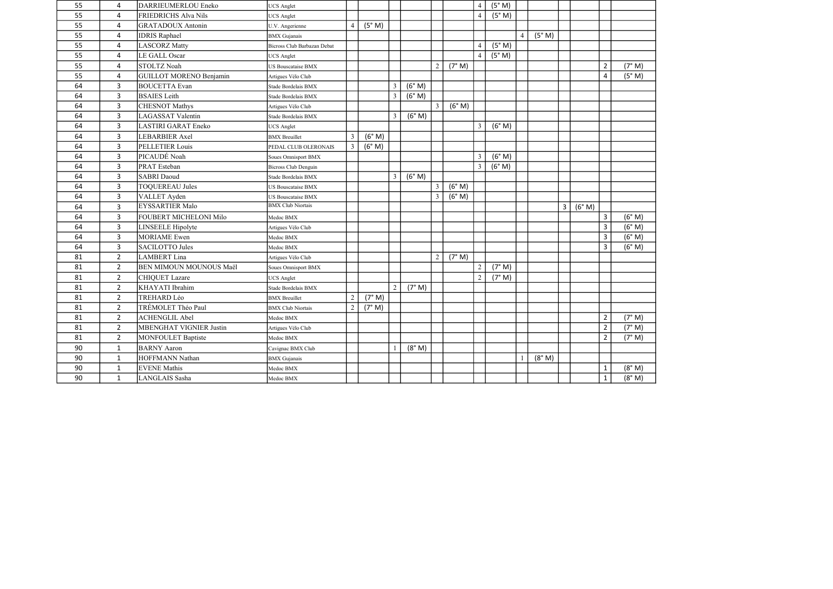| 55 | 4              | DARRIEUMERLOU Eneko            | <b>UCS</b> Anglet           |                |        |                |        |                |        | $\overline{4}$ | (5° M) |   |        |   |        |                |        |
|----|----------------|--------------------------------|-----------------------------|----------------|--------|----------------|--------|----------------|--------|----------------|--------|---|--------|---|--------|----------------|--------|
| 55 | 4              | <b>FRIEDRICHS Alva Nils</b>    | <b>JCS</b> Anglet           |                |        |                |        |                |        | $\overline{4}$ | (5° M) |   |        |   |        |                |        |
| 55 | 4              | <b>GRATADOUX Antonin</b>       | U.V. Angerienne             | $\overline{4}$ | (5° M) |                |        |                |        |                |        |   |        |   |        |                |        |
| 55 | 4              | <b>IDRIS Raphael</b>           | <b>BMX</b> Gujanais         |                |        |                |        |                |        |                |        | 4 | (5° M) |   |        |                |        |
| 55 | 4              | <b>LASCORZ</b> Matty           | Bicross Club Barbazan Debat |                |        |                |        |                |        | $\overline{4}$ | (5° M) |   |        |   |        |                |        |
| 55 | 4              | LE GALL Oscar                  | <b>UCS Anglet</b>           |                |        |                |        |                |        | $\overline{4}$ | (5° M) |   |        |   |        |                |        |
| 55 | 4              | <b>STOLTZ Noah</b>             | US Bouscataise BMX          |                |        |                |        | $\overline{2}$ | (7° M) |                |        |   |        |   |        | $\overline{2}$ | (7° M) |
| 55 | 4              | <b>GUILLOT MORENO Benjamin</b> | Artigues Vélo Club          |                |        |                |        |                |        |                |        |   |        |   |        | $\overline{4}$ | (5° M) |
| 64 | 3 <sup>1</sup> | <b>BOUCETTA Evan</b>           | Stade Bordelais BMX         |                |        | $\mathfrak{Z}$ | (6° M) |                |        |                |        |   |        |   |        |                |        |
| 64 | $\mathbf{3}$   | <b>BSAIES</b> Leith            | Stade Bordelais BMX         |                |        | $\mathfrak{Z}$ | (6° M) |                |        |                |        |   |        |   |        |                |        |
| 64 | 3              | <b>CHESNOT Mathys</b>          | Artigues Vélo Club          |                |        |                |        | $\overline{3}$ | (6° M) |                |        |   |        |   |        |                |        |
| 64 | 3              | <b>LAGASSAT Valentin</b>       | Stade Bordelais BMX         |                |        | $\mathfrak{Z}$ | (6° M) |                |        |                |        |   |        |   |        |                |        |
| 64 | 3              | <b>LASTIRI GARAT Eneko</b>     | <b>UCS</b> Anglet           |                |        |                |        |                |        | $\overline{3}$ | (6° M) |   |        |   |        |                |        |
| 64 | 3 <sup>1</sup> | LEBARBIER Axel                 | <b>BMX</b> Breuillet        | 3              | (6° M) |                |        |                |        |                |        |   |        |   |        |                |        |
| 64 | 3              | PELLETIER Louis                | PEDAL CLUB OLERONAIS        | $\mathfrak{Z}$ | (6° M) |                |        |                |        |                |        |   |        |   |        |                |        |
| 64 | 3              | PICAUDÉ Noah                   | Soues Omnisport BMX         |                |        |                |        |                |        | $\overline{3}$ | (6° M) |   |        |   |        |                |        |
| 64 | 3              | PRAT Esteban                   | Bicross Club Denguin        |                |        |                |        |                |        | 3              | (6° M) |   |        |   |        |                |        |
| 64 | 3              | <b>SABRI</b> Daoud             | Stade Bordelais BMX         |                |        | $\mathfrak{Z}$ | (6° M) |                |        |                |        |   |        |   |        |                |        |
| 64 | 3              | <b>TOQUEREAU Jules</b>         | <b>US Bouscataise BMX</b>   |                |        |                |        | $\overline{3}$ | (6° M) |                |        |   |        |   |        |                |        |
| 64 | 3              | VALLET Ayden                   | <b>US Bouscataise BMX</b>   |                |        |                |        | $\overline{3}$ | (6° M) |                |        |   |        |   |        |                |        |
| 64 | 3              | <b>EYSSARTIER Malo</b>         | <b>BMX</b> Club Niortais    |                |        |                |        |                |        |                |        |   |        | 3 | (6° M) |                |        |
| 64 | 3 <sup>1</sup> | FOUBERT MICHELONI Milo         | Medoc BMX                   |                |        |                |        |                |        |                |        |   |        |   |        | $\overline{3}$ | (6° M) |
| 64 | 3              | LINSEELE Hipolyte              | Artigues Vélo Club          |                |        |                |        |                |        |                |        |   |        |   |        | $\overline{3}$ | (6° M) |
| 64 | 3              | <b>MORIAME</b> Ewen            | Medoc BMX                   |                |        |                |        |                |        |                |        |   |        |   |        | $\overline{3}$ | (6° M) |
| 64 | 3              | <b>SACILOTTO Jules</b>         | Medoc BMX                   |                |        |                |        |                |        |                |        |   |        |   |        | $\overline{3}$ | (6° M) |
| 81 | $2^{\circ}$    | <b>LAMBERT</b> Lina            | Artigues Vélo Club          |                |        |                |        | $\overline{2}$ | (7° M) |                |        |   |        |   |        |                |        |
| 81 | $2^{\circ}$    | BEN MIMOUN MOUNOUS Maël        | Soues Omnisport BMX         |                |        |                |        |                |        | $\overline{2}$ | (7° M) |   |        |   |        |                |        |
| 81 | $2^{\circ}$    | <b>CHIQUET Lazare</b>          | <b>UCS</b> Anglet           |                |        |                |        |                |        | $\overline{2}$ | (7° M) |   |        |   |        |                |        |
| 81 | $2^{\circ}$    | KHAYATI Ibrahim                | Stade Bordelais BMX         |                |        | $\overline{2}$ | (7° M) |                |        |                |        |   |        |   |        |                |        |
| 81 | $2^{\circ}$    | <b>TREHARD Léo</b>             | <b>BMX</b> Breuillet        | $\overline{2}$ | (7° M) |                |        |                |        |                |        |   |        |   |        |                |        |
| 81 | $\overline{2}$ | TRÉMOLET Théo Paul             | <b>BMX</b> Club Niortais    | $\overline{2}$ | (7° M) |                |        |                |        |                |        |   |        |   |        |                |        |
| 81 | $\overline{2}$ | <b>ACHENGLIL Abel</b>          | Medoc BMX                   |                |        |                |        |                |        |                |        |   |        |   |        | $\overline{2}$ | (7° M) |
| 81 | $2^{\circ}$    | <b>MBENGHAT VIGNIER Justin</b> | Artigues Vélo Club          |                |        |                |        |                |        |                |        |   |        |   |        | $\overline{2}$ | (7° M) |
| 81 | $\overline{2}$ | <b>MONFOULET Baptiste</b>      | Medoc BMX                   |                |        |                |        |                |        |                |        |   |        |   |        | $\overline{2}$ | (7° M) |
| 90 | $\mathbf{1}$   | <b>BARNY</b> Aaron             | Cavignac BMX Club           |                |        |                | (8° M) |                |        |                |        |   |        |   |        |                |        |
| 90 | $\mathbf{1}$   | HOFFMANN Nathan                | <b>BMX</b> Gujanais         |                |        |                |        |                |        |                |        |   | (8° M) |   |        |                |        |
| 90 | $\mathbf{1}$   | <b>EVENE</b> Mathis            | Medoc BMX                   |                |        |                |        |                |        |                |        |   |        |   |        | $\mathbf{1}$   | (8° M) |
| 90 | $\mathbf{1}$   | LANGLAIS Sasha                 | Medoc BMX                   |                |        |                |        |                |        |                |        |   |        |   |        | $\mathbf{1}$   | (8° M) |
|    |                |                                |                             |                |        |                |        |                |        |                |        |   |        |   |        |                |        |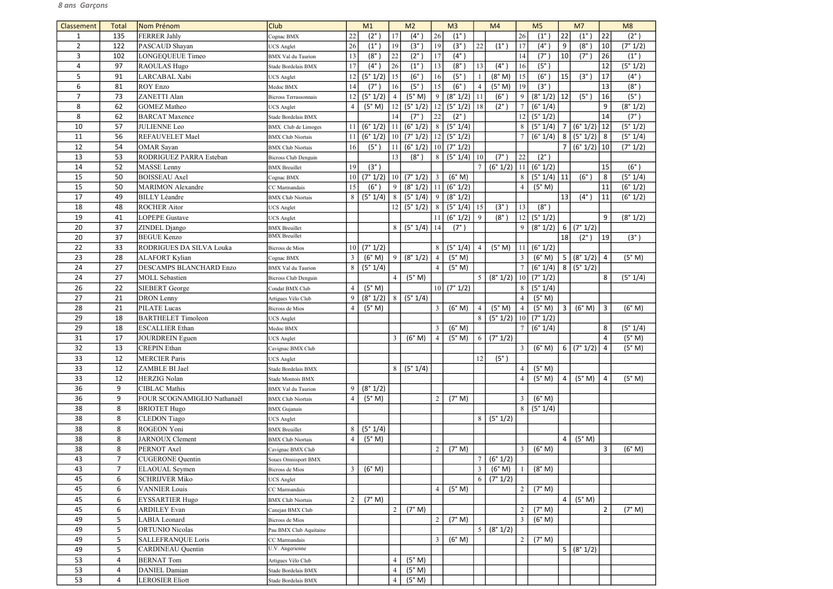| Classement     | <b>Total</b>   | Nom Prénom                                     | <b>Club</b>                               |                | M1                 |                | M <sub>2</sub>    |                | M <sub>3</sub>    |                | M4                 |                                  | M <sub>5</sub>    |                | M7                |                | M8            |
|----------------|----------------|------------------------------------------------|-------------------------------------------|----------------|--------------------|----------------|-------------------|----------------|-------------------|----------------|--------------------|----------------------------------|-------------------|----------------|-------------------|----------------|---------------|
| 1              | 135            | <b>FERRER Jahly</b>                            | Cognac BMX                                | 22             | $(2^\circ)$        | 17             | $(4^\circ)$       | 26             | $(1^{\circ})$     |                |                    | 26                               | $(1^{\circ}$      | 22             | $(1^{\circ}$      | 22             | $(2^{\circ})$ |
| $\overline{2}$ | 122            | PASCAUD Shayan                                 | <b>UCS Anglet</b>                         | 26             | $(1^{\circ})$      | 19             | (3 <sup>°</sup> ) | 19             | (3 <sup>°</sup> ) | 22             | $(1^{\circ})$      | 17                               | $(4^\circ)$       | 9              | $(8^\circ$        | 10             | (7° 1/2)      |
| 3              | 102            | LONGEQUEUE Timeo                               | <b>BMX</b> Val du Taurion                 | 13             | $(8^\circ$         | 22             | $(2^{\circ})$     | 17             | $(4^{\circ})$     |                |                    | 14                               | $(7^\circ)$       | 10             | $(7^\circ)$       | 26             | $(1^{\circ})$ |
| 4              | 97             | RAOULAS Hugo                                   | Stade Bordelais BMX                       | 17             | $(4^\circ)$        | 26             | $(1^{\circ})$     | 13             | $(8^\circ$        | 13             | $(4^{\circ})$      | 16                               | (5 <sup>°</sup> ) |                |                   | 12             | (5° 1/2)      |
| 5              | 91             | LARCABAL Xabi                                  | <b>UCS</b> Anglet                         | 12             | (5° 1/2)           | $\vert$ 15     | $(6^\circ)$       | 16             | $(5^\circ)$       |                | (8° M)             | 15                               | (6°)              | 15             | (3 <sup>°</sup> ) | 17             | $(4^{\circ})$ |
| 6              | 81             | <b>ROY Enzo</b>                                | Medoc BMX                                 | 14             | $(7^\circ)$        | 16             | (5 <sup>°</sup> ) | 15             | $(6^\circ)$       | $\overline{4}$ | (5° M)             | 19                               | (3 <sup>°</sup> ) |                |                   | 13             | $(8^\circ)$   |
| 7              | 73             | ZANETTI Alan                                   | <b>Bicross Terrassonnais</b>              | 12             | (5° 1/2)           | $\overline{4}$ | (5° M)            | 9              | (8° 1/2)          | 11             | $(6^\circ)$        | 9                                | (8° 1/2)          | 12             | $(5^\circ)$       | 16             | (5°)          |
| 8              | 62             | <b>GOMEZ Matheo</b>                            | <b>UCS</b> Anglet                         | $\overline{4}$ | (5° M)             | 12             | (5° 1/2)          | 12             | (5° 1/2)          | 18             | $(2^{\circ})$      | $\tau$                           | (6° 1/4)          |                |                   | 9              | (8° 1/2)      |
| 8              | 62             | <b>BARCAT</b> Maxence                          | Stade Bordelais BMX                       |                |                    | 14             | $(7^\circ$        | 22             | $(2^{\circ})$     |                |                    | 12                               | (5° 1/2)          |                |                   | 14             | (7°)          |
| 10             | 57             | <b>JULIENNE</b> Leo                            | <b>BMX</b> Club de Limoges                | 11             | (6° 1/2)           | $\vert$ 11     | (6° 1/2)          | 8              | (5° 1/4)          |                |                    | 8                                | (5° 1/4)          | $\overline{7}$ | $(6° 1/2)$ 12     |                | (5° 1/2)      |
| 11             | 56             | REFAUVELET Mael                                | <b>BMX Club Niortais</b>                  | 11             | (6° 1/2)           | 10             | (7° 1/2)          | 12             | (5° 1/2)          |                |                    |                                  | (6° 1/4)          | 8              | (5°1/2) 8         |                | (5° 1/4)      |
| 12             | 54             | <b>OMAR</b> Sayan                              | <b>BMX Club Niortais</b>                  | 16             | $(5^\circ)$        | 11             | (6° 1/2)          | 10             | (7° 1/2)          |                |                    |                                  |                   | $\overline{7}$ | (6° 1/2)   10     |                | (7° 1/2)      |
| 13             | 53             | RODRIGUEZ PARRA Esteban                        | <b>Bicross Club Denguin</b>               |                |                    | 13             | $(8^\circ)$       | 8              | (5° 1/4)          | 10             | $(7^{\circ})$      | 22                               | $(2^{\circ})$     |                |                   |                |               |
| 14             | 52             | MASSE Lenny                                    | <b>BMX</b> Breuillet                      | 19             | $(3^{\circ})$      |                |                   |                |                   |                | (6° 1/2)           | 11                               | (6° 1/2)          |                |                   | 15             | (6°)          |
| 15             | 50             | <b>BOISSEAU</b> Axel                           | Cognac BMX                                | 10             | (7° 1/2)           | 10             | $(7° 1/2)$ 3      |                | (6° M)            |                |                    | 8                                | $(5° 1/4)$ 11     |                | $(6^\circ)$       | 8              | (5° 1/4)      |
| 15             | 50             | <b>MARIMON</b> Alexandre                       | CC Marmandais                             | 15             | $(6^{\circ}$       | 9              | $(8° 1/2)$   11   |                | (6° 1/2)          |                |                    | $\overline{4}$                   | (5° M)            |                |                   | 11             | (6° 1/2)      |
| 17             | 49             | <b>BILLY</b> Léandre                           |                                           |                | (5° 1/4)           | 8              | (5°1/4)           | 9              | (8° 1/2)          |                |                    |                                  |                   | 13             | $(4^\circ)$       | 11             |               |
| 18             | 48             | <b>ROCHER Aitor</b>                            | <b>BMX Club Niortais</b>                  | 8              |                    | 12             | (5° 1/2)          | 8              | (5° 1/4)          | 15             | $(3^{\circ})$      | 13                               | $(8^\circ)$       |                |                   |                | (6° 1/2)      |
| 19             | 41             | <b>LOPEPE Gustave</b>                          | <b>UCS</b> Anglet                         |                |                    |                |                   | 11             | (6° 1/2)          | 9              | $(8^\circ)$        | 12                               | (5° 1/2)          |                |                   | 9              | (8° 1/2)      |
| 20             | 37             | ZINDEL Django                                  | <b>UCS</b> Anglet<br><b>BMX</b> Breuillet |                |                    | 8 <sup>1</sup> | (5° 1/4)          | 14             | $(7^\circ)$       |                |                    | 9                                | (8° 1/2)          | 6              | (7° 1/2)          |                |               |
| 20             | 37             | <b>BEGUE Kenzo</b>                             | <b>BMX</b> Breuillet                      |                |                    |                |                   |                |                   |                |                    |                                  |                   | 18             | $(2^{\circ})$     | 19             | (3°)          |
| 22             | 33             | RODRIGUES DA SILVA Louka                       |                                           | 10             | (7° 1/2)           |                |                   | 8              | (5° 1/4)          |                | (5° M)             |                                  | (6° 1/2)          |                |                   |                |               |
|                | 28             |                                                | <b>Bicross</b> de Mios                    |                | (6° M)             | 9              | (8° 1/2)          |                | (5° M)            | 4              |                    | 11<br>$\mathfrak{Z}$             | (6° M)            | 5              |                   |                | (5° M)        |
| 23             |                | <b>ALAFORT Kylian</b>                          | Cognac BMX                                | 3              |                    |                |                   | $\overline{4}$ |                   |                |                    |                                  |                   |                | (8° 1/2)          | $\overline{4}$ |               |
| 24             | 27             | <b>DESCAMPS BLANCHARD Enzo</b>                 | <b>BMX</b> Val du Taurion                 | 8              | (5° 1/4)           |                |                   | $\overline{4}$ | (5° M)            |                |                    |                                  | (6° 1/4)          |                | 8 (5°1/2)         |                |               |
| 24             | 27             | <b>MOLL Sebastien</b>                          | <b>Bicross Club Denguin</b>               |                |                    | $\overline{4}$ | (5° M)            |                |                   | 5 <sup>1</sup> | (8° 1/2)           | 10 <sup>1</sup>                  | (7° 1/2)          |                |                   | 8              | (5° 1/4)      |
| 26             | 22             | <b>SIEBERT</b> George                          | Condat BMX Club                           | $\overline{4}$ | (5° M)             |                |                   | 10             | (7° 1/2)          |                |                    | 8                                | (5° 1/4)          |                |                   |                |               |
| 27             | 21             | <b>DRON</b> Lenny                              | Artigues Vélo Club                        | 9              | (8° 1/2)           | 8              | (5° 1/4)          |                |                   |                |                    | $\overline{4}$                   | (5° M)            |                |                   |                |               |
| 28             | 21             | <b>PILATE</b> Lucas                            | <b>Bicross de Mios</b>                    | $\overline{4}$ | (5° M)             |                |                   | 3              | (6° M)            | $\overline{4}$ | (5° M)             | $\overline{4}$                   | (5° M)            | $\overline{3}$ | (6° M)            | 3              | (6° M)        |
| 29             | 18             | <b>BARTHELET Timoleon</b>                      | <b>UCS</b> Anglet                         |                |                    |                |                   |                |                   | 8              | (5° 1/2)           | 10<br>7 <sup>1</sup>             | (7° 1/2)          |                |                   |                |               |
| 29             | 18             | <b>ESCALLIER Ethan</b>                         | Medoc BMX                                 |                |                    |                |                   | 3              | (6° M)            |                |                    |                                  | (6° 1/4)          |                |                   | 8              | (5° 1/4)      |
| 31             | 17             | JOURDREIN Eguen                                | <b>UCS</b> Anglet                         |                |                    | $\mathfrak{Z}$ | (6° M)            | $\overline{4}$ | (5° M)            | 6              | (7° 1/2)           |                                  |                   |                |                   | $\overline{4}$ | (5° M)        |
| 32             | 13             | <b>CREPIN Ethan</b>                            | Cavignac BMX Club                         |                |                    |                |                   |                |                   |                |                    | $\mathfrak{Z}$                   | (6° M)            | 6              | (7° 1/2)          | 4              | (5° M)        |
| 33             | 12             | <b>MERCIER Paris</b>                           | <b>UCS</b> Anglet                         |                |                    |                |                   |                |                   | 12             | $(5^{\circ})$      |                                  |                   |                |                   |                |               |
| 33             | 12             | ZAMBLE BI Jael                                 | Stade Bordelais BMX                       |                |                    | 8              | (5° 1/4)          |                |                   |                |                    | $\overline{4}$                   | (5° M)            |                |                   |                |               |
| 33             | 12             | <b>HERZIG</b> Nolan                            | Stade Montois BMX                         |                |                    |                |                   |                |                   |                |                    | $\overline{4}$                   | (5° M)            | 4              | (5° M)            | $\overline{4}$ | (5° M)        |
| 36             | 9              | <b>CIBLAC</b> Mathis                           | <b>BMX</b> Val du Taurion                 | 9              | (8° 1/2)           |                |                   |                |                   |                |                    |                                  |                   |                |                   |                |               |
| 36             | 9              | FOUR SCOGNAMIGLIO Nathanaël                    | <b>BMX Club Niortais</b>                  | 4              | (5° M)             |                |                   | $\overline{2}$ | (7° M)            |                |                    | $\mathfrak{Z}$<br>8 <sup>1</sup> | (6° M)            |                |                   |                |               |
| 38<br>38       | 8<br>8         | <b>BRIOTET Hugo</b>                            | <b>BMX</b> Gujanais                       |                |                    |                |                   |                |                   |                |                    |                                  | (5° 1/4)          |                |                   |                |               |
| 38             | 8              | <b>CLEDON</b> Tiago<br>ROGEON Yoni             | <b>UCS</b> Anglet                         | 8              |                    |                |                   |                |                   | 8              | (5° 1/2)           |                                  |                   |                |                   |                |               |
| 38             | 8              |                                                | <b>BMX</b> Breuillet                      |                | (5° 1/4)<br>(5° M) |                |                   |                |                   |                |                    |                                  |                   |                |                   |                |               |
| 38             | 8              | JARNOUX Clement<br>PERNOT Axel                 | <b>BMX Club Niortais</b>                  | $\overline{4}$ |                    |                |                   | $\overline{2}$ | (7° M)            |                |                    | $\mathfrak{Z}$                   | (6° M)            | 4              | (5° M)            | 3              | (6° M)        |
|                | $\overline{7}$ |                                                | Cavignac BMX Club                         |                |                    |                |                   |                |                   | $\overline{7}$ |                    |                                  |                   |                |                   |                |               |
| 43<br>43       | $\overline{7}$ | <b>CUGERONE</b> Quentin                        | Soues Omnisport BMX                       |                | (6° M)             |                |                   |                |                   | $\overline{3}$ | (6° 1/2)<br>(6° M) |                                  | (8° M)            |                |                   |                |               |
|                |                | <b>ELAOUAL</b> Seymen                          | Bicross de Mios                           | 3              |                    |                |                   |                |                   | 6              |                    |                                  |                   |                |                   |                |               |
| 45             | 6              | <b>SCHRIJVER Miko</b>                          | <b>UCS</b> Anglet                         |                |                    |                |                   |                |                   |                | (7° 1/2)           |                                  | (7° M)            |                |                   |                |               |
| 45             | 6              | <b>VANNIER</b> Louis                           | CC Marmandais                             |                |                    |                |                   | $\overline{4}$ | (5° M)            |                |                    | $\overline{2}$                   |                   |                |                   |                |               |
| 45             | 6              | <b>EYSSARTIER Hugo</b>                         | <b>BMX</b> Club Niortais                  | 2              | (7° M)             |                |                   |                |                   |                |                    |                                  |                   | 4              | (5° M)            |                |               |
| 45             | 6              | <b>ARDILEY Evan</b>                            | Canejan BMX Club                          |                |                    | $\overline{2}$ | (7° M)            |                |                   |                |                    | 2                                | (7° M)            |                |                   | $\overline{2}$ | (7° M)        |
| 49             | 5              | <b>LABIA</b> Leonard                           | Bicross de Mios                           |                |                    |                |                   | $\overline{c}$ | (7° M)            |                |                    | $\mathfrak{Z}$                   | (6° M)            |                |                   |                |               |
| 49             | 5              | <b>ORTUNIO Nicolas</b>                         | Pau BMX Club Aquitaine                    |                |                    |                |                   |                |                   | 5 <sup>1</sup> | (8° 1/2)           |                                  |                   |                |                   |                |               |
| 49             | 5              | <b>SALLEFRANQUE Loris</b><br>CARDINEAU Quentin | CC Marmandais<br>U.V. Angerienne          |                |                    |                |                   | $\overline{3}$ | (6° M)            |                |                    | $\overline{2}$                   | (7° M)            |                |                   |                |               |
| 49             | 5              |                                                |                                           |                |                    |                |                   |                |                   |                |                    |                                  |                   | 5              | (8° 1/2)          |                |               |
| 53             | 4              | <b>BERNAT Tom</b>                              | Artigues Vélo Club                        |                |                    | $\overline{4}$ | (5° M)            |                |                   |                |                    |                                  |                   |                |                   |                |               |
| 53             | 4              | <b>DANIEL Damian</b>                           | Stade Bordelais BMX                       |                |                    | $\overline{4}$ | (5° M)            |                |                   |                |                    |                                  |                   |                |                   |                |               |
| 53             | 4              | <b>LEROSIER Eliott</b>                         | Stade Bordelais BMX                       |                |                    | 4              | (5° M)            |                |                   |                |                    |                                  |                   |                |                   |                |               |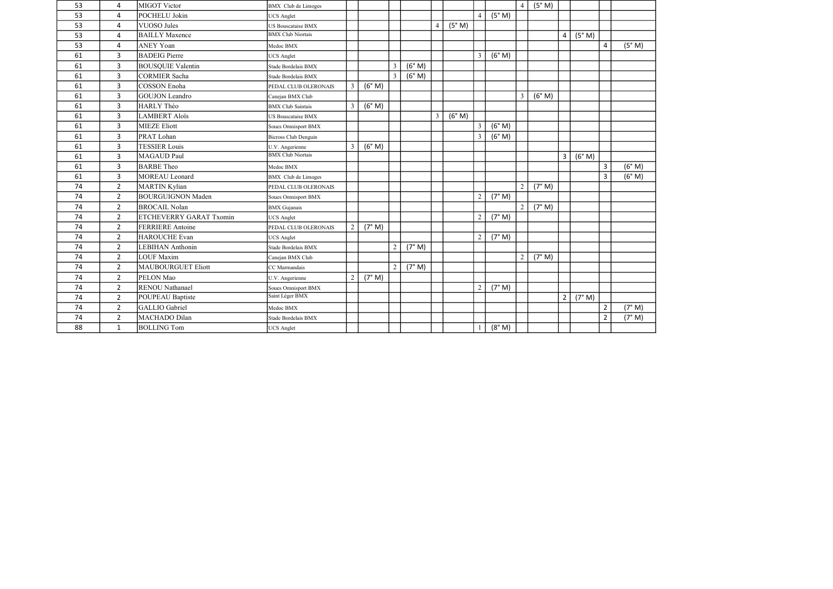| 53 | 4              | MIGOT Victor              | <b>BMX</b> Club de Limoges  |                |        |                |        |                |        |                |        | $\overline{4}$ | (5° M) |                |        |                |        |
|----|----------------|---------------------------|-----------------------------|----------------|--------|----------------|--------|----------------|--------|----------------|--------|----------------|--------|----------------|--------|----------------|--------|
| 53 | 4              | POCHELU Jokin             | JCS Anglet                  |                |        |                |        |                |        |                | (5° M) |                |        |                |        |                |        |
| 53 | 4              | <b>VUOSO Jules</b>        | US Bouscataise BMX          |                |        |                |        | $\overline{4}$ | (5° M) |                |        |                |        |                |        |                |        |
| 53 | $\overline{4}$ | <b>BAILLY Maxence</b>     | <b>BMX</b> Club Niortais    |                |        |                |        |                |        |                |        |                |        | $\overline{4}$ | (5° M) |                |        |
| 53 | 4              | <b>ANEY Yoan</b>          | Medoc BMX                   |                |        |                |        |                |        |                |        |                |        |                |        | $\overline{4}$ | (5° M) |
| 61 | $\overline{3}$ | <b>BADEIG Pierre</b>      | <b>JCS</b> Anglet           |                |        |                |        |                |        | $\overline{3}$ | (6° M) |                |        |                |        |                |        |
| 61 | $\overline{3}$ | <b>BOUSQUIE Valentin</b>  | Stade Bordelais BMX         |                |        | $\mathfrak{Z}$ | (6° M) |                |        |                |        |                |        |                |        |                |        |
| 61 | $\overline{3}$ | <b>CORMIER Sacha</b>      | Stade Bordelais BMX         |                |        | $\overline{3}$ | (6° M) |                |        |                |        |                |        |                |        |                |        |
| 61 | $\overline{3}$ | <b>COSSON Enoha</b>       | PEDAL CLUB OLERONAIS        | 3              | (6° M) |                |        |                |        |                |        |                |        |                |        |                |        |
| 61 | $\mathbf{3}$   | <b>GOUJON</b> Leandro     | Canejan BMX Club            |                |        |                |        |                |        |                |        | 3              | (6° M) |                |        |                |        |
| 61 | 3              | <b>HARLY Théo</b>         | <b>BMX</b> Club Saintais    | 3              | (6° M) |                |        |                |        |                |        |                |        |                |        |                |        |
| 61 | $\overline{3}$ | <b>LAMBERT Aloïs</b>      | <b>US Bouscataise BMX</b>   |                |        |                |        | $\mathfrak{Z}$ | (6° M) |                |        |                |        |                |        |                |        |
| 61 | $\mathbf{3}$   | <b>MIEZE Eliott</b>       | Soues Omnisport BMX         |                |        |                |        |                |        | $\mathfrak{Z}$ | (6° M) |                |        |                |        |                |        |
| 61 | $\mathbf{3}$   | PRAT Lohan                | <b>Bicross Club Denguin</b> |                |        |                |        |                |        | $\overline{3}$ | (6° M) |                |        |                |        |                |        |
| 61 | 3              | <b>TESSIER Louis</b>      | U.V. Angerienne             | $\mathfrak{Z}$ | (6° M) |                |        |                |        |                |        |                |        |                |        |                |        |
| 61 | $\overline{3}$ | <b>MAGAUD Paul</b>        | <b>BMX Club Niortais</b>    |                |        |                |        |                |        |                |        |                |        | $\overline{3}$ | (6° M) |                |        |
| 61 | $\overline{3}$ | <b>BARBE</b> Theo         | Medoc BMX                   |                |        |                |        |                |        |                |        |                |        |                |        | $\overline{3}$ | (6° M) |
| 61 | $\mathbf{3}$   | <b>MOREAU</b> Leonard     | <b>BMX</b> Club de Limoges  |                |        |                |        |                |        |                |        |                |        |                |        | $\overline{3}$ | (6° M) |
| 74 | $2^{\circ}$    | <b>MARTIN Kylian</b>      | PEDAL CLUB OLERONAIS        |                |        |                |        |                |        |                |        | $\overline{2}$ | (7° M) |                |        |                |        |
| 74 | $\overline{2}$ | <b>BOURGUIGNON Maden</b>  | Soues Omnisport BMX         |                |        |                |        |                |        | 2              | (7° M) |                |        |                |        |                |        |
| 74 | $\overline{2}$ | <b>BROCAIL Nolan</b>      | <b>BMX</b> Gujanais         |                |        |                |        |                |        |                |        | $\overline{2}$ | (7° M) |                |        |                |        |
| 74 | $2^{\circ}$    | ETCHEVERRY GARAT Txomin   | <b>JCS</b> Anglet           |                |        |                |        |                |        | 2              | (7° M) |                |        |                |        |                |        |
| 74 | $2^{\circ}$    | <b>FERRIERE</b> Antoine   | PEDAL CLUB OLERONAIS        | 2              | (7° M) |                |        |                |        |                |        |                |        |                |        |                |        |
| 74 | $2^{\circ}$    | <b>HAROUCHE Evan</b>      | <b>UCS</b> Anglet           |                |        |                |        |                |        | 2              | (7° M) |                |        |                |        |                |        |
| 74 | $\overline{2}$ | <b>LEBIHAN Anthonin</b>   | Stade Bordelais BMX         |                |        | $\overline{2}$ | (7° M) |                |        |                |        |                |        |                |        |                |        |
| 74 | $2^{\circ}$    | <b>LOUF Maxim</b>         | Canejan BMX Club            |                |        |                |        |                |        |                |        | $\mathfrak{D}$ | (7° M) |                |        |                |        |
| 74 | $2^{\circ}$    | <b>MAUBOURGUET Eliott</b> | CC Marmandais               |                |        | $\overline{2}$ | (7° M) |                |        |                |        |                |        |                |        |                |        |
| 74 | $\overline{2}$ | PELON Mao                 | U.V. Angerienne             | $\overline{2}$ | (7° M) |                |        |                |        |                |        |                |        |                |        |                |        |
| 74 | $2^{\circ}$    | <b>RENOU Nathanael</b>    | Soues Omnisport BMX         |                |        |                |        |                |        | 2              | (7° M) |                |        |                |        |                |        |
| 74 | $\overline{2}$ | <b>POUPEAU Baptiste</b>   | Saint Léger BMX             |                |        |                |        |                |        |                |        |                |        | $\overline{2}$ | (7° M) |                |        |
| 74 | $\overline{2}$ | <b>GALLIO</b> Gabriel     | Medoc BMX                   |                |        |                |        |                |        |                |        |                |        |                |        | $\overline{2}$ | (7° M) |
| 74 | $2^{\circ}$    | MACHADO Dilan             | Stade Bordelais BMX         |                |        |                |        |                |        |                |        |                |        |                |        | $\overline{2}$ | (7° M) |
| 88 | $\mathbf{1}$   | <b>BOLLING Tom</b>        | <b>UCS</b> Anglet           |                |        |                |        |                |        |                | (8° M) |                |        |                |        |                |        |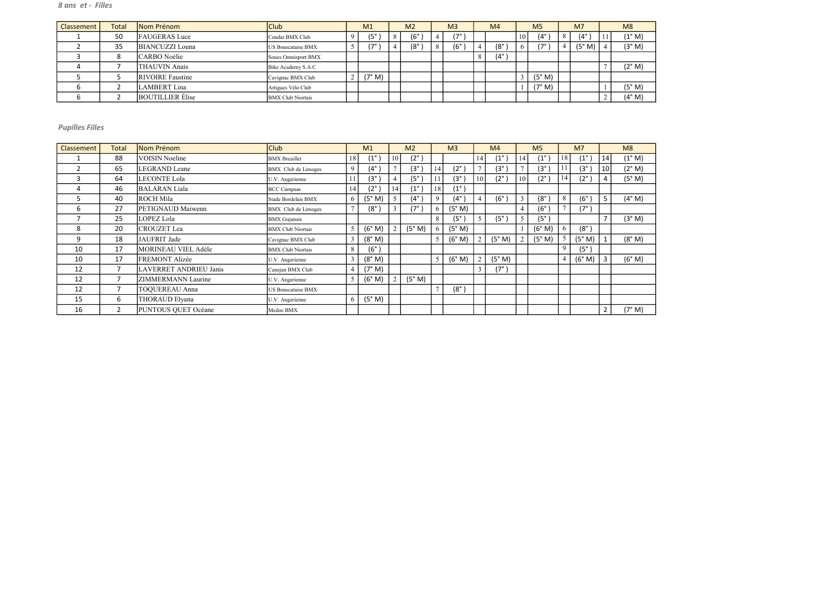| Classement | Total | Nom Prénom              | <b>Club</b>               | M <sub>1</sub> | M <sub>2</sub> | M <sub>3</sub> | M <sub>4</sub> | M <sub>5</sub> |    | M <sub>7</sub> |    | M8              |
|------------|-------|-------------------------|---------------------------|----------------|----------------|----------------|----------------|----------------|----|----------------|----|-----------------|
|            | 50    | <b>FAUGERAS</b> Luce    | Condat BMX Club           | 75°/           | $(6^\circ$     | (7°            |                | $(4^\circ$     | 8. | $(4^{\circ})$  | 11 | $(1^{\circ}$ M) |
|            | 35    | BIANCUZZI Louna         | <b>US Bouscataise BMX</b> | 7°،            | $(8^\circ$     | $(6^{\circ}$   | $(8^\circ$     | 17°            | 4  | (5° M)         |    | (3° M)          |
|            |       | CARBO Noélie            | Soues Omnisport BMX       |                |                |                | (4°            |                |    |                |    |                 |
|            |       | THAUVIN Anais           | Bike Academy S.A.C        |                |                |                |                |                |    |                |    | $(2^{\circ} M)$ |
|            |       | <b>RIVOIRE</b> Faustine | Cavignac BMX Club         | (7° M)         |                |                |                | (5° M)         |    |                |    |                 |
|            |       | LAMBERT Lina            | Artigues Vélo Club        |                |                |                |                | (7° M)         |    |                |    | (5° M)          |
|            |       | <b>BOUTILLIER</b> Elise | <b>BMX</b> Club Niortais  |                |                |                |                |                |    |                |    | (4° M)          |

| Classement | <b>Total</b>   | Nom Prénom             | <b>Club</b>                |                | M1            |     | M <sub>2</sub> |                | M <sub>3</sub> |    | M <sub>4</sub> |                | M <sub>5</sub> |                | M <sub>7</sub> |                 | M8     |
|------------|----------------|------------------------|----------------------------|----------------|---------------|-----|----------------|----------------|----------------|----|----------------|----------------|----------------|----------------|----------------|-----------------|--------|
|            | 88             | <b>VOISIN Noeline</b>  | <b>BMX</b> Breuillet       | 18             | $(1^{\circ}$  | 10  | $(2^{\circ})$  |                |                | 14 | $(1^{\circ}$   | 14             | $(1^{\circ})$  | 18             | $(1^{\circ}$   | 14              | (1° M) |
| 2          | 65             | LEGRAND Leane          | BMX Club de Limoges        | 9              | $(4^\circ)$   |     | $(3^{\circ})$  | 14             | $(2^{\circ})$  |    | $(3^\circ)$    |                | $(3^{\circ})$  |                | (3°            | 10 <sup>1</sup> | (2° M) |
| 3          | 64             | <b>LECONTE Lola</b>    | U.V. Angerienne            |                | $(3^\circ)$   |     | $(5^\circ)$    | 11             | (3°            | 10 | $(2^{\circ})$  | 10             | $(2^{\circ})$  | 14             | $(2^{\circ})$  | 4               | (5° M) |
| 4          | 46             | <b>BALARAN Liala</b>   | <b>BCC Campsas</b>         | 14             | $(2^\circ)$   | 14' | $(1^{\circ})$  | 18             | $(1^{\circ})$  |    |                |                |                |                |                |                 |        |
| כ          | 40             | ROCH Mila              | Stade Bordelais BMX        | 6              | (5° M)        |     | $(4^\circ)$    | 9              | (4°            |    | $(6^\circ)$    | $\mathfrak{Z}$ | $(8^\circ$     | 8              | (6°            | 5               | (4° M) |
| 6          | 27             | PETIGNAUD Maiwenn      | <b>BMX</b> Club de Limoges |                | $(8^\circ)$   |     | (7° '          |                | (5° M)         |    |                | $\overline{4}$ | $(6^\circ$     |                | (7° )          |                 |        |
|            | 25             | LOPEZ Lola             | <b>BMX</b> Gujanais        |                |               |     |                | 8              | (5°            |    | $(5^\circ)$    | 5              | $(5^{\circ})$  |                |                |                 | (3° M) |
| 8          | 20             | <b>CROUZET</b> Lea     | <b>BMX Club Niortais</b>   | 5              | (6° M)        |     | (5° M)         |                | (5° M)         |    |                |                | (6° M)         | 6              | $(8^\circ)$    |                 |        |
| 9          | 18             | JAUFRIT Jade           | Cavignac BMX Club          | 3              | (8° M)        |     |                | $\overline{5}$ | (6° M)         |    | (5° M)         | 2              | (5° M)         |                | (5° M)         |                 | (8° M) |
| 10         | 17             | MORINEAU VIEL Adèle    | <b>BMX Club Niortais</b>   | 8              | $(6^{\circ})$ |     |                |                |                |    |                |                |                | 9              | $(5^\circ)$    |                 |        |
| 10         | 17             | FREMONT Alizée         | U.V. Angerienne            | 3              | (8° M)        |     |                | 5              | (6° M)         |    | (5° M)         |                |                | $\overline{4}$ | (6° M)         | $\overline{3}$  | (6° M) |
| 12         | $\overline{7}$ | LAVERRET ANDRIEU Janis | Canejan BMX Club           | $\overline{4}$ | (7° M)        |     |                |                |                |    | $(7^{\circ})$  |                |                |                |                |                 |        |
| 12         |                | ZIMMERMANN Laurine     | U.V. Angerienne            | 5              | (6° M)        |     | (5° M)         |                |                |    |                |                |                |                |                |                 |        |
| 12         |                | TOQUEREAU Anna         | <b>US Bouscataise BMX</b>  |                |               |     |                | $\overline{ }$ | $(8^\circ)$    |    |                |                |                |                |                |                 |        |
| 15         | 6              | THORAUD Elyana         | U.V. Angerienne            | 6              | (5° M)        |     |                |                |                |    |                |                |                |                |                |                 |        |
| 16         | $\mathbf{2}$   | PUNTOUS QUET Océane    | Medoc BMX                  |                |               |     |                |                |                |    |                |                |                |                |                | $\overline{2}$  | (7° M) |

| M)     |
|--------|
| M)     |
| M)     |
|        |
| M)     |
|        |
| (3° M) |
|        |
| (8° M) |
|        |
| (6° M) |
|        |
|        |
|        |
|        |
| M)     |
|        |

# 8 ans et - Filles

## Pupilles Filles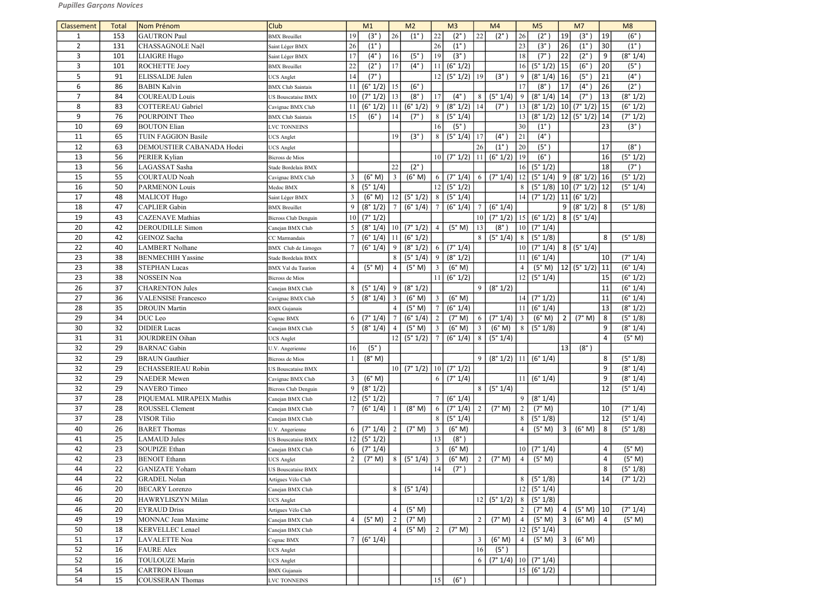| Classement     | <b>Total</b> | Nom Prénom                 | <b>Club</b>                         |                | M1              |                 | M <sub>2</sub>    |                 | M <sub>3</sub>    |                 | M <sub>4</sub>                                                                              |                 | M <sub>5</sub>       |                | M <sub>7</sub>                  |                 | M8            |
|----------------|--------------|----------------------------|-------------------------------------|----------------|-----------------|-----------------|-------------------|-----------------|-------------------|-----------------|---------------------------------------------------------------------------------------------|-----------------|----------------------|----------------|---------------------------------|-----------------|---------------|
| $\mathbf{1}$   | 153          | <b>GAUTRON Paul</b>        | <b>BMX</b> Breuillet                | 19             | $(3^\circ)$     | 26              | $(1^{\circ})$     | 22              | $(2^{\circ}$      | 22              | $(2^{\circ})$                                                                               | 26              | $(2^\circ)$          | 19             | $(3^\circ)$                     | 19              | $(6^{\circ}$  |
| $\overline{2}$ | 131          | CHASSAGNOLE Naël           | Saint Léger BMX                     | 26             | $(1^{\circ})$   |                 |                   | 26              | $(1^{\circ})$     |                 |                                                                                             | 23              | $(3^\circ)$          | 26             | $(1^{\circ})$                   | 30              | $(1^{\circ})$ |
| 3              | 101          | LIAIGRE Hugo               | Saint Léger BMX                     | 17             | $(4^\circ)$     | 16              | (5 <sup>°</sup> ) | 19              | (3 <sup>°</sup> ) |                 |                                                                                             | 18              | $(7^\circ$           | 22             | $(2^{\circ})$                   | 9               | (8° 1/4)      |
| 3              | 101          | <b>ROCHETTE Joey</b>       | <b>BMX</b> Breuillet                | 22             | $(2^{\circ})$   | 17              | $(4^{\circ})$     | 11              | (6° 1/2)          |                 |                                                                                             | 16              | (5° 1/2)             | 15             | $(6^\circ)$                     | 20              | (5°)          |
| 5              | 91           | ELISSALDE Julen            | <b>UCS</b> Anglet                   | 14             | $(7^\circ)$     |                 |                   | 12              | (5° 1/2)          | 19              | $(3^{\circ})$                                                                               | 9               | (8° 1/4)             | 16             | $(5^\circ)$                     | 21              | $(4^{\circ})$ |
| 6              | 86           | <b>BABIN Kalvin</b>        | <b>BMX</b> Club Saintais            | 11             | (6° 1/2)        | 15              | $(6^\circ)$       |                 |                   |                 |                                                                                             | 17              | $(8^\circ)$          | 17             | $(4^\circ)$                     | 26              | $(2^{\circ})$ |
| $\overline{7}$ | 84           | <b>COUREAUD Louis</b>      | US Bouscataise BMX                  | 10             | (7° 1/2)        | 13              | $(8^\circ)$       | 17              | $(4^{\circ})$     | 8               | (5° 1/4)                                                                                    | 9               | (8° 1/4)             | 14             | $(7^\circ)$                     | 13              | (8° 1/2)      |
| 8              | 83           | <b>COTTEREAU</b> Gabriel   | Cavignac BMX Club                   | 11             | $(6° 1/2)$  11  |                 | (6° 1/2)          | 9               | (8° 1/2)          | 14              | $(7^\circ)$                                                                                 | 13              |                      |                | $(8° 1/2)$   10 $(7° 1/2)$   15 |                 | (6° 1/2)      |
| 9              | 76           | POURPOINT Theo             | <b>BMX</b> Club Saintais            | 15             | $(6^\circ)$     | 14              | $(7^\circ)$       | 8               | (5° 1/4)          |                 |                                                                                             | 13              | (8° 1/2)             |                | $ 12 $ (5° 1/2)   14            |                 | (7° 1/2)      |
| 10             | 69           | <b>BOUTON Elian</b>        | <b>LVC TONNEINS</b>                 |                |                 |                 |                   | 16              | $(5^\circ)$       |                 |                                                                                             | 30              | $(1^{\circ})$        |                |                                 | 23              | (3°)          |
| 11             | 65           | <b>TUIN FAGGION Basile</b> | <b>JCS</b> Anglet                   |                |                 | 19              | (3 <sup>°</sup> ) | 8               | (5° 1/4)          | 17              | $(4^\circ)$                                                                                 | $21$            | $(4^\circ)$          |                |                                 |                 |               |
| 12             | 63           | DEMOUSTIER CABANADA Hodei  | <b>UCS Anglet</b>                   |                |                 |                 |                   |                 |                   | 26              | $(1^{\circ})$                                                                               | $20\,$          | (5 <sup>°</sup> )    |                |                                 | 17              | (8°)          |
| 13             | 56           | PERIER Kylian              | Bicross de Mios                     |                |                 |                 |                   | 10              | (7° 1/2)          | 11              | (6° 1/2)                                                                                    | 19              | $(6^\circ)$          |                |                                 | 16              | (5° 1/2)      |
| 13             | 56           | LAGASSAT Sasha             | Stade Bordelais BMX                 |                |                 | 22              | $(2^{\circ})$     |                 |                   |                 |                                                                                             | 16              | (5° 1/2)             |                |                                 | 18              | (7°)          |
| 15             | 55           | COURTAUD Noah              | Cavignac BMX Club                   | 3              | (6° M)          | $\mathfrak{Z}$  | (6° M)            | 6               | (7° 1/4)          | 6               | (7° 1/4)                                                                                    | 12              | (5° 1/4)             |                | 9 (8°1/2) 16                    |                 | (5° 1/2)      |
| 16             | 50           | <b>PARMENON Louis</b>      | Medoc BMX                           | 8              | (5° 1/4)        |                 |                   | 12              | (5° 1/2)          |                 |                                                                                             | 8               | (5° 1/8)             |                | $ 10 $ (7° 1/2)   12            |                 | (5° 1/4)      |
| 17             | 48           | MALICOT Hugo               | Saint Léger BMX                     | 3              | (6° M)          | 12              | (5° 1/2)          | 8               | (5° 1/4)          |                 |                                                                                             | 14              | (7° 1/2)             |                | $ 11 $ (6° 1/2)                 |                 |               |
| 18             | 47           | <b>CAPLIER</b> Gabin       | <b>BMX</b> Breuillet                | 9              | (8° 1/2)        | $7\overline{ }$ | (6° 1/4)          | 7               | (6° 1/4)          | $7\overline{ }$ | (6° 1/4)                                                                                    |                 |                      | 9              | (8°1/2) 8                       |                 | (5° 1/8)      |
| 19             | 43           | <b>CAZENAVE</b> Mathias    | Bicross Club Denguin                | 10             | (7° 1/2)        |                 |                   |                 |                   | 10 <sup>1</sup> | (7° 1/2)                                                                                    |                 | $ 15 $ (6° 1/2)      |                | 8 (5°1/4)                       |                 |               |
| 20             | 42           | <b>DEROUDILLE Simon</b>    | Canejan BMX Club                    | 5              | $(8° 1/4)$   10 |                 | (7° 1/2)          | $\overline{4}$  | (5° M)            | 13              | $(8^\circ)$                                                                                 | 10 <sup>1</sup> | (7° 1/4)             |                |                                 |                 |               |
| 20             | 42           | GEINOZ Sacha               | CC Marmandais                       |                | (6° 1/4)        | 11              | (6° 1/2)          |                 |                   | 8 <sup>1</sup>  | (5° 1/4)                                                                                    | 8               | (5° 1/8)             |                |                                 | 8               | (5° 1/8)      |
| 22             | 40           | <b>LAMBERT</b> Nolhane     | <b>BMX</b> Club de Limoges          |                | (6° 1/4)        | 9               | (8° 1/2)          | 6               | (7° 1/4)          |                 |                                                                                             | 10 <sup>1</sup> | (7° 1/4)             |                | 8 (5°1/4)                       |                 |               |
| 23             | 38           | <b>BENMECHIH Yassine</b>   | Stade Bordelais BMX                 |                |                 | 8               | (5°1/4)           | 9               | (8° 1/2)          |                 |                                                                                             | 11              | (6° 1/4)             |                |                                 | 10 <sup>1</sup> | (7° 1/4)      |
| 23             | 38           | <b>STEPHAN Lucas</b>       | <b>BMX</b> Val du Taurion           | $\overline{4}$ | (5° M)          | 4               | (5° M)            | 3               | (6° M)            |                 |                                                                                             | $\overline{4}$  | (5° M)               |                | $ 12 $ (5° 1/2)                 | 11              | (6° 1/4)      |
| 23             | 38           | NOSSEIN Noa                | Bicross de Mios                     |                |                 |                 |                   | 11              | (6° 1/2)          |                 |                                                                                             | 12              | (5° 1/4)             |                |                                 | 15              | (6° 1/2)      |
| 26             | 37           | <b>CHARENTON Jules</b>     | Canejan BMX Club                    | 8              | (5° 1/4)        | 9               | (8° 1/2)          |                 |                   | 9               | (8° 1/2)                                                                                    |                 |                      |                |                                 | 11              | (6° 1/4)      |
| 27             | 36           | <b>VALENSISE Francesco</b> | Cavignac BMX Club                   | 5              | (8° 1/4)        | $\mathfrak{Z}$  | (6° M)            | $\mathfrak{Z}$  | (6° M)            |                 |                                                                                             | 14              | (7° 1/2)             |                |                                 | 11              | (6° 1/4)      |
| 28             | 35           | <b>DROUIN Martin</b>       | <b>BMX</b> Gujanais                 |                |                 | $\overline{4}$  | (5° M)            | $\tau$          | (6° 1/4)          |                 |                                                                                             | 11              | (6° 1/4)             |                |                                 | 13              | (8° 1/2)      |
| 29             | 34           | DUC Leo                    | Cognac BMX                          | 6              | (7° 1/4)        |                 | (6° 1/4)          | $\overline{2}$  | (7° M)            | 6               | (7° 1/4)                                                                                    | $\overline{3}$  | (6° M)               | $\overline{2}$ | (7° M)                          | 8               | (5° 1/8)      |
| 30             | 32           | <b>DIDIER</b> Lucas        | Canejan BMX Club                    | 5              |                 |                 |                   |                 |                   |                 | $(8^{\circ} 1/4)$ 4 $(5^{\circ} M)$ 3 $(6^{\circ} M)$ 3 $(6^{\circ} M)$ 8 $(5^{\circ} 1/8)$ |                 |                      |                |                                 | 9 <sup>1</sup>  | (8° 1/4)      |
| 31             | 31           | <b>JOURDREIN Oihan</b>     | <b>UCS Anglet</b>                   |                |                 | 12              | $(5° 1/2)$ 7      |                 | (6° 1/4)          | 8 <sup>1</sup>  | (5° 1/4)                                                                                    |                 |                      |                |                                 | $\overline{4}$  | (5° M)        |
| 32             | 29           | <b>BARNAC</b> Gabin        | U.V. Angerienne                     | 16             | $(5^{\circ})$   |                 |                   |                 |                   |                 |                                                                                             |                 |                      | 13             | $(8^\circ)$                     |                 |               |
| 32             | 29           | <b>BRAUN</b> Gauthier      | Bicross de Mios                     |                | (8° M)          |                 |                   |                 |                   | 9 <sup>°</sup>  | $(8° 1/2)$   11   $(6° 1/4)$                                                                |                 |                      |                |                                 | 8               | (5° 1/8)      |
| 32             | 29           | <b>ECHASSERIEAU Robin</b>  | <b>US Bouscataise BMX</b>           |                |                 |                 | $10$ (7° 1/2)     | 10 <sup>1</sup> | (7° 1/2)          |                 |                                                                                             |                 |                      |                |                                 | 9               | (8° 1/4)      |
| 32             | 29           | <b>NAEDER</b> Mewen        | Cavignac BMX Club                   | 3              | (6° M)          |                 |                   | 6               | (7° 1/4)          |                 |                                                                                             |                 | 11   (6° 1/4)        |                |                                 | 9               | (8° 1/4)      |
| 32             | 29           | NAVERO Timeo               | Bicross Club Denguin                | 9              | (8° 1/2)        |                 |                   |                 |                   | 8 <sup>1</sup>  | (5° 1/4)                                                                                    |                 |                      |                |                                 | 12              | (5° 1/4)      |
| 37             | 28           | PIOUEMAL MIRAPEIX Mathis   | Canejan BMX Club                    | 12             | (5° 1/2)        |                 |                   |                 | (6° 1/4)          |                 |                                                                                             | 9               | (8° 1/4)             |                |                                 |                 |               |
| 37             | 28           | <b>ROUSSEL Clement</b>     |                                     | 7              | (6° 1/4)        |                 | (8° M)            | 6               | (7° 1/4)          | 2               | (7° M)                                                                                      | $\overline{2}$  | (7° M)               |                |                                 | 10 <sup>1</sup> | (7° 1/4)      |
| 37             | 28           | <b>VISOR Tilio</b>         | Canejan BMX Club                    |                |                 |                 |                   | 8               | (5° 1/4)          |                 |                                                                                             | 8               | (5° 1/8)             |                |                                 | 12              | (5° 1/4)      |
| 40             | 26           | <b>BARET</b> Thomas        | Canejan BMX Club<br>U.V. Angerienne | 6              | (7° 1/4)        | 2               | (7° M)            | $\mathfrak{Z}$  | (6° M)            |                 |                                                                                             | $\overline{4}$  | (5° M)               | $\overline{3}$ | (6° M)                          | 8               | (5° 1/8)      |
| 41             | 25           | <b>LAMAUD Jules</b>        | US Bouscataise BMX                  | 12             | (5° 1/2)        |                 |                   | 13              | $(8^\circ)$       |                 |                                                                                             |                 |                      |                |                                 |                 |               |
| 42             | 23           | SOUPIZE Ethan              | Canejan BMX Club                    | 6              | (7° 1/4)        |                 |                   | 3               | (6° M)            |                 |                                                                                             | 10 <sup>1</sup> | (7° 1/4)             |                |                                 | 4               | (5° M)        |
| 42             | 23           | <b>BENOIT</b> Ethann       |                                     | 2              | (7° M)          | 8               | (5° 1/4)          | $\overline{3}$  | (6° M)            | $\overline{2}$  | (7° M)                                                                                      | $\overline{4}$  | (5° M)               |                |                                 | 4               | (5° M)        |
|                |              |                            | <b>UCS</b> Anglet                   |                |                 |                 |                   |                 |                   |                 |                                                                                             |                 |                      |                |                                 | 8               |               |
| 44             | 22           | <b>GANIZATE Yoham</b>      | <b>US Bouscataise BMX</b>           |                |                 |                 |                   | 14              | $(7^{\circ})$     |                 |                                                                                             |                 |                      |                |                                 |                 | (5° 1/8)      |
| 44             | 22           | <b>GRADEL Nolan</b>        | Artigues Vélo Club                  |                |                 |                 |                   |                 |                   |                 |                                                                                             | 8               | (5° 1/8)             |                |                                 | 14              | (7° 1/2)      |
| 46             | 20           | <b>BECARY</b> Lorenzo      | Canejan BMX Club                    |                |                 | 8               | (5° 1/4)          |                 |                   |                 |                                                                                             | 12              | (5° 1/4)             |                |                                 |                 |               |
| 46             | 20           | HAWRYLISZYN Milan          | <b>UCS</b> Anglet                   |                |                 |                 |                   |                 |                   | 12              | (5° 1/2)                                                                                    | 8               | (5° 1/8)             |                |                                 |                 |               |
| 46             | 20           | <b>EYRAUD Driss</b>        | Artigues Vélo Club                  |                |                 | $\overline{4}$  | (5° M)            |                 |                   |                 |                                                                                             | $\overline{2}$  | (7° M)               | $\overline{a}$ | $(5° M)$   10                   |                 | (7° 1/4)      |
| 49             | 19           | MONNAC Jean Maxime         | Canejan BMX Club                    | $\overline{4}$ | (5° M)          | 2               | (7° M)            |                 |                   | 2               | (7° M)                                                                                      | $\overline{4}$  | (5° M)               | 3              | (6° M)                          | 4               | (5° M)        |
| 50             | 18           | <b>KERVELLEC</b> Lenael    | Canejan BMX Club                    |                |                 | $\overline{4}$  | (5° M)            | $\overline{2}$  | (7° M)            |                 |                                                                                             | 12              | (5° 1/4)             |                |                                 |                 |               |
| 51             | 17           | LAVALETTE Noa              | Cognac BMX                          |                | (6° 1/4)        |                 |                   |                 |                   | $\mathfrak{Z}$  | (6° M)                                                                                      | $\overline{4}$  | (5° M)               | $\overline{3}$ | (6° M)                          |                 |               |
| 52             | 16           | <b>FAURE Alex</b>          | <b>JCS</b> Anglet                   |                |                 |                 |                   |                 |                   | 16              | $(5^{\circ})$                                                                               |                 |                      |                |                                 |                 |               |
| 52             | 16           | <b>TOULOUZE Marin</b>      | <b>JCS</b> Anglet                   |                |                 |                 |                   |                 |                   | 6               | (7° 1/4)                                                                                    |                 | $\sqrt{10}$ (7° 1/4) |                |                                 |                 |               |
| 54             | 15           | <b>CARTRON</b> Elouan      | <b>BMX</b> Gujanais                 |                |                 |                 |                   |                 |                   |                 |                                                                                             |                 | 15   (6° 1/2)        |                |                                 |                 |               |
| 54             | 15           | <b>COUSSERAN Thomas</b>    | LVC TONNEINS                        |                |                 |                 |                   | 15              | $(6^\circ)$       |                 |                                                                                             |                 |                      |                |                                 |                 |               |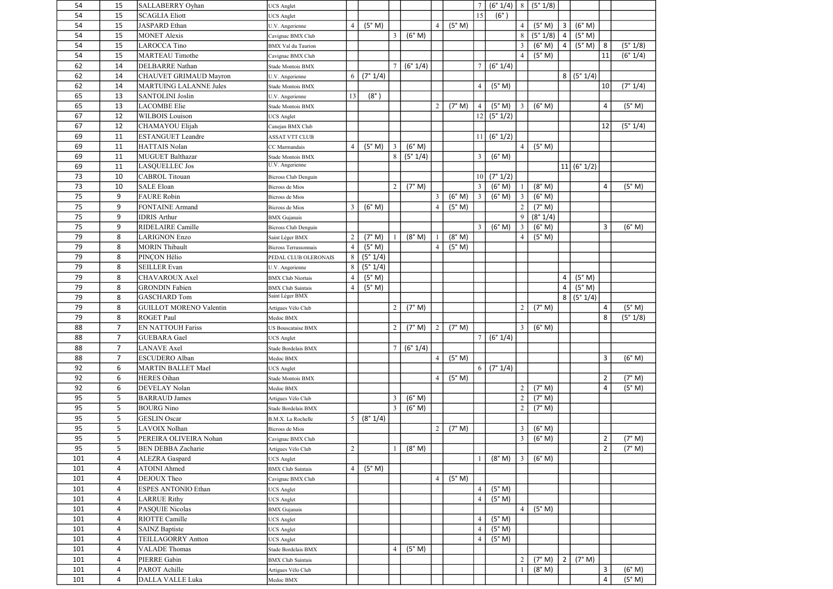| 54         | 15             | SALLABERRY Oyhan                  | <b>JCS</b> Anglet            |                |             |                |          |                |        |                 | $(6° 1/4)$   8   $(5° 1/8)$ |                |          |                |            |                     |                  |
|------------|----------------|-----------------------------------|------------------------------|----------------|-------------|----------------|----------|----------------|--------|-----------------|-----------------------------|----------------|----------|----------------|------------|---------------------|------------------|
| 54         | 15             | <b>SCAGLIA Eliott</b>             | <b>JCS</b> Anglet            |                |             |                |          |                |        | 15              | $(6^\circ)$                 |                |          |                |            |                     |                  |
| 54         | 15             | <b>JASPARD</b> Ethan              | U.V. Angerienne              | 4              | (5° M)      |                |          | $\overline{4}$ | (5° M) |                 |                             | $\overline{4}$ | (5° M)   | $\mathbf{3}$   | (6° M)     |                     |                  |
| 54         | 15             | <b>MONET Alexis</b>               | Cavignac BMX Club            |                |             | $\mathfrak{Z}$ | (6° M)   |                |        |                 |                             | 8              | (5° 1/8) | $\overline{a}$ | (5° M)     |                     |                  |
| 54         | 15             | <b>LAROCCA Tino</b>               | <b>BMX</b> Val du Taurion    |                |             |                |          |                |        |                 |                             | $\mathfrak{Z}$ | (6° M)   | $\overline{4}$ | (5° M)     | 8                   | (5° 1/8)         |
| 54         | 15             | <b>MARTEAU Timothe</b>            | Cavignac BMX Club            |                |             |                |          |                |        |                 |                             | $\overline{4}$ | (5° M)   |                |            | 11                  | (6° 1/4)         |
| 62         | 14             | <b>DELBARRE</b> Nathan            | Stade Montois BMX            |                |             |                | (6° 1/4) |                |        | 7               | (6° 1/4)                    |                |          |                |            |                     |                  |
| 62         | 14             | CHAUVET GRIMAUD Mayron            | U.V. Angerienne              | 6              | (7° 1/4)    |                |          |                |        |                 |                             |                |          | 8              | (5°1/4)    |                     |                  |
| 62         | 14             | <b>MARTUING LALANNE Jules</b>     | Stade Montois BMX            |                |             |                |          |                |        | $\overline{4}$  | (5° M)                      |                |          |                |            | 10                  | (7° 1/4)         |
| 65         | 13             | SANTOLINI Joslin                  | U.V. Angerienne              | 13             | $(8^\circ)$ |                |          |                |        |                 |                             |                |          |                |            |                     |                  |
| 65         | 13             | <b>LACOMBE Elie</b>               | Stade Montois BMX            |                |             |                |          | $\overline{2}$ | (7° M) | $\overline{4}$  | (5° M)                      | $\mathfrak{Z}$ | (6° M)   |                |            | 4                   | (5° M)           |
| 67         | 12             | <b>WILBOIS</b> Louison            | <b>UCS</b> Anglet            |                |             |                |          |                |        | 12              | (5° 1/2)                    |                |          |                |            |                     |                  |
| 67         | 12             | CHAMAYOU Elijah                   | Canejan BMX Club             |                |             |                |          |                |        |                 |                             |                |          |                |            | 12                  | (5° 1/4)         |
| 69         | 11             | <b>ESTANGUET Leandre</b>          | <b>ASSAT VTT CLUB</b>        |                |             |                |          |                |        |                 | (6° 1/2)                    |                |          |                |            |                     |                  |
| 69         | 11             | <b>HATTAIS Nolan</b>              | CC Marmandais                |                | (5° M)      | $\mathbf{3}$   | (6° M)   |                |        |                 |                             | $\overline{4}$ | (5° M)   |                |            |                     |                  |
| 69         | 11             | MUGUET Balthazar                  | Stade Montois BMX            |                |             | 8              | (5° 1/4) |                |        | 3               | (6° M)                      |                |          |                |            |                     |                  |
| 69         | 11             | <b>LASQUELLEC Jos</b>             | U.V. Angerienne              |                |             |                |          |                |        |                 |                             |                |          |                | 11 (6°1/2) |                     |                  |
| 73         | 10             | <b>CABROL Titouan</b>             | <b>Bicross Club Denguin</b>  |                |             |                |          |                |        | 10 <sup>1</sup> | (7° 1/2)                    |                |          |                |            |                     |                  |
| 73         | 10             | <b>SALE Eloan</b>                 | <b>Bicross de Mios</b>       |                |             | 2              | (7° M)   |                |        | 3               | (6° M)                      |                | (8° M)   |                |            | 4                   | (5° M)           |
| 75         | 9              | <b>FAURE</b> Robin                | <b>Bicross</b> de Mios       |                |             |                |          | 3              | (6° M) | $\mathfrak{Z}$  | (6° M)                      | $\mathfrak{Z}$ | (6° M)   |                |            |                     |                  |
| 75         | 9              | <b>FONTAINE Armand</b>            | <b>Bicross</b> de Mios       | 3              | (6° M)      |                |          | $\overline{4}$ | (5° M) |                 |                             | $\overline{2}$ | (7° M)   |                |            |                     |                  |
| 75         | 9              | <b>IDRIS Arthur</b>               | <b>BMX</b> Gujanais          |                |             |                |          |                |        |                 |                             | 9              | (8° 1/4) |                |            |                     |                  |
| 75         | 9              | RIDELAIRE Camille                 | <b>Bicross Club Denguin</b>  |                |             |                |          |                |        | 3               | (6° M)                      | $\mathfrak{Z}$ | (6° M)   |                |            | 3                   | (6° M)           |
| 79         | 8              | <b>LARIGNON Enzo</b>              | Saint Léger BMX              | $\overline{c}$ | (7° M)      |                | (8° M)   |                | (8° M) |                 |                             | $\overline{4}$ | (5° M)   |                |            |                     |                  |
| 79         | 8              | <b>MORIN Thibault</b>             | <b>Bicross Terrassonnais</b> | $\overline{4}$ | (5° M)      |                |          | $\overline{4}$ | (5° M) |                 |                             |                |          |                |            |                     |                  |
| 79         | 8              | PINÇON Hélio                      | PEDAL CLUB OLERONAIS         | 8              | (5° 1/4)    |                |          |                |        |                 |                             |                |          |                |            |                     |                  |
| 79         | 8              | <b>SEILLER Evan</b>               | U.V. Angerienne              | 8              | (5° 1/4)    |                |          |                |        |                 |                             |                |          |                |            |                     |                  |
| 79         | 8              | <b>CHAVAROUX Axel</b>             | <b>BMX Club Niortais</b>     |                | (5° M)      |                |          |                |        |                 |                             |                |          | 4              | (5° M)     |                     |                  |
| 79         | 8              | <b>GRONDIN</b> Fabien             | <b>BMX</b> Club Saintais     | $\overline{4}$ | (5° M)      |                |          |                |        |                 |                             |                |          | 4              | (5° M)     |                     |                  |
|            |                |                                   |                              |                |             |                |          |                |        |                 |                             |                |          |                |            |                     |                  |
| 79         | 8              | <b>GASCHARD Tom</b>               | Saint Léger BMX              |                |             |                |          |                |        |                 |                             |                |          | 8              | (5° 1/4)   |                     |                  |
| 79         | 8              | <b>GUILLOT MORENO Valentin</b>    | Artigues Vélo Club           |                |             | 2              | (7° M)   |                |        |                 |                             | 2 <sup>1</sup> | (7° M)   |                |            | $\overline{4}$      | (5° M)           |
| 79         | 8              | <b>ROGET Paul</b>                 | Medoc BMX                    |                |             |                |          |                |        |                 |                             |                |          |                |            | 8                   | (5° 1/8)         |
| 88         | $\overline{7}$ | <b>EN NATTOUH Fariss</b>          | <b>US Bouscataise BMX</b>    |                |             | $\overline{2}$ | (7° M)   | $\overline{2}$ | (7° M) |                 |                             | 3 <sup>1</sup> | (6° M)   |                |            |                     |                  |
| 88         | $7^{\circ}$    | <b>GUEBARA</b> Gael               | <b>UCS</b> Anglet            |                |             |                |          |                |        |                 | (6° 1/4)                    |                |          |                |            |                     |                  |
| 88         | $\overline{7}$ | <b>LANAVE</b> Axel                | Stade Bordelais BMX          |                |             | $\tau$         | (6° 1/4) |                |        |                 |                             |                |          |                |            |                     |                  |
| 88         | $\overline{7}$ | <b>ESCUDERO</b> Alban             | Medoc BMX                    |                |             |                |          | $\overline{4}$ | (5° M) |                 |                             |                |          |                |            | 3                   | (6° M)           |
| 92         | 6              | <b>MARTIN BALLET Mael</b>         | <b>UCS Anglet</b>            |                |             |                |          |                |        | 6               | (7° 1/4)                    |                |          |                |            |                     |                  |
| 92         | 6              | <b>HERES</b> Oihan                | Stade Montois BMX            |                |             |                |          | $\overline{4}$ | (5° M) |                 |                             |                |          |                |            | $\overline{2}$      | (7° M)           |
| 92         | 6              | DEVELAY Nolan                     | Medoc BMX                    |                |             |                |          |                |        |                 |                             | $\overline{2}$ | (7° M)   |                |            | 4                   | (5° M)           |
| 95         | 5              | <b>BARRAUD James</b>              | Artigues Vélo Club           |                |             | $\mathfrak{Z}$ | (6° M)   |                |        |                 |                             | $\overline{2}$ | (7° M)   |                |            |                     |                  |
| 95         | 5              | <b>BOURG</b> Nino                 | Stade Bordelais BMX          |                |             | $\mathfrak{Z}$ | (6° M)   |                |        |                 |                             | $\overline{2}$ | (7° M)   |                |            |                     |                  |
| 95         | 5              | <b>GESLIN</b> Oscar               | B.M.X. La Rochelle           | 5              | (8° 1/4)    |                |          |                |        |                 |                             |                |          |                |            |                     |                  |
| 95         | 5              | LAVOIX Nolhan                     | Bicross de Mios              |                |             |                |          | $\overline{2}$ | (7° M) |                 |                             | $\mathfrak{Z}$ | (6° M)   |                |            |                     |                  |
| 95         | 5              | PEREIRA OLIVEIRA Nohan            | Cavignac BMX Club            |                |             |                |          |                |        |                 |                             | $\mathfrak{Z}$ | (6° M)   |                |            | $\overline{2}$      | (7° M)           |
| 95         | 5              | <b>BEN DEBBA Zacharie</b>         | Artigues Vélo Club           | $\overline{c}$ |             |                | (8° M)   |                |        |                 |                             |                |          |                |            | $\overline{2}$      | (7° M)           |
| 101        | 4              | <b>ALEZRA</b> Gaspard             | <b>UCS</b> Anglet            |                |             |                |          |                |        |                 | (8° M)                      | $\mathfrak{Z}$ | (6° M)   |                |            |                     |                  |
| 101        | 4              | <b>ATOINI</b> Ahmed               | <b>BMX</b> Club Saintais     | $\overline{4}$ | (5° M)      |                |          |                |        |                 |                             |                |          |                |            |                     |                  |
| 101        | 4              | DEJOUX Theo                       | Cavignac BMX Club            |                |             |                |          | $\overline{4}$ | (5° M) |                 |                             |                |          |                |            |                     |                  |
| 101        | 4              | <b>ESPES ANTONIO Ethan</b>        | <b>UCS</b> Anglet            |                |             |                |          |                |        | $\overline{4}$  | (5° M)                      |                |          |                |            |                     |                  |
| 101        | 4              | <b>LARRUE Rithy</b>               | <b>UCS</b> Anglet            |                |             |                |          |                |        | $\overline{4}$  | (5° M)                      |                |          |                |            |                     |                  |
| 101        | 4              | PASQUIE Nicolas                   | <b>BMX</b> Gujanais          |                |             |                |          |                |        |                 |                             | $\overline{4}$ | (5° M)   |                |            |                     |                  |
| 101        | 4              | RIOTTE Camille                    | <b>UCS</b> Anglet            |                |             |                |          |                |        | $\overline{4}$  | (5° M)                      |                |          |                |            |                     |                  |
| 101        | 4              | <b>SAINZ Baptiste</b>             | <b>UCS</b> Anglet            |                |             |                |          |                |        | $\overline{4}$  | (5° M)                      |                |          |                |            |                     |                  |
| 101        | 4              | <b>TEILLAGORRY Antton</b>         | <b>UCS Anglet</b>            |                |             |                |          |                |        | $\overline{4}$  | (5° M)                      |                |          |                |            |                     |                  |
| 101        | 4              | <b>VALADE Thomas</b>              | Stade Bordelais BMX          |                |             | $\overline{4}$ | (5° M)   |                |        |                 |                             |                |          |                |            |                     |                  |
| 101        | 4              | PIERRE Gabin                      | <b>BMX</b> Club Saintais     |                |             |                |          |                |        |                 |                             | $\overline{2}$ | (7° M)   | $\overline{2}$ | (7° M)     |                     |                  |
| 101<br>101 | 4              | PAROT Achille<br>DALLA VALLE Luka | Artigues Vélo Club           |                |             |                |          |                |        |                 |                             |                | (8° M)   |                |            | 3<br>$\overline{4}$ | (6° M)<br>(5° M) |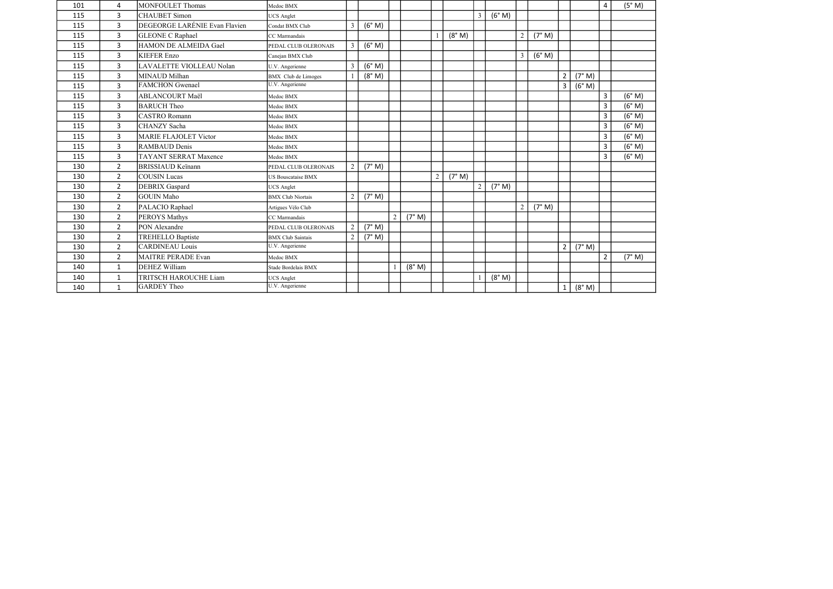| (6° M)<br>3<br><b>CHAUBET</b> Simon<br>$\mathfrak{Z}$<br>115<br><b>UCS</b> Anglet<br>DEGEORGE LARÉNIE Evan Flavien<br>(6° M)<br>$\mathbf{3}$<br>115<br>3<br>Condat BMX Club<br>$\overline{3}$<br>(8° M)<br>(7° M)<br>115<br>GLEONE C Raphael<br>$\overline{2}$<br>CC Marmandais<br>(6° M)<br>$\mathbf{3}$<br>HAMON DE ALMEIDA Gael<br>$\overline{3}$<br>115<br>PEDAL CLUB OLERONAIS<br>(6° M)<br>$\overline{3}$<br><b>KIEFER Enzo</b><br>$\mathfrak{Z}$<br>115<br>Canejan BMX Club<br>(6° M)<br>$\mathbf{3}$<br>LAVALETTE VIOLLEAU Nolan<br>$\mathfrak{Z}$<br>115<br>U.V. Angerienne<br>(8° M)<br>(7° M)<br>3<br>MINAUD Milhan<br>$\overline{2}$<br>115<br>BMX Club de Limoges<br>U.V. Angerienne<br><b>FAMCHON</b> Gwenael<br>(6° M)<br>3<br>$\mathbf{3}$<br>115<br>$\overline{3}$<br>(6° M)<br>3<br><b>ABLANCOURT Maël</b><br>115<br>Medoc BMX<br>$\overline{3}$<br>(6° M)<br>$\mathbf{3}$<br><b>BARUCH</b> Theo<br>115<br>Medoc BMX<br>$\overline{3}$<br>(6° M)<br>$\mathbf{3}$<br><b>CASTRO Romann</b><br>115<br>Medoc BMX<br>$\overline{3}$<br>(6° M)<br>$\mathbf{3}$<br>CHANZY Sacha<br>115<br>Medoc BMX<br>$\overline{3}$<br>(6° M)<br>$\overline{3}$<br><b>MARIE FLAJOLET Victor</b><br>115<br>Medoc BMX<br>$\overline{3}$<br>(6° M)<br>$\overline{3}$<br>RAMBAUD Denis<br>115<br>Medoc BMX<br>$\overline{3}$<br>(6° M)<br>3<br>115<br><b>TAYANT SERRAT Maxence</b><br>Medoc BMX<br>2 <sup>1</sup><br>(7° M)<br>130<br><b>BRISSIAUD Keïnann</b><br>$\overline{2}$<br>PEDAL CLUB OLERONAIS<br>$2^{\circ}$<br><b>COUSIN</b> Lucas<br>$\overline{2}$<br>(7° M)<br>130<br><b>US Bouscataise BMX</b><br>$2^{\circ}$<br>(7° M)<br>$\overline{2}$<br>130<br><b>DEBRIX</b> Gaspard<br><b>UCS</b> Anglet<br>(7° M)<br>$2^{\circ}$<br><b>GOUIN Maho</b><br>2<br>130<br><b>BMX</b> Club Niortais<br>$2^{\circ}$<br>(7° M)<br>PALACIO Raphael<br>2 <sup>1</sup><br>130<br>Artigues Vélo Club<br>$\overline{2}$<br>(7° M)<br>$2^{\circ}$<br><b>PEROYS Mathys</b><br>130<br>CC Marmandais<br>$2^{\circ}$<br>(7° M)<br>PON Alexandre<br>130<br>$\overline{2}$<br>PEDAL CLUB OLERONAIS<br>$2^{\circ}$<br><b>TREHELLO Baptiste</b><br>2<br>(7° M)<br>130<br><b>BMX</b> Club Saintais<br><b>CARDINEAU Louis</b><br>U.V. Angerienne<br>$\overline{2}$<br>$\overline{2}$<br>(7° M)<br>130<br>$2^{\circ}$<br><b>MAITRE PERADE Evan</b><br>$\overline{2}$<br>(7° M)<br>130<br>Medoc BMX<br>(8° M)<br><b>DEHEZ William</b><br>1<br>140<br>Stade Bordelais BMX<br>(8° M)<br>TRITSCH HAROUCHE Liam<br>140<br>$\mathbf{1}$<br><b>UCS</b> Anglet<br>U.V. Angerienne<br><b>GARDEY</b> Theo<br>(8° M)<br>$\mathbf{1}$<br>140<br>$\mathbf{1}$ | 101 | 4 | MONFOULET Thomas | Medoc BMX |  |  |  |  |  |  | $\overline{4}$ | (5° M) |
|-------------------------------------------------------------------------------------------------------------------------------------------------------------------------------------------------------------------------------------------------------------------------------------------------------------------------------------------------------------------------------------------------------------------------------------------------------------------------------------------------------------------------------------------------------------------------------------------------------------------------------------------------------------------------------------------------------------------------------------------------------------------------------------------------------------------------------------------------------------------------------------------------------------------------------------------------------------------------------------------------------------------------------------------------------------------------------------------------------------------------------------------------------------------------------------------------------------------------------------------------------------------------------------------------------------------------------------------------------------------------------------------------------------------------------------------------------------------------------------------------------------------------------------------------------------------------------------------------------------------------------------------------------------------------------------------------------------------------------------------------------------------------------------------------------------------------------------------------------------------------------------------------------------------------------------------------------------------------------------------------------------------------------------------------------------------------------------------------------------------------------------------------------------------------------------------------------------------------------------------------------------------------------------------------------------------------------------------------------------------------------------------------------------------------------------------------------------------------------------------------------------------------------------------------------------------------------------------------------------------------|-----|---|------------------|-----------|--|--|--|--|--|--|----------------|--------|
|                                                                                                                                                                                                                                                                                                                                                                                                                                                                                                                                                                                                                                                                                                                                                                                                                                                                                                                                                                                                                                                                                                                                                                                                                                                                                                                                                                                                                                                                                                                                                                                                                                                                                                                                                                                                                                                                                                                                                                                                                                                                                                                                                                                                                                                                                                                                                                                                                                                                                                                                                                                                                         |     |   |                  |           |  |  |  |  |  |  |                |        |
|                                                                                                                                                                                                                                                                                                                                                                                                                                                                                                                                                                                                                                                                                                                                                                                                                                                                                                                                                                                                                                                                                                                                                                                                                                                                                                                                                                                                                                                                                                                                                                                                                                                                                                                                                                                                                                                                                                                                                                                                                                                                                                                                                                                                                                                                                                                                                                                                                                                                                                                                                                                                                         |     |   |                  |           |  |  |  |  |  |  |                |        |
|                                                                                                                                                                                                                                                                                                                                                                                                                                                                                                                                                                                                                                                                                                                                                                                                                                                                                                                                                                                                                                                                                                                                                                                                                                                                                                                                                                                                                                                                                                                                                                                                                                                                                                                                                                                                                                                                                                                                                                                                                                                                                                                                                                                                                                                                                                                                                                                                                                                                                                                                                                                                                         |     |   |                  |           |  |  |  |  |  |  |                |        |
|                                                                                                                                                                                                                                                                                                                                                                                                                                                                                                                                                                                                                                                                                                                                                                                                                                                                                                                                                                                                                                                                                                                                                                                                                                                                                                                                                                                                                                                                                                                                                                                                                                                                                                                                                                                                                                                                                                                                                                                                                                                                                                                                                                                                                                                                                                                                                                                                                                                                                                                                                                                                                         |     |   |                  |           |  |  |  |  |  |  |                |        |
|                                                                                                                                                                                                                                                                                                                                                                                                                                                                                                                                                                                                                                                                                                                                                                                                                                                                                                                                                                                                                                                                                                                                                                                                                                                                                                                                                                                                                                                                                                                                                                                                                                                                                                                                                                                                                                                                                                                                                                                                                                                                                                                                                                                                                                                                                                                                                                                                                                                                                                                                                                                                                         |     |   |                  |           |  |  |  |  |  |  |                |        |
|                                                                                                                                                                                                                                                                                                                                                                                                                                                                                                                                                                                                                                                                                                                                                                                                                                                                                                                                                                                                                                                                                                                                                                                                                                                                                                                                                                                                                                                                                                                                                                                                                                                                                                                                                                                                                                                                                                                                                                                                                                                                                                                                                                                                                                                                                                                                                                                                                                                                                                                                                                                                                         |     |   |                  |           |  |  |  |  |  |  |                |        |
|                                                                                                                                                                                                                                                                                                                                                                                                                                                                                                                                                                                                                                                                                                                                                                                                                                                                                                                                                                                                                                                                                                                                                                                                                                                                                                                                                                                                                                                                                                                                                                                                                                                                                                                                                                                                                                                                                                                                                                                                                                                                                                                                                                                                                                                                                                                                                                                                                                                                                                                                                                                                                         |     |   |                  |           |  |  |  |  |  |  |                |        |
|                                                                                                                                                                                                                                                                                                                                                                                                                                                                                                                                                                                                                                                                                                                                                                                                                                                                                                                                                                                                                                                                                                                                                                                                                                                                                                                                                                                                                                                                                                                                                                                                                                                                                                                                                                                                                                                                                                                                                                                                                                                                                                                                                                                                                                                                                                                                                                                                                                                                                                                                                                                                                         |     |   |                  |           |  |  |  |  |  |  |                |        |
|                                                                                                                                                                                                                                                                                                                                                                                                                                                                                                                                                                                                                                                                                                                                                                                                                                                                                                                                                                                                                                                                                                                                                                                                                                                                                                                                                                                                                                                                                                                                                                                                                                                                                                                                                                                                                                                                                                                                                                                                                                                                                                                                                                                                                                                                                                                                                                                                                                                                                                                                                                                                                         |     |   |                  |           |  |  |  |  |  |  |                |        |
|                                                                                                                                                                                                                                                                                                                                                                                                                                                                                                                                                                                                                                                                                                                                                                                                                                                                                                                                                                                                                                                                                                                                                                                                                                                                                                                                                                                                                                                                                                                                                                                                                                                                                                                                                                                                                                                                                                                                                                                                                                                                                                                                                                                                                                                                                                                                                                                                                                                                                                                                                                                                                         |     |   |                  |           |  |  |  |  |  |  |                |        |
|                                                                                                                                                                                                                                                                                                                                                                                                                                                                                                                                                                                                                                                                                                                                                                                                                                                                                                                                                                                                                                                                                                                                                                                                                                                                                                                                                                                                                                                                                                                                                                                                                                                                                                                                                                                                                                                                                                                                                                                                                                                                                                                                                                                                                                                                                                                                                                                                                                                                                                                                                                                                                         |     |   |                  |           |  |  |  |  |  |  |                |        |
|                                                                                                                                                                                                                                                                                                                                                                                                                                                                                                                                                                                                                                                                                                                                                                                                                                                                                                                                                                                                                                                                                                                                                                                                                                                                                                                                                                                                                                                                                                                                                                                                                                                                                                                                                                                                                                                                                                                                                                                                                                                                                                                                                                                                                                                                                                                                                                                                                                                                                                                                                                                                                         |     |   |                  |           |  |  |  |  |  |  |                |        |
|                                                                                                                                                                                                                                                                                                                                                                                                                                                                                                                                                                                                                                                                                                                                                                                                                                                                                                                                                                                                                                                                                                                                                                                                                                                                                                                                                                                                                                                                                                                                                                                                                                                                                                                                                                                                                                                                                                                                                                                                                                                                                                                                                                                                                                                                                                                                                                                                                                                                                                                                                                                                                         |     |   |                  |           |  |  |  |  |  |  |                |        |
|                                                                                                                                                                                                                                                                                                                                                                                                                                                                                                                                                                                                                                                                                                                                                                                                                                                                                                                                                                                                                                                                                                                                                                                                                                                                                                                                                                                                                                                                                                                                                                                                                                                                                                                                                                                                                                                                                                                                                                                                                                                                                                                                                                                                                                                                                                                                                                                                                                                                                                                                                                                                                         |     |   |                  |           |  |  |  |  |  |  |                |        |
|                                                                                                                                                                                                                                                                                                                                                                                                                                                                                                                                                                                                                                                                                                                                                                                                                                                                                                                                                                                                                                                                                                                                                                                                                                                                                                                                                                                                                                                                                                                                                                                                                                                                                                                                                                                                                                                                                                                                                                                                                                                                                                                                                                                                                                                                                                                                                                                                                                                                                                                                                                                                                         |     |   |                  |           |  |  |  |  |  |  |                |        |
|                                                                                                                                                                                                                                                                                                                                                                                                                                                                                                                                                                                                                                                                                                                                                                                                                                                                                                                                                                                                                                                                                                                                                                                                                                                                                                                                                                                                                                                                                                                                                                                                                                                                                                                                                                                                                                                                                                                                                                                                                                                                                                                                                                                                                                                                                                                                                                                                                                                                                                                                                                                                                         |     |   |                  |           |  |  |  |  |  |  |                |        |
|                                                                                                                                                                                                                                                                                                                                                                                                                                                                                                                                                                                                                                                                                                                                                                                                                                                                                                                                                                                                                                                                                                                                                                                                                                                                                                                                                                                                                                                                                                                                                                                                                                                                                                                                                                                                                                                                                                                                                                                                                                                                                                                                                                                                                                                                                                                                                                                                                                                                                                                                                                                                                         |     |   |                  |           |  |  |  |  |  |  |                |        |
|                                                                                                                                                                                                                                                                                                                                                                                                                                                                                                                                                                                                                                                                                                                                                                                                                                                                                                                                                                                                                                                                                                                                                                                                                                                                                                                                                                                                                                                                                                                                                                                                                                                                                                                                                                                                                                                                                                                                                                                                                                                                                                                                                                                                                                                                                                                                                                                                                                                                                                                                                                                                                         |     |   |                  |           |  |  |  |  |  |  |                |        |
|                                                                                                                                                                                                                                                                                                                                                                                                                                                                                                                                                                                                                                                                                                                                                                                                                                                                                                                                                                                                                                                                                                                                                                                                                                                                                                                                                                                                                                                                                                                                                                                                                                                                                                                                                                                                                                                                                                                                                                                                                                                                                                                                                                                                                                                                                                                                                                                                                                                                                                                                                                                                                         |     |   |                  |           |  |  |  |  |  |  |                |        |
|                                                                                                                                                                                                                                                                                                                                                                                                                                                                                                                                                                                                                                                                                                                                                                                                                                                                                                                                                                                                                                                                                                                                                                                                                                                                                                                                                                                                                                                                                                                                                                                                                                                                                                                                                                                                                                                                                                                                                                                                                                                                                                                                                                                                                                                                                                                                                                                                                                                                                                                                                                                                                         |     |   |                  |           |  |  |  |  |  |  |                |        |
|                                                                                                                                                                                                                                                                                                                                                                                                                                                                                                                                                                                                                                                                                                                                                                                                                                                                                                                                                                                                                                                                                                                                                                                                                                                                                                                                                                                                                                                                                                                                                                                                                                                                                                                                                                                                                                                                                                                                                                                                                                                                                                                                                                                                                                                                                                                                                                                                                                                                                                                                                                                                                         |     |   |                  |           |  |  |  |  |  |  |                |        |
|                                                                                                                                                                                                                                                                                                                                                                                                                                                                                                                                                                                                                                                                                                                                                                                                                                                                                                                                                                                                                                                                                                                                                                                                                                                                                                                                                                                                                                                                                                                                                                                                                                                                                                                                                                                                                                                                                                                                                                                                                                                                                                                                                                                                                                                                                                                                                                                                                                                                                                                                                                                                                         |     |   |                  |           |  |  |  |  |  |  |                |        |
|                                                                                                                                                                                                                                                                                                                                                                                                                                                                                                                                                                                                                                                                                                                                                                                                                                                                                                                                                                                                                                                                                                                                                                                                                                                                                                                                                                                                                                                                                                                                                                                                                                                                                                                                                                                                                                                                                                                                                                                                                                                                                                                                                                                                                                                                                                                                                                                                                                                                                                                                                                                                                         |     |   |                  |           |  |  |  |  |  |  |                |        |
|                                                                                                                                                                                                                                                                                                                                                                                                                                                                                                                                                                                                                                                                                                                                                                                                                                                                                                                                                                                                                                                                                                                                                                                                                                                                                                                                                                                                                                                                                                                                                                                                                                                                                                                                                                                                                                                                                                                                                                                                                                                                                                                                                                                                                                                                                                                                                                                                                                                                                                                                                                                                                         |     |   |                  |           |  |  |  |  |  |  |                |        |
|                                                                                                                                                                                                                                                                                                                                                                                                                                                                                                                                                                                                                                                                                                                                                                                                                                                                                                                                                                                                                                                                                                                                                                                                                                                                                                                                                                                                                                                                                                                                                                                                                                                                                                                                                                                                                                                                                                                                                                                                                                                                                                                                                                                                                                                                                                                                                                                                                                                                                                                                                                                                                         |     |   |                  |           |  |  |  |  |  |  |                |        |
|                                                                                                                                                                                                                                                                                                                                                                                                                                                                                                                                                                                                                                                                                                                                                                                                                                                                                                                                                                                                                                                                                                                                                                                                                                                                                                                                                                                                                                                                                                                                                                                                                                                                                                                                                                                                                                                                                                                                                                                                                                                                                                                                                                                                                                                                                                                                                                                                                                                                                                                                                                                                                         |     |   |                  |           |  |  |  |  |  |  |                |        |
|                                                                                                                                                                                                                                                                                                                                                                                                                                                                                                                                                                                                                                                                                                                                                                                                                                                                                                                                                                                                                                                                                                                                                                                                                                                                                                                                                                                                                                                                                                                                                                                                                                                                                                                                                                                                                                                                                                                                                                                                                                                                                                                                                                                                                                                                                                                                                                                                                                                                                                                                                                                                                         |     |   |                  |           |  |  |  |  |  |  |                |        |
|                                                                                                                                                                                                                                                                                                                                                                                                                                                                                                                                                                                                                                                                                                                                                                                                                                                                                                                                                                                                                                                                                                                                                                                                                                                                                                                                                                                                                                                                                                                                                                                                                                                                                                                                                                                                                                                                                                                                                                                                                                                                                                                                                                                                                                                                                                                                                                                                                                                                                                                                                                                                                         |     |   |                  |           |  |  |  |  |  |  |                |        |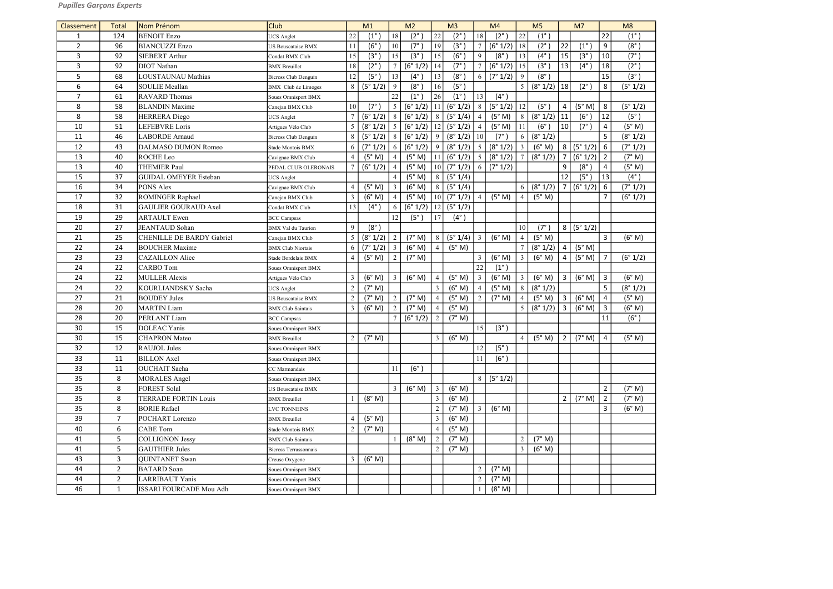| Classement     | <b>Total</b>   | Nom Prénom                       | <b>Club</b>               |                | M1            |                 | M <sub>2</sub> |                       | M <sub>3</sub>    |                | M4            |                 | M <sub>5</sub>    |                | M <sub>7</sub> |                         | M8            |
|----------------|----------------|----------------------------------|---------------------------|----------------|---------------|-----------------|----------------|-----------------------|-------------------|----------------|---------------|-----------------|-------------------|----------------|----------------|-------------------------|---------------|
| 1              | 124            | <b>BENOIT Enzo</b>               | <b>UCS</b> Anglet         | 22             | $(1^{\circ})$ | 18              | $(2^\circ)$    | 22                    | $(2^{\circ}$      | $18\,$         | $(2^{\circ})$ | 22              | $(1^{\circ})$     |                |                | 22                      | $(1^{\circ})$ |
| $\overline{2}$ | 96             | <b>BIANCUZZI Enzo</b>            | <b>US Bouscataise BMX</b> | 11             | (6°)          | 10              | $(7^\circ)$    | 19                    | $(3^\circ)$       | $\tau$         | (6° 1/2)      | 18              | $(2^{\circ})$     | 22             | $(1^{\circ})$  | 9                       | $(8^\circ)$   |
| 3              | 92             | <b>SIEBERT Arthur</b>            | Condat BMX Club           | 15             | $(3^{\circ}$  | 15              | $(3^{\circ}$   | 15                    | $(6^{\circ}$      | 9              | $(8^\circ)$   | 13              | $(4^\circ)$       | 15             | $(3^\circ)$    | 10                      | $(7^\circ)$   |
| 3              | 92             | <b>DIOT</b> Nathan               | <b>BMX</b> Breuillet      | 18             | $(2^{\circ}$  |                 | (6° 1/2)       | 14                    | (7°               | $\tau$         | (6° 1/2)      | 15              | $(3^\circ)$       | 13             | $(4^{\circ})$  | 18                      | $(2^{\circ})$ |
| 5              | 68             | <b>LOUSTAUNAU Mathias</b>        | Bicross Club Denguin      | 12             | $(5^\circ$    | 13              | $(4^{\circ})$  | 13                    | (8°               | 6              | (7° 1/2)      | 9               | (8°)              |                |                | 15                      | (3°)          |
| 6              | 64             | <b>SOULIE Meallan</b>            | BMX Club de Limoges       | 8              | (5° 1/2)      | 9               | (8°            | 16                    | (5 <sup>°</sup> ) |                |               | 5 <sup>5</sup>  | (8° 1/2)          | 18             | $(2^{\circ})$  | 8                       | (5° 1/2)      |
| $\overline{7}$ | 61             | <b>RAVARD Thomas</b>             | Soues Omnisport BMX       |                |               | 22              | $(1^{\circ})$  | 26                    | $(1^{\circ})$     | 13             | $(4^{\circ})$ |                 |                   |                |                |                         |               |
| 8              | 58             | <b>BLANDIN</b> Maxime            | Canejan BMX Club          | 10             | $(7^\circ)$   | $5\overline{)}$ | (6° 1/2)       | 11                    | (6° 1/2)          | 8              | (5° 1/2)      | 12              | (5 <sup>°</sup> ) | 4              | (5° M)         | 8                       | (5° 1/2)      |
| 8              | 58             | <b>HERRERA</b> Diego             | <b>UCS</b> Anglet         |                | (6° 1/2)      | 8               | (6° 1/2)       | 8                     | (5° 1/4)          | 4              | (5° M)        | 8               | (8° 1/2)          | 11             | $(6^\circ)$    | 12                      | (5°)          |
| 10             | 51             | LEFEBVRE Loris                   | Artigues Vélo Club        | 5              | (8° 1/2)      | $\overline{5}$  | (6° 1/2)       | 12                    | (5° 1/2)          | $\overline{4}$ | (5° M)        | 11              | (6°)              | 10             | $(7^\circ)$    | $\overline{4}$          | (5° M)        |
| 11             | 46             | <b>LABORDE</b> Arnaud            | Bicross Club Denguin      | $8\,$          | (5° 1/2)      | 8               | (6° 1/2)       | 9                     | (8° 1/2)          | $10\,$         | $(7^\circ)$   | 6               | (8° 1/2)          |                |                | 5                       | (8° 1/2)      |
| 12             | 43             | DALMASO DUMON Romeo              | Stade Montois BMX         | 6              | (7° 1/2)      | 6               | (6° 1/2)       | 9                     | (8° 1/2)          | $\overline{5}$ | (8° 1/2)      | $\mathfrak{Z}$  | (6° M)            | 8              | (5° 1/2)       | 6                       | (7° 1/2)      |
| 13             | 40             | <b>ROCHE</b> Leo                 | Cavignac BMX Club         | $\overline{4}$ | (5° M)        | $\overline{4}$  | (5° M)         |                       | (6° 1/2)          | $\overline{5}$ | (8° 1/2)      |                 | (8° 1/2)          | $\overline{7}$ | (6° 1/2)       | $\overline{2}$          | (7° M)        |
| 13             | 40             | <b>THEMIER Paul</b>              | PEDAL CLUB OLERONAIS      |                | (6° 1/2)      |                 | (5° M)         | 10                    | (7° 1/2)          | 6              | (7° 1/2)      |                 |                   | 9              | $(8^\circ)$    | $\overline{\mathbf{4}}$ | (5° M)        |
| 15             | 37             | <b>GUIDAL OMEYER Esteban</b>     | <b>UCS</b> Anglet         |                |               | 4               | (5° M)         | 8                     | (5° 1/4)          |                |               |                 |                   | 12             | (5°)           | 13                      | $(4^{\circ})$ |
| 16             | 34             | PONS Alex                        | Cavignac BMX Club         | $\overline{4}$ | (5° M)        | $\overline{3}$  | (6° M)         | $8\phantom{1}$        | (5° 1/4)          |                |               | 6               | (8° 1/2)          | 7 <sup>7</sup> | (6° 1/2)       | 6                       | (7° 1/2)      |
| 17             | 32             | ROMINGER Raphael                 | Canejan BMX Club          | 3              | (6° M)        | $\overline{4}$  | (5° M)         | 10                    | (7° 1/2)          | 4              | (5° M)        | $\overline{4}$  | (5° M)            |                |                | $\overline{7}$          | (6° 1/2)      |
| 18             | 31             | <b>GAULIER GOURAUD Axel</b>      | Condat BMX Club           | 13             | $(4^\circ)$   | 6               | (6° 1/2)       | 12                    | (5° 1/2)          |                |               |                 |                   |                |                |                         |               |
| 19             | 29             | <b>ARTAULT</b> Ewen              | <b>BCC</b> Campsas        |                |               | 12              | $(5^\circ)$    | 17                    | $(4^{\circ})$     |                |               |                 |                   |                |                |                         |               |
| 20             | 27             | <b>JEANTAUD</b> Sohan            | <b>BMX</b> Val du Taurion | 9              | $(8^\circ)$   |                 |                |                       |                   |                |               | 10 <sup>°</sup> | $(7^\circ)$       | 8              | (5° 1/2)       |                         |               |
| 21             | 25             | <b>CHENILLE DE BARDY Gabriel</b> | Canejan BMX Club          | 5              | (8° 1/2)      | 2               | (7° M)         | 8                     | (5° 1/4)          | $\mathfrak{Z}$ | (6° M)        | $\overline{4}$  | (5° M)            |                |                | $\overline{3}$          | (6° M)        |
| 22             | 24             | <b>BOUCHER Maxime</b>            | <b>BMX</b> Club Niortais  | 6              | (7° 1/2)      | $\mathbf{3}$    | (6° M)         | $\overline{4}$        | (5° M)            |                |               |                 | (8° 1/2)          | $\overline{4}$ | (5° M)         |                         |               |
| 23             | 23             | <b>CAZAILLON</b> Alice           | Stade Bordelais BMX       | $\overline{4}$ | (5° M)        | $\overline{2}$  | (7° M)         |                       |                   | 3              | (6° M)        | $\mathfrak{Z}$  | (6° M)            | $\overline{4}$ | (5° M)         | 7                       | (6° 1/2)      |
| 24             | 22             | <b>CARBO</b> Tom                 | Soues Omnisport BMX       |                |               |                 |                |                       |                   | 22             | $(1^{\circ})$ |                 |                   |                |                |                         |               |
| 24             | 22             | <b>MULLER Alexis</b>             | Artigues Vélo Club        | 3              | (6° M)        | $\mathfrak{Z}$  | (6° M)         | $\boldsymbol{\Delta}$ | (5° M)            | $\mathfrak{Z}$ | (6° M)        | $\mathfrak{Z}$  | (6° M)            | $\overline{3}$ | (6° M)         | $\overline{3}$          | (6° M)        |
| 24             | 22             | KOURLIANDSKY Sacha               | <b>UCS</b> Anglet         | $\overline{2}$ | (7° M)        |                 |                | $\mathfrak{Z}$        | (6° M)            | 4              | (5° M)        | 8               | (8° 1/2)          |                |                | 5                       | (8° 1/2)      |
| 27             | 21             | <b>BOUDEY Jules</b>              | <b>US Bouscataise BMX</b> | 2              | (7° M)        | 2               | (7° M)         | $\overline{4}$        | (5° M)            | $\overline{2}$ | (7° M)        | $\overline{4}$  | (5° M)            | $\overline{3}$ | (6° M)         | 4                       | (5° M)        |
| 28             | 20             | <b>MARTIN Liam</b>               | <b>BMX</b> Club Saintais  | 3              | (6° M)        | $\overline{2}$  | (7° M)         | $\overline{4}$        | (5° M)            |                |               | 5               | (8° 1/2)          | $\overline{3}$ | (6° M)         | $\overline{3}$          | (6° M)        |
| 28             | 20             | PERLANT Liam                     | <b>BCC</b> Campsas        |                |               |                 | (6° 1/2)       | $\overline{2}$        | (7° M)            |                |               |                 |                   |                |                | 11                      | (6°)          |
| 30             | 15             | <b>DOLEAC Yanis</b>              | Soues Omnisport BMX       |                |               |                 |                |                       |                   | 15             | $(3^{\circ})$ |                 |                   |                |                |                         |               |
| 30             | 15             | <b>CHAPRON</b> Mateo             | <b>BMX</b> Breuillet      | $\overline{2}$ | (7° M)        |                 |                | 3                     | (6° M)            |                |               | 4 <sup>1</sup>  | (5° M)            | $\overline{2}$ | $(7° M)$ 4     |                         | (5° M)        |
| 32             | 12             | <b>RAUJOL Jules</b>              | Soues Omnisport BMX       |                |               |                 |                |                       |                   | 12             | $(5^\circ)$   |                 |                   |                |                |                         |               |
| 33             | 11             | <b>BILLON</b> Axel               | Soues Omnisport BMX       |                |               |                 |                |                       |                   | 11             | $(6^\circ)$   |                 |                   |                |                |                         |               |
| 33             | 11             | <b>OUCHAIT</b> Sacha             | CC Marmandais             |                |               | 11              | (6°)           |                       |                   |                |               |                 |                   |                |                |                         |               |
| 35             | 8              | <b>MORALES</b> Angel             | Soues Omnisport BMX       |                |               |                 |                |                       |                   | 8              | (5° 1/2)      |                 |                   |                |                |                         |               |
| 35             | 8              | <b>FOREST Solal</b>              | US Bouscataise BMX        |                |               | $\overline{3}$  | (6° M)         | $\overline{3}$        | (6° M)            |                |               |                 |                   |                |                | $\overline{2}$          | (7° M)        |
| 35             | 8              | <b>TERRADE FORTIN Louis</b>      | <b>BMX</b> Breuillet      |                | (8° M)        |                 |                | 3                     | (6° M)            |                |               |                 |                   | $\overline{2}$ | (7° M)         | $\overline{2}$          | (7° M)        |
| 35             | 8              | <b>BORIE Rafael</b>              | LVC TONNEINS              |                |               |                 |                | $\overline{2}$        | (7° M)            | 3              | (6° M)        |                 |                   |                |                | 3                       | (6° M)        |
| 39             | $\overline{7}$ | POCHART Lorenzo                  | <b>BMX</b> Breuillet      |                | (5° M)        |                 |                | 3                     | (6° M)            |                |               |                 |                   |                |                |                         |               |
| 40             | 6              | <b>CABE</b> Tom                  | Stade Montois BMX         | 2              | (7° M)        |                 |                | $\overline{4}$        | (5° M)            |                |               |                 |                   |                |                |                         |               |
| 41             | 5              | <b>COLLIGNON Jessy</b>           | <b>BMX</b> Club Saintais  |                |               |                 | (8° M)         | $\sqrt{2}$            | (7° M)            |                |               | $\sqrt{2}$      | (7° M)            |                |                |                         |               |
| 41             | 5              | <b>GAUTHIER Jules</b>            | Bicross Terrassonnais     |                |               |                 |                | $\overline{2}$        | (7° M)            |                |               | $\mathfrak{Z}$  | (6° M)            |                |                |                         |               |
| 43             | 3              | <b>QUINTANET</b> Swan            | Creuse Oxygene            | 3              | (6° M)        |                 |                |                       |                   |                |               |                 |                   |                |                |                         |               |
| 44             | $\overline{2}$ | <b>BATARD</b> Soan               | Soues Omnisport BMX       |                |               |                 |                |                       |                   | $\overline{2}$ | (7° M)        |                 |                   |                |                |                         |               |
| 44             | $\overline{2}$ | <b>LARRIBAUT Yanis</b>           | Soues Omnisport BMX       |                |               |                 |                |                       |                   | $\sqrt{2}$     | (7° M)        |                 |                   |                |                |                         |               |
| 46             | $\mathbf{1}$   | ISSARI FOURCADE Mou Adh          | Soues Omnisport BMX       |                |               |                 |                |                       |                   |                | (8° M)        |                 |                   |                |                |                         |               |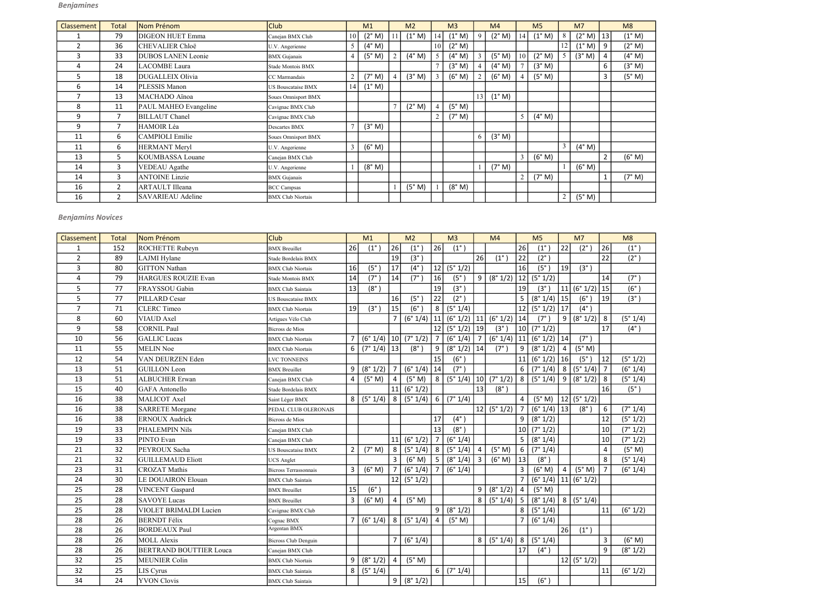| Classement | <b>Total</b>   | Nom Prénom                | <b>Club</b>              |                | M1              | M <sub>2</sub>  |                | M <sub>3</sub>  |          | M <sub>4</sub>  |    | M <sub>5</sub>  |                | M <sub>7</sub> |                | M8     |
|------------|----------------|---------------------------|--------------------------|----------------|-----------------|-----------------|----------------|-----------------|----------|-----------------|----|-----------------|----------------|----------------|----------------|--------|
|            | 79             | <b>DIGEON HUET Emma</b>   | Canejan BMX Club         | 10             | (2° M)          | $(1^{\circ}$ M) | 14             | $(1^{\circ} M)$ | Q        | (2° M)          | 14 | $(1^{\circ} M)$ | 8              | (2° M)         | 13             | (1° M) |
|            | 36             | <b>CHEVALIER Chloë</b>    | U.V. Angerienne          | 5              | (4° M)          |                 | 10             | $(2^{\circ} M)$ |          |                 |    |                 | 12             | (1° M)         | 9              | (2° M) |
| з          | 33             | <b>DUBOS LANEN Leonie</b> | <b>BMX</b> Gujanais      | 4              | (5° M)          | $(4^{\circ}$ M) | 5              | (4° M)          |          | (5° M)          |    | (2° M)          |                | (3° M)         | $\overline{4}$ | (4° M) |
| 4          | 24             | LACOMBE Laura             | Stade Montois BMX        |                |                 |                 |                | (3° M)          |          | (4° M)          |    | (3° M)          |                |                | 6              | (3° M) |
|            | 18             | DUGALLEIX Olivia          | CC Marmandais            | $\overline{2}$ | (7° M)          | (3° M)          | 3              | (6° M)          |          | (6° M)          |    | (5° M)          |                |                | $\overline{3}$ | (5° M) |
| 6          | 14             | PLESSIS Manon             | US Bouscataise BMX       | 14             | $(1^{\circ} M)$ |                 |                |                 |          |                 |    |                 |                |                |                |        |
|            | 13             | MACHADO Aïnoa             | Soues Omnisport BMX      |                |                 |                 |                |                 | 13       | $(1^{\circ} M)$ |    |                 |                |                |                |        |
| 8          | 11             | PAUL MAHEO Evangeline     | Cavignac BMX Club        |                |                 | (2° M)          | $\overline{4}$ | (5° M)          |          |                 |    |                 |                |                |                |        |
| 9          | 7              | <b>BILLAUT</b> Chanel     | Cavignac BMX Club        |                |                 |                 | $\overline{2}$ | (7° M)          |          |                 |    | $(4^{\circ}$ M) |                |                |                |        |
| 9          | 7              | HAMOIR Léa                | Descartes BMX            |                | (3° M)          |                 |                |                 |          |                 |    |                 |                |                |                |        |
| 11         | 6              | <b>CAMPIOLI Emilie</b>    | Soues Omnisport BMX      |                |                 |                 |                |                 | $\sigma$ | (3° M)          |    |                 |                |                |                |        |
| 11         | 6              | HERMANT Meryl             | U.V. Angerienne          | $\mathfrak{Z}$ | (6° M)          |                 |                |                 |          |                 |    |                 | 3              | (4° M)         |                |        |
| 13         | 5              | <b>KOUMBASSA Louane</b>   | Canejan BMX Club         |                |                 |                 |                |                 |          |                 |    | (6° M)          |                |                | $\overline{2}$ | (6° M) |
| 14         | 3              | <b>VEDEAU</b> Agathe      | U.V. Angerienne          |                | (8° M)          |                 |                |                 |          | (7° M)          |    |                 |                | (6° M)         |                |        |
| 14         | 3              | <b>ANTOINE Linzie</b>     | <b>BMX</b> Gujanais      |                |                 |                 |                |                 |          |                 | C  | (7° M)          |                |                | $\mathbf{1}$   | (7° M) |
| 16         | $\overline{2}$ | <b>ARTAULT</b> Illeana    | <b>BCC Campsas</b>       |                |                 | (5° M)          |                | (8° M)          |          |                 |    |                 |                |                |                |        |
| 16         | $\overline{2}$ | <b>SAVARIEAU</b> Adeline  | <b>BMX Club Niortais</b> |                |                 |                 |                |                 |          |                 |    |                 | $\overline{2}$ | (5° M)         |                |        |

| Classement     | <b>Total</b> | Nom Prénom                     | Club                        |                | M1              |                 | M <sub>2</sub> |                | M <sub>3</sub> |                 | M <sub>4</sub>           |                 | M <sub>5</sub> |                | M <sub>7</sub>  |                  | M8            |
|----------------|--------------|--------------------------------|-----------------------------|----------------|-----------------|-----------------|----------------|----------------|----------------|-----------------|--------------------------|-----------------|----------------|----------------|-----------------|------------------|---------------|
| $\mathbf{1}$   | 152          | ROCHETTE Rubeyn                | <b>BMX</b> Breuillet        | 26             | $(1^{\circ})$   | 26              | $(1^{\circ}$   | 26             | $(1^{\circ})$  |                 |                          | 26              | $(1^{\circ})$  | 22             | $(2^{\circ})$   | 26               | $(1^{\circ})$ |
| $\overline{2}$ | 89           | LAJMI Hylane                   | Stade Bordelais BMX         |                |                 | 19              | $(3^{\circ})$  |                |                | 26              | $(1^{\circ})$            | 22              | $(2^{\circ})$  |                |                 | 22               | $(2^{\circ})$ |
| 3              | 80           | <b>GITTON Nathan</b>           | <b>BMX Club Niortais</b>    | 16             | $(5^\circ)$     | 17              | $(4^{\circ})$  | 12             | (5° 1/2)       |                 |                          | 16              | (5°)           | 19             | $(3^{\circ})$   |                  |               |
| 4              | 79           | HARGUES ROUZIE Evan            | Stade Montois BMX           | 14             | $(7^\circ)$     | 14              | $(7^\circ$     | 16             | $(5^\circ)$    | 9               | (8° 1/2)                 | 12              | (5° 1/2)       |                |                 | 14               | $(7^\circ)$   |
| 5              | 77           | FRAYSSOU Gabin                 | <b>BMX</b> Club Saintais    | 13             | $(8^\circ)$     |                 |                | 19             | (3°)           |                 |                          | 19              | $(3^{\circ})$  | 11             | (6° 1/2)        | 15               | (6°)          |
| 5              | 77           | PILLARD Cesar                  | US Bouscataise BMX          |                |                 | 16              | $(5^\circ)$    | 22             | $(2^{\circ})$  |                 |                          | 5               | (8° 1/4)       | 15             | $(6^\circ)$     | 19               | (3°)          |
| $\overline{7}$ | 71           | <b>CLERC</b> Timeo             | <b>BMX</b> Club Niortais    | 19             | $(3^\circ)$     | 15              | $(6^\circ)$    | 8              | (5° 1/4)       |                 |                          | 12              | (5° 1/2)       | <b>17</b>      | $(4^{\circ})$   |                  |               |
| 8              | 60           | VIAUD Axel                     | Artigues Vélo Club          |                |                 | $\overline{7}$  | (6° 1/4)       | 11             | $(6°1/2)$ 11   |                 | (6° 1/2)                 | 14              | $(7^\circ)$    | 9              | (8° 1/2)        | 8                | (5° 1/4)      |
| 9              | 58           | CORNIL Paul                    | Bicross de Mios             |                |                 |                 |                | 12             | $(5° 1/2)$ 19  |                 | $(3^{\circ})$            |                 | 10   (7° 1/2)  |                |                 | <b>17</b>        | $(4^{\circ})$ |
| 10             | 56           | <b>GALLIC</b> Lucas            | <b>BMX Club Niortais</b>    | $\overline{7}$ | $(6° 1/4)$   10 |                 | (7° 1/2)       | $\overline{7}$ | (6°1/4)        | $\overline{7}$  | $(6° 1/4)$ 11 $(6° 1/2)$ |                 |                | 14             | $(7^\circ)$     |                  |               |
| 11             | 55           | <b>MELIN Noe</b>               | <b>BMX Club Niortais</b>    | 6              | $(7° 1/4)$   13 |                 | $(8^\circ)$    | 9              | $(8° 1/2)$ 14  |                 | $(7^\circ)$              | 9               | (8° 1/2)       | $\overline{4}$ | (5° M)          |                  |               |
| 12             | 54           | VAN DEURZEN Eden               | LVC TONNEINS                |                |                 |                 |                | 15             | (6°)           |                 |                          | 11              | (6° 1/2)       | 16             | $(5^\circ)$     | $\vert$ 12       | (5° 1/2)      |
| 13             | 51           | <b>GUILLON</b> Leon            | <b>BMX</b> Breuillet        | 9              | (8° 1/2)        | $7\overline{ }$ | (6° 1/4)       | 14             | $(7^\circ)$    |                 |                          | 6               | (7° 1/4)       | 8              | (5° 1/4)        | $\vert$ 7        | (6° 1/4)      |
| 13             | 51           | <b>ALBUCHER Erwan</b>          | Canejan BMX Club            | $\overline{4}$ | (5° M)          | $\overline{4}$  | (5° M)         | 8              | (5° 1/4)       | 10 <sup>1</sup> | (7° 1/2)                 | 8               | (5° 1/4)       | 9              | (8° 1/2)        | 8                | (5° 1/4)      |
| 15             | 40           | <b>GAFA</b> Antonello          | Stade Bordelais BMX         |                |                 | 11              | (6° 1/2)       |                |                | 13              | $(8^\circ)$              |                 |                |                |                 | 16               | (5°)          |
| 16             | 38           | MALICOT Axel                   | Saint Léger BMX             | 8 <sup>1</sup> | (5° 1/4)        | 8 <sup>1</sup>  | (5° 1/4)       | 6              | (7° 1/4)       |                 |                          | $\overline{4}$  | (5° M)         | 12             | (5°1/2)         |                  |               |
| 16             | 38           | <b>SARRETE</b> Morgane         | PEDAL CLUB OLERONAIS        |                |                 |                 |                |                |                |                 | $\overline{12}$ (5° 1/2) | $\overline{7}$  | (6° 1/4)       | 13             | $(8^\circ)$     | $\boldsymbol{6}$ | (7° 1/4)      |
| 16             | 38           | <b>ERNOUX Audrick</b>          | Bicross de Mios             |                |                 |                 |                | 17             | $(4^{\circ})$  |                 |                          | 9               | (8° 1/2)       |                |                 | 12               | (5° 1/2)      |
| 19             | 33           | PHALEMPIN Nils                 | Canejan BMX Club            |                |                 |                 |                | 13             | $(8^\circ)$    |                 |                          | 10 <sup>1</sup> | (7° 1/2)       |                |                 | 10 <sup>°</sup>  | (7° 1/2)      |
| 19             | 33           | PINTO Evan                     | Canejan BMX Club            |                |                 | 11              | (6° 1/2)       | $\overline{7}$ | (6° 1/4)       |                 |                          | 5               | (8° 1/4)       |                |                 | 10               | (7° 1/2)      |
| 21             | 32           | PEYROUX Sacha                  | <b>JS Bouscataise BMX</b>   | $\overline{2}$ | (7° M)          | 8               | (5° 1/4)       | 8              | (5° 1/4)       | 4               | (5° M)                   | 6               | (7° 1/4)       |                |                 | $\overline{4}$   | (5° M)        |
| 21             | 32           | <b>GUILLEMAUD Eliott</b>       | <b>UCS</b> Anglet           |                |                 | $\overline{3}$  | (6° M)         | 5              | (8° 1/4)       | $\overline{3}$  | (6° M)                   | 13              | $(8^\circ)$    |                |                 | 8                | (5° 1/4)      |
| 23             | 31           | <b>CROZAT Mathis</b>           | Bicross Terrassonnais       | $\mathbf{3}$   | (6° M)          | $\overline{7}$  | (6° 1/4)       | $\sqrt{7}$     | (6° 1/4)       |                 |                          | $\mathbf{3}$    | (6° M)         | $\overline{4}$ | (5° M)          | $\overline{7}$   | (6° 1/4)      |
| 24             | 30           | LE DOUAIRON Elouan             | <b>BMX</b> Club Saintais    |                |                 | 12              | (5° 1/2)       |                |                |                 |                          | $\overline{7}$  | (6° 1/4)       |                | $ 11 $ (6° 1/2) |                  |               |
| 25             | 28           | VINCENT Gaspard                | <b>BMX</b> Breuillet        | 15             | (6°)            |                 |                |                |                | 9               | (8° 1/2)                 | $\overline{4}$  | (5° M)         |                |                 |                  |               |
| 25             | 28           | <b>SAVOYE</b> Lucas            | <b>BMX</b> Breuillet        | 3              | (6° M)          | $\overline{4}$  | (5° M)         |                |                | 8               | (5°1/4)                  | 5 <sup>5</sup>  | (8° 1/4)       | 8 <sup>1</sup> | (5° 1/4)        |                  |               |
| 25             | 28           | VIOLET BRIMALDI Lucien         | Cavignac BMX Club           |                |                 |                 |                | 9              | (8° 1/2)       |                 |                          | 8               | (5° 1/4)       |                |                 | 11               | (6° 1/2)      |
| 28             | 26           | <b>BERNDT</b> Félix            | Cognac BMX                  | 7 <sup>1</sup> | (6° 1/4)        | 8 <sup>1</sup>  | (5° 1/4)       | 4              | (5° M)         |                 |                          | $\overline{7}$  | (6° 1/4)       |                |                 |                  |               |
| 28             | 26           | <b>BORDEAUX Paul</b>           | Argentan BMX                |                |                 |                 |                |                |                |                 |                          |                 |                | 26             | $(1^{\circ})$   |                  |               |
| 28             | 26           | <b>MOLL Alexis</b>             | <b>Bicross Club Denguin</b> |                |                 | $\overline{7}$  | (6° 1/4)       |                |                | 8               | (5° 1/4)                 | 8 <sup>1</sup>  | (5° 1/4)       |                |                 | 3                | (6° M)        |
| 28             | 26           | <b>BERTRAND BOUTTIER Louca</b> | Canejan BMX Club            |                |                 |                 |                |                |                |                 |                          | 17              | $(4^{\circ})$  |                |                 | 9                | (8° 1/2)      |
| 32             | 25           | MEUNIER Colin                  | <b>BMX Club Niortais</b>    | 9              | (8° 1/2)        | 4               | (5° M)         |                |                |                 |                          |                 |                |                | 12   (5° 1/2)   |                  |               |
| 32             | 25           | LIS Cyrus                      | <b>BMX Club Saintais</b>    | 8              | (5° 1/4)        |                 |                | 6              | (7° 1/4)       |                 |                          |                 |                |                |                 | 11               | (6° 1/2)      |
| 34             | 24           | <b>YVON</b> Clovis             | <b>BMX Club Saintais</b>    |                |                 | 9               | (8° 1/2)       |                |                |                 |                          | 15              | $(6^\circ)$    |                |                 |                  |               |

## Benjamins Novices

# Benjamines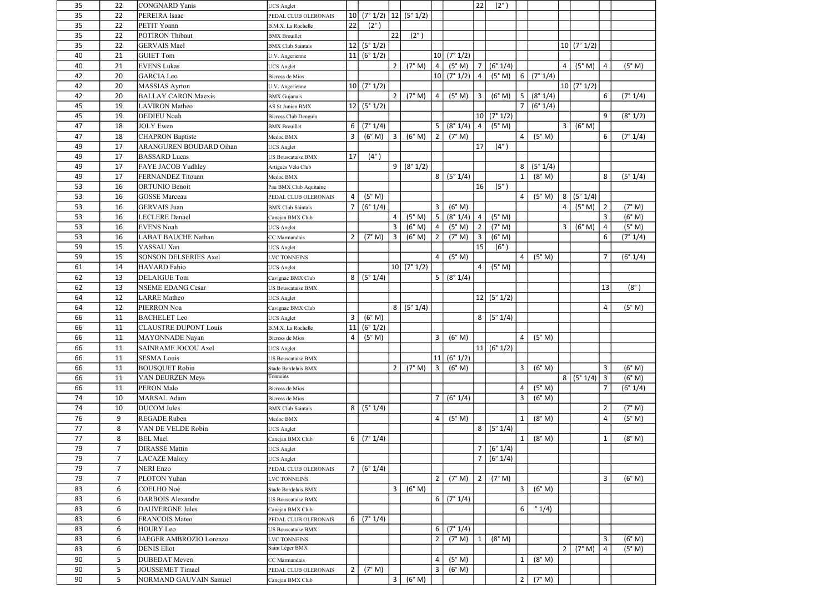| 35 | 22             | <b>CONGNARD</b> Yanis        | <b>JCS</b> Anglet           |                 |               |                |                          |                 |          | 22             | $(2^{\circ})$ |                |                 |                |            |                |             |
|----|----------------|------------------------------|-----------------------------|-----------------|---------------|----------------|--------------------------|-----------------|----------|----------------|---------------|----------------|-----------------|----------------|------------|----------------|-------------|
| 35 | 22             | PEREIRA Isaac                | PEDAL CLUB OLERONAIS        | 10 <sup>1</sup> |               |                | $(7° 1/2)$ 12 $(5° 1/2)$ |                 |          |                |               |                |                 |                |            |                |             |
| 35 | 22             | PETIT Yoann                  | B.M.X. La Rochelle          | 22              | $(2^{\circ})$ |                |                          |                 |          |                |               |                |                 |                |            |                |             |
| 35 | 22             | <b>POTIRON Thibaut</b>       | <b>BMX</b> Breuillet        |                 |               | 22             | $(2^{\circ})$            |                 |          |                |               |                |                 |                |            |                |             |
| 35 | 22             | <b>GERVAIS Mael</b>          | <b>BMX</b> Club Saintais    | 12              | (5° 1/2)      |                |                          |                 |          |                |               |                |                 |                | 10 (7°1/2) |                |             |
| 40 | 21             | <b>GUIET Tom</b>             | U.V. Angerienne             |                 | 11   (6° 1/2) |                |                          | 10 <sup>1</sup> | (7° 1/2) |                |               |                |                 |                |            |                |             |
| 40 | 21             | <b>EVENS Lukas</b>           | <b>UCS</b> Anglet           |                 |               | $2^{\circ}$    | (7° M)                   | 4               | (5° M)   | $\overline{7}$ | (6° 1/4)      |                |                 | 4              | (5° M)     | $\overline{4}$ | (5° M)      |
| 42 | 20             | <b>GARCIA Leo</b>            | Bicross de Mios             |                 |               |                |                          | 10 <sup>1</sup> | (7° 1/2) | $\overline{4}$ | (5° M)        | 6 <sup>1</sup> | (7° 1/4)        |                |            |                |             |
| 42 | 20             | <b>MASSIAS</b> Ayrton        | U.V. Angerienne             |                 | 10   (7° 1/2) |                |                          |                 |          |                |               |                |                 |                | 10 (7°1/2) |                |             |
| 42 | 20             | <b>BALLAY CARON Maexis</b>   | <b>BMX</b> Gujanais         |                 |               | $\overline{2}$ | (7° M)                   | $\overline{4}$  | (5° M)   | 3              | (6° M)        | 5 <sup>1</sup> | (8° 1/4)        |                |            | 6              | (7° 1/4)    |
| 45 | 19             | <b>LAVIRON</b> Matheo        | AS St Junien BMX            |                 | 12   (5° 1/2) |                |                          |                 |          |                |               | $\overline{7}$ | (6° 1/4)        |                |            |                |             |
| 45 | 19             | DEDIEU Noah                  | <b>Bicross Club Denguin</b> |                 |               |                |                          |                 |          |                | 10   (7° 1/2) |                |                 |                |            | 9              | (8° 1/2)    |
| 47 | 18             | <b>JOLY</b> Ewen             | <b>BMX</b> Breuillet        | 6               | (7° 1/4)      |                |                          | 5               | (8° 1/4) | $\overline{4}$ | (5° M)        |                |                 | 3              | (6° M)     |                |             |
| 47 | 18             | <b>CHAPRON Baptiste</b>      | Medoc BMX                   | 3               | (6° M)        | $\overline{3}$ | (6° M)                   | $\overline{2}$  | (7° M)   |                |               | 4              | (5° M)          |                |            | 6              | (7° 1/4)    |
| 49 | 17             | ARANGUREN BOUDARD Oihan      | <b>JCS</b> Anglet           |                 |               |                |                          |                 |          | 17             | $(4^{\circ})$ |                |                 |                |            |                |             |
| 49 | 17             | <b>BASSARD</b> Lucas         | US Bouscataise BMX          | 17              | $(4^{\circ})$ |                |                          |                 |          |                |               |                |                 |                |            |                |             |
| 49 | 17             | FAYE JACOB Yudhley           | Artigues Vélo Club          |                 |               | 9              | (8° 1/2)                 |                 |          |                |               | 8              | (5° 1/4)        |                |            |                |             |
| 49 | 17             | FERNANDEZ Titouan            | Medoc BMX                   |                 |               |                |                          | 8               | (5° 1/4) |                |               | $\mathbf{1}$   | (8° M)          |                |            | 8              | (5° 1/4)    |
| 53 | 16             | <b>ORTUNIO Benoit</b>        | Pau BMX Club Aquitaine      |                 |               |                |                          |                 |          | 16             | $(5^\circ)$   |                |                 |                |            |                |             |
| 53 | 16             | <b>GOSSE</b> Marceau         | PEDAL CLUB OLERONAIS        | 4               | (5° M)        |                |                          |                 |          |                |               | $\overline{4}$ | (5° M)          | 8              | (5° 1/4)   |                |             |
| 53 | 16             | <b>GERVAIS</b> Juan          | <b>BMX Club Saintais</b>    |                 | (6° 1/4)      |                |                          | 3               | (6° M)   |                |               |                |                 | 4              | (5° M)     | $\overline{2}$ | (7° M)      |
| 53 | 16             | <b>LECLERE</b> Danael        | Canejan BMX Club            |                 |               | $\overline{4}$ | (5° M)                   | 5               | (8° 1/4) | $\overline{4}$ | (5° M)        |                |                 |                |            | 3              | (6° M)      |
| 53 | 16             | <b>EVENS Noah</b>            | <b>JCS</b> Anglet           |                 |               | $\overline{3}$ | (6° M)                   | $\overline{4}$  | (5° M)   | $\overline{2}$ | (7° M)        |                |                 | 3              | (6° M)     | $\overline{4}$ | (5° M)      |
| 53 | 16             | <b>LABAT BAUCHE Nathan</b>   | CC Marmandais               | 2               | (7° M)        | $\overline{3}$ | (6° M)                   | $\overline{2}$  | (7° M)   | $\overline{3}$ | (6° M)        |                |                 |                |            | 6              | (7° 1/4)    |
| 59 | 15             | VASSAU Xan                   | <b>UCS</b> Anglet           |                 |               |                |                          |                 |          | 15             | $(6^\circ)$   |                |                 |                |            |                |             |
| 59 | 15             | SONSON DELSERIES Axel        | VC TONNEINS                 |                 |               |                |                          | 4               | (5° M)   |                |               | 4              | (5° M)          |                |            | $\overline{7}$ | (6° 1/4)    |
| 61 | 14             | <b>HAVARD</b> Fabio          | <b>UCS Anglet</b>           |                 |               |                | 10   (7° 1/2)            |                 |          | $\overline{4}$ | (5° M)        |                |                 |                |            |                |             |
| 62 | 13             | <b>DELAIGUE Tom</b>          | Cavignac BMX Club           | 8               | (5° 1/4)      |                |                          | 5               | (8° 1/4) |                |               |                |                 |                |            |                |             |
| 62 | 13             | <b>NSEME EDANG Cesar</b>     | US Bouscataise BMX          |                 |               |                |                          |                 |          |                |               |                |                 |                |            | 13             | $(8^\circ)$ |
| 64 | 12             | <b>LARRE</b> Matheo          | <b>UCS</b> Anglet           |                 |               |                |                          |                 |          |                | 12   (5° 1/2) |                |                 |                |            |                |             |
| 64 | 12             | PIERRON Noa                  | Cavignac BMX Club           |                 |               |                | 8 (5°1/4)                |                 |          |                |               |                |                 |                |            | $\overline{4}$ | (5° M)      |
| 66 | 11             | <b>BACHELET</b> Leo          | <b>UCS Anglet</b>           | $\overline{3}$  | (6° M)        |                |                          |                 |          | 8 <sup>1</sup> | (5° 1/4)      |                |                 |                |            |                |             |
| 66 | 11             | <b>CLAUSTRE DUPONT Louis</b> | B.M.X. La Rochelle          | 11              | (6° 1/2)      |                |                          |                 |          |                |               |                |                 |                |            |                |             |
| 66 | 11             | MAYONNADE Nayan              | Bicross de Mios             | 4               | (5° M)        |                |                          | $\mathbf{3}$    | (6° M)   |                |               | $\overline{4}$ | (5° M)          |                |            |                |             |
| 66 | 11             | SAINRAME JOCOU Axel          | <b>UCS</b> Anglet           |                 |               |                |                          |                 |          |                | 11   (6° 1/2) |                |                 |                |            |                |             |
| 66 | 11             | <b>SESMA Louis</b>           | US Bouscataise BMX          |                 |               |                |                          | 11              | (6° 1/2) |                |               |                |                 |                |            |                |             |
| 66 | 11             | <b>BOUSQUET Robin</b>        | Stade Bordelais BMX         |                 |               | $2^{\circ}$    | (7° M)                   | 3               | (6° M)   |                |               | $\mathbf{3}$   | (6° M)          |                |            | 3              | (6° M)      |
| 66 | 11             | VAN DEURZEN Meys             | Tonneins                    |                 |               |                |                          |                 |          |                |               |                |                 | 8 <sup>1</sup> | (5°1/4)    | $\mathbf{3}$   | (6° M)      |
| 66 | 11             | PERON Malo                   | Bicross de Mios             |                 |               |                |                          |                 |          |                |               | $\overline{4}$ | (5° M)          |                |            | 7              | (6° 1/4)    |
| 74 | 10             | MARSAL Adam                  | Bicross de Mios             |                 |               |                |                          | $\overline{7}$  | (6° 1/4) |                |               | $\mathbf{3}$   | (6° M)          |                |            |                |             |
| 74 | 10             | <b>DUCOM Jules</b>           | <b>BMX</b> Club Saintais    | 8               | (5° 1/4)      |                |                          |                 |          |                |               |                |                 |                |            | $\overline{2}$ | (7° M)      |
| 76 | 9              | <b>REGADE Ruben</b>          | Medoc BMX                   |                 |               |                |                          | 4               | (5° M)   |                |               | $\mathbf{1}$   | (8° M)          |                |            | 4              | (5° M)      |
| 77 | 8              | VAN DE VELDE Robin           | <b>JCS</b> Anglet           |                 |               |                |                          |                 |          | 8 <sup>1</sup> | (5° 1/4)      |                |                 |                |            |                |             |
| 77 | 8              | <b>BEL</b> Mael              | Canejan BMX Club            | 6               | (7° 1/4)      |                |                          |                 |          |                |               | $\mathbf{1}$   | (8° M)          |                |            | 1              | (8° M)      |
| 79 | $\overline{7}$ | <b>DIRASSE</b> Mattin        | <b>UCS</b> Anglet           |                 |               |                |                          |                 |          | $\overline{7}$ | (6° 1/4)      |                |                 |                |            |                |             |
| 79 | $7^{\circ}$    | <b>LACAZE</b> Malory         | <b>JCS</b> Anglet           |                 |               |                |                          |                 |          | $\overline{7}$ | (6° 1/4)      |                |                 |                |            |                |             |
| 79 | 7 <sup>1</sup> | <b>NERI</b> Enzo             | PEDAL CLUB OLERONAIS        |                 | (6° 1/4)      |                |                          |                 |          |                |               |                |                 |                |            |                |             |
| 79 | $\overline{7}$ | PLOTON Yuhan                 | LVC TONNEINS                |                 |               |                |                          | $\overline{2}$  | (7° M)   | $\overline{2}$ | (7° M)        |                |                 |                |            | 3              | (6° M)      |
| 83 | 6              | COELHO Noé                   | Stade Bordelais BMX         |                 |               | $\mathbf{3}$   | (6° M)                   |                 |          |                |               | $\mathbf{3}$   | (6° M)          |                |            |                |             |
| 83 | 6              | <b>DARBOIS</b> Alexandre     | US Bouscataise BMX          |                 |               |                |                          | 6 <sup>1</sup>  | (7° 1/4) |                |               |                |                 |                |            |                |             |
| 83 | 6              | <b>DAUVERGNE Jules</b>       | Canejan BMX Club            |                 |               |                |                          |                 |          |                |               | 6              | $^{\circ}$ 1/4) |                |            |                |             |
| 83 | 6              | FRANCOIS Mateo               | PEDAL CLUB OLERONAIS        | 6               | (7° 1/4)      |                |                          |                 |          |                |               |                |                 |                |            |                |             |
| 83 | 6              | <b>HOURY Leo</b>             | US Bouscataise BMX          |                 |               |                |                          | 6               | (7° 1/4) |                |               |                |                 |                |            |                |             |
| 83 | 6              | JAEGER AMBROZIO Lorenzo      | LVC TONNEINS                |                 |               |                |                          | $\overline{2}$  | (7° M)   | $\mathbf{1}$   | (8° M)        |                |                 |                |            | 3              | (6° M)      |
| 83 | 6              | <b>DENIS Eliot</b>           | Saint Léger BMX             |                 |               |                |                          |                 |          |                |               |                |                 | $\overline{2}$ | (7° M)     | 4              | (5° M)      |
| 90 | 5              | <b>DUBEDAT</b> Meven         | CC Marmandais               |                 |               |                |                          | 4               | (5° M)   |                |               | $\mathbf{1}$   | (8° M)          |                |            |                |             |
| 90 | 5              | <b>JOUSSEMET Timael</b>      | PEDAL CLUB OLERONAIS        |                 | (7° M)        |                |                          | $\overline{3}$  | (6° M)   |                |               |                |                 |                |            |                |             |
| 90 | 5              | NORMAND GAUVAIN Samuel       | Canejan BMX Club            |                 |               | $\mathbf{3}$   | (6° M)                   |                 |          |                |               | $2^{\circ}$    | (7° M)          |                |            |                |             |
|    |                |                              |                             |                 |               |                |                          |                 |          |                |               |                |                 |                |            |                |             |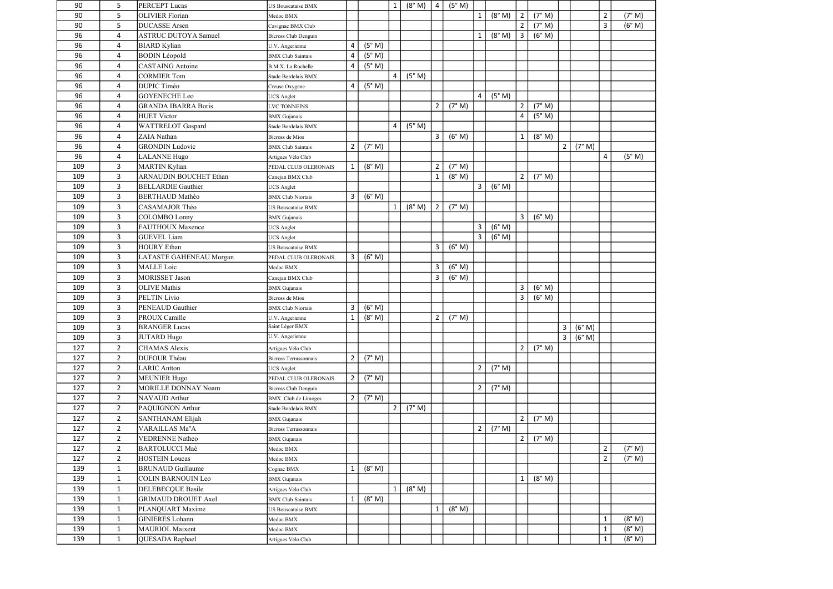| 90  | 5            | <b>PERCEPT Lucas</b>          | US Bouscataise BMX           |                |        | $\mathbf{1}$   | (8° M) | $\overline{4}$ | (5° M) |                |        |                |        |                |        |                |        |
|-----|--------------|-------------------------------|------------------------------|----------------|--------|----------------|--------|----------------|--------|----------------|--------|----------------|--------|----------------|--------|----------------|--------|
| 90  | 5            | <b>OLIVIER Florian</b>        | Medoc BMX                    |                |        |                |        |                |        | 1              | (8° M) | $2^{\circ}$    | (7° M) |                |        | $\overline{2}$ | (7° M) |
| 90  | 5            | <b>DUCASSE</b> Arsen          | Cavignac BMX Club            |                |        |                |        |                |        |                |        | 2              | (7° M) |                |        | $\overline{3}$ | (6° M) |
| 96  | 4            | <b>ASTRUC DUTOYA Samuel</b>   | <b>Bicross Club Denguin</b>  |                |        |                |        |                |        | 1              | (8° M) | 3 <sup>1</sup> | (6° M) |                |        |                |        |
| 96  | 4            | <b>BIARD</b> Kylian           | U.V. Angerienne              | 4              | (5° M) |                |        |                |        |                |        |                |        |                |        |                |        |
| 96  | 4            | <b>BODIN</b> Léopold          | <b>BMX Club Saintais</b>     | 4              | (5° M) |                |        |                |        |                |        |                |        |                |        |                |        |
| 96  | 4            | <b>CASTAING</b> Antoine       | B.M.X. La Rochelle           | 4              | (5° M) |                |        |                |        |                |        |                |        |                |        |                |        |
| 96  | 4            | <b>CORMIER Tom</b>            | Stade Bordelais BMX          |                |        | $\overline{4}$ | (5° M) |                |        |                |        |                |        |                |        |                |        |
| 96  | 4            | <b>DUPIC Timéo</b>            | Creuse Oxygene               | 4              | (5° M) |                |        |                |        |                |        |                |        |                |        |                |        |
| 96  | 4            | <b>GOYENECHE</b> Leo          | <b>UCS</b> Anglet            |                |        |                |        |                |        | $\overline{4}$ | (5° M) |                |        |                |        |                |        |
| 96  | 4            | <b>GRANDA IBARRA Boris</b>    | VC TONNEINS                  |                |        |                |        | $\overline{2}$ | (7° M) |                |        | $\overline{2}$ | (7° M) |                |        |                |        |
| 96  | 4            | <b>HUET Victor</b>            | <b>BMX</b> Gujanais          |                |        |                |        |                |        |                |        | $\overline{4}$ | (5° M) |                |        |                |        |
| 96  | 4            | <b>WATTRELOT</b> Gaspard      | Stade Bordelais BMX          |                |        | 4              | (5° M) |                |        |                |        |                |        |                |        |                |        |
| 96  | 4            | ZAIA Nathan                   | Bicross de Mios              |                |        |                |        | 3              | (6° M) |                |        | $\mathbf{1}$   | (8° M) |                |        |                |        |
| 96  | 4            | <b>GRONDIN</b> Ludovic        | <b>BMX</b> Club Saintais     | $\overline{2}$ | (7° M) |                |        |                |        |                |        |                |        | $\overline{2}$ | (7° M) |                |        |
| 96  | 4            | <b>LALANNE</b> Hugo           | Artigues Vélo Club           |                |        |                |        |                |        |                |        |                |        |                |        | $\overline{a}$ | (5° M) |
| 109 | $\mathbf{3}$ | <b>MARTIN Kylian</b>          | PEDAL CLUB OLERONAIS         |                | (8° M) |                |        | $\overline{2}$ | (7° M) |                |        |                |        |                |        |                |        |
| 109 | $\mathbf{3}$ | <b>ARNAUDIN BOUCHET Ethan</b> | Canejan BMX Club             |                |        |                |        | $\mathbf{1}$   | (8° M) |                |        | 2              | (7° M) |                |        |                |        |
| 109 | 3            | <b>BELLARDIE Gauthier</b>     | <b>UCS Anglet</b>            |                |        |                |        |                |        | 3              | (6° M) |                |        |                |        |                |        |
| 109 | 3            | <b>BERTHAUD Mathéo</b>        | <b>BMX</b> Club Niortais     | 3              | (6° M) |                |        |                |        |                |        |                |        |                |        |                |        |
| 109 | 3            | <b>CASAMAJOR Théo</b>         | US Bouscataise BMX           |                |        | $\mathbf{1}$   | (8° M) | $\overline{2}$ | (7° M) |                |        |                |        |                |        |                |        |
| 109 | $\mathbf{3}$ | <b>COLOMBO Lonny</b>          | <b>BMX</b> Gujanais          |                |        |                |        |                |        |                |        | $\mathbf{3}$   | (6° M) |                |        |                |        |
| 109 | $\mathbf{3}$ | <b>FAUTHOUX Maxence</b>       | <b>JCS</b> Anglet            |                |        |                |        |                |        | $\mathbf{3}$   | (6° M) |                |        |                |        |                |        |
| 109 | 3            | <b>GUEVEL Liam</b>            | <b>UCS</b> Anglet            |                |        |                |        |                |        | $\mathbf{3}$   | (6° M) |                |        |                |        |                |        |
| 109 | 3            | <b>HOURY Ethan</b>            | US Bouscataise BMX           |                |        |                |        | 3              | (6° M) |                |        |                |        |                |        |                |        |
| 109 | 3            | LATASTE GAHENEAU Morgan       | PEDAL CLUB OLERONAIS         | 3              | (6° M) |                |        |                |        |                |        |                |        |                |        |                |        |
| 109 | 3            | <b>MALLE</b> Loic             | Medoc BMX                    |                |        |                |        | 3              | (6° M) |                |        |                |        |                |        |                |        |
| 109 | 3            | <b>MORISSET Jason</b>         | Canejan BMX Club             |                |        |                |        | 3              | (6° M) |                |        |                |        |                |        |                |        |
| 109 | 3            | <b>OLIVE</b> Mathis           | <b>BMX</b> Gujanais          |                |        |                |        |                |        |                |        | $\mathbf{3}$   | (6° M) |                |        |                |        |
| 109 | 3            | PELTIN Livio                  | <b>Bicross</b> de Mios       |                |        |                |        |                |        |                |        | 3              | (6° M) |                |        |                |        |
| 109 | 3            | PENEAUD Gauthier              | <b>BMX Club Niortais</b>     | 3              | (6° M) |                |        |                |        |                |        |                |        |                |        |                |        |
| 109 | 3            | PROUX Camille                 | U.V. Angerienne              | $\mathbf{1}$   | (8° M) |                |        | $\overline{2}$ | (7° M) |                |        |                |        |                |        |                |        |
| 109 | $\mathbf{3}$ | <b>BRANGER Lucas</b>          | Saint Léger BMX              |                |        |                |        |                |        |                |        |                |        | 3              | (6° M) |                |        |
| 109 | $\mathbf{3}$ | <b>JUTARD Hugo</b>            | U.V. Angerienne              |                |        |                |        |                |        |                |        |                |        | $\mathbf{3}$   | (6° M) |                |        |
| 127 | $2^{\circ}$  | <b>CHAMAS</b> Alexis          | Artigues Vélo Club           |                |        |                |        |                |        |                |        | $2^{\circ}$    | (7° M) |                |        |                |        |
| 127 | $2^{\circ}$  | <b>DUFOUR Théau</b>           | <b>Bicross Terrassonnais</b> | $\overline{2}$ | (7° M) |                |        |                |        |                |        |                |        |                |        |                |        |
| 127 | $2^{\circ}$  | <b>LARIC</b> Antton           | <b>UCS</b> Anglet            |                |        |                |        |                |        | $\overline{2}$ | (7° M) |                |        |                |        |                |        |
| 127 | $2^{\circ}$  | <b>MEUNIER Hugo</b>           | PEDAL CLUB OLERONAIS         | $\overline{2}$ | (7° M) |                |        |                |        |                |        |                |        |                |        |                |        |
| 127 | $2^{\circ}$  | MORILLE DONNAY Noam           | Bicross Club Denguin         |                |        |                |        |                |        | $\overline{2}$ | (7° M) |                |        |                |        |                |        |
| 127 | $2^{\circ}$  | NAVAUD Arthur                 | <b>BMX</b> Club de Limoges   | $\overline{2}$ | (7° M) |                |        |                |        |                |        |                |        |                |        |                |        |
| 127 | $2^{\circ}$  | PAQUIGNON Arthur              | Stade Bordelais BMX          |                |        | $\overline{2}$ | (7° M) |                |        |                |        |                |        |                |        |                |        |
| 127 | $2^{\circ}$  | <b>SANTHANAM Elijah</b>       | <b>BMX</b> Gujanais          |                |        |                |        |                |        |                |        | $2^{\circ}$    | (7° M) |                |        |                |        |
| 127 | $2^{\circ}$  | VARAILLAS Ma"A                | <b>Bicross Terrassonnais</b> |                |        |                |        |                |        | $\overline{2}$ | (7° M) |                |        |                |        |                |        |
| 127 | $2^{\circ}$  | <b>VEDRENNE Natheo</b>        | <b>BMX</b> Gujanais          |                |        |                |        |                |        |                |        | 2              | (7° M) |                |        |                |        |
| 127 | $2^{\circ}$  | <b>BARTOLUCCI Maé</b>         | Medoc BMX                    |                |        |                |        |                |        |                |        |                |        |                |        | $\overline{2}$ | (7° M) |
| 127 | $2^{\circ}$  | <b>HOSTEIN Loucas</b>         | Medoc BMX                    |                |        |                |        |                |        |                |        |                |        |                |        | $\overline{2}$ | (7° M) |
| 139 | $\mathbf{1}$ | <b>BRUNAUD</b> Guillaume      | Cognac BMX                   |                | (8° M) |                |        |                |        |                |        |                |        |                |        |                |        |
| 139 | $\mathbf{1}$ | <b>COLIN BARNOUIN Leo</b>     | <b>BMX</b> Gujanais          |                |        |                |        |                |        |                |        | $\mathbf{1}$   | (8° M) |                |        |                |        |
| 139 | $\mathbf{1}$ | DELEBECQUE Basile             | Artigues Vélo Club           |                |        | $\mathbf{1}$   | (8° M) |                |        |                |        |                |        |                |        |                |        |
| 139 | $\mathbf{1}$ | <b>GRIMAUD DROUET Axel</b>    | <b>BMX</b> Club Saintais     |                | (8° M) |                |        |                |        |                |        |                |        |                |        |                |        |
| 139 | $\mathbf{1}$ | PLANQUART Maxime              | US Bouscataise BMX           |                |        |                |        | $\mathbf{1}$   | (8° M) |                |        |                |        |                |        |                |        |
| 139 | $\mathbf{1}$ | <b>GINIERES</b> Lohann        | Medoc BMX                    |                |        |                |        |                |        |                |        |                |        |                |        | $\mathbf{1}$   | (8° M) |
| 139 | $\mathbf{1}$ | <b>MAURIOL Maixent</b>        | Medoc BMX                    |                |        |                |        |                |        |                |        |                |        |                |        | $\mathbf 1$    | (8° M) |
| 139 | $\mathbf{1}$ | QUESADA Raphael               | Artigues Vélo Club           |                |        |                |        |                |        |                |        |                |        |                |        | $\mathbf{1}$   | (8° M) |
|     |              |                               |                              |                |        |                |        |                |        |                |        |                |        |                |        |                |        |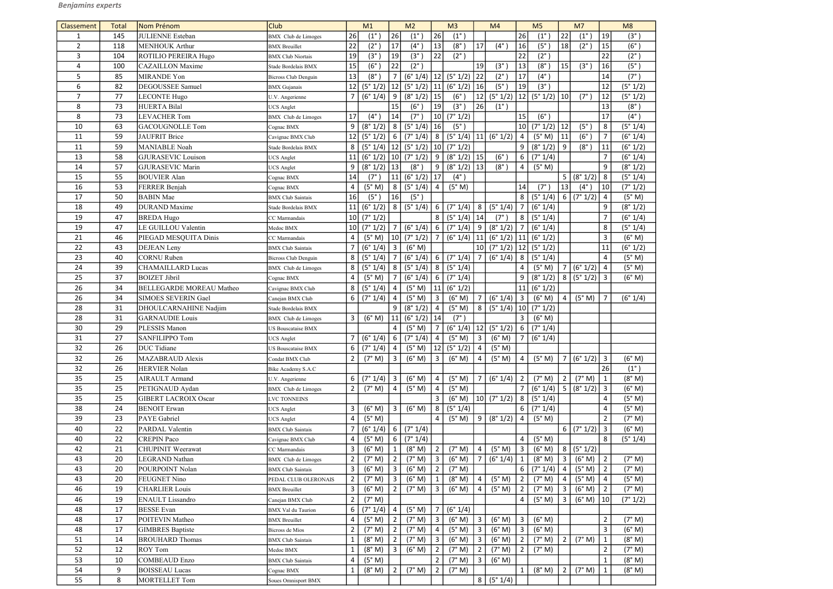| Classement     | <b>Total</b> | Nom Prénom                                   | <b>Club</b>                                   |                     | M1                 |                 | M <sub>2</sub>      |                 | M <sub>3</sub>                              |                | M <sub>4</sub>              |                 | M <sub>5</sub>    |                 | M <sub>7</sub>    |                | M8            |
|----------------|--------------|----------------------------------------------|-----------------------------------------------|---------------------|--------------------|-----------------|---------------------|-----------------|---------------------------------------------|----------------|-----------------------------|-----------------|-------------------|-----------------|-------------------|----------------|---------------|
|                | 145          | <b>JULIENNE</b> Esteban                      | BMX Club de Limoges                           | 26                  | $(1^{\circ})$      | 26              | $(1^{\circ}$        | 26              | $(1^{\circ})$                               |                |                             | 26              | $(1^{\circ})$     | 22              | $(1^{\circ})$     | 19             | $(3^\circ)$   |
| $\overline{2}$ | 118          | <b>MENHOUK Arthur</b>                        | <b>BMX</b> Breuillet                          | 22                  | $(2^{\circ})$      | 17              | $(4^\circ)$         | 13              | $(8^\circ)$                                 | 17             | $(4^\circ)$                 | 16              | (5 <sup>°</sup> ) | 18              | $(2^{\circ})$     | 15             | $(6^\circ)$   |
| 3              | 104          | <b>ROTILIO PEREIRA Hugo</b>                  | <b>BMX Club Niortais</b>                      | 19                  | (3 <sup>°</sup> )  | 19              | $(3^{\circ}$        | 22              | $(2^{\circ})$                               |                |                             | 22              | $(2^{\circ})$     |                 |                   | 22             | $(2^{\circ})$ |
| 4              | 100          | <b>CAZAILLON</b> Maxime                      | Stade Bordelais BMX                           | 15                  | $(6^{\circ}$       | 22              | $(2^\circ)$         |                 |                                             | 19             | $(3^{\circ}$                | 13              | $(8^\circ)$       | 15              | (3 <sup>°</sup> ) | 16             | (5°)          |
| 5              | 85           | MIRANDE Yon                                  | <b>Bicross Club Denguin</b>                   | 13                  | $(8^\circ)$        | $\overline{7}$  | (6° 1/4)            | 12              | (5° 1/2)                                    | 22             | $(2^{\circ}$                | 17              | $(4^{\circ})$     |                 |                   | 14             | (7°)          |
| 6              | 82           | <b>DEGOUSSEE Samuel</b>                      | <b>BMX</b> Gujanais                           | 12                  | (5° 1/2)           | 12              |                     |                 | $(5° 1/2)$ 11 $(6° 1/2)$                    | 16             | $(5^\circ)$                 | 19              | $(3^{\circ})$     |                 |                   | 12             | (5° 1/2)      |
| $\overline{7}$ | 77           | LECONTE Hugo                                 | U.V. Angerienne                               | 7                   | (6° 1/4)           | 9               | (8° 1/2)            | 15              | $(6^\circ)$                                 | 12             | (5° 1/2)                    |                 | $ 12 $ (5° 1/2)   | 10              | $(7^\circ)$       | 12             | (5° 1/2)      |
| 8              | 73           | HUERTA Bilal                                 | <b>UCS</b> Anglet                             |                     |                    | 15              | $(6^\circ$          | 19              | $(3^\circ)$                                 | 26             | $(1^{\circ})$               |                 |                   |                 |                   | 13             | (8°)          |
| 8              | 73           | <b>LEVACHER Tom</b>                          | <b>BMX</b> Club de Limoges                    | 17                  | $(4^\circ)$        | 14              | $(7^\circ$          | 10 <sup>1</sup> | (7° 1/2)                                    |                |                             | 15              | $(6^\circ)$       |                 |                   | 17             | $(4^{\circ})$ |
| 10             | 63           | <b>GACOUGNOLLE</b> Tom                       | Cognac BMX                                    | 9                   | (8° 1/2)           | 8 <sup>1</sup>  | (5° 1/4)            | 16              | (5 <sup>°</sup> )                           |                |                             | 10 <sup>1</sup> | (7° 1/2)          | 12              | (5°)              | 8              | (5° 1/4)      |
| 11             | 59           | JAUFRIT Brice                                | Cavignac BMX Club                             | 12                  | (5° 1/2)           | 6 <sup>1</sup>  | (7° 1/4)            | 8               | $(5° 1/4)$ 11                               |                | (6° 1/2)                    | $\overline{4}$  | (5° M)            | 11              | $(6^\circ)$       | $\overline{7}$ | (6° 1/4)      |
| 11             | 59           | <b>MANIABLE Noah</b>                         | Stade Bordelais BMX                           | 8                   | (5° 1/4)           |                 | $ 12 $ (5° 1/2)     | 10              | (7° 1/2)                                    |                |                             | 9               | (8° 1/2)          | 9               | $(8^\circ)$       | 11             | (6° 1/2)      |
| 13             | 58           | <b>GJURASEVIC Louison</b>                    | <b>UCS</b> Anglet                             | 11                  | $(6° 1/2)$   10    |                 | (7° 1/2)            | 9               | $(8° 1/2)$ 15                               |                | $(6^\circ)$                 | 6               | (7° 1/4)          |                 |                   | $\overline{7}$ | (6° 1/4)      |
| 14             | 57           | <b>GJURASEVIC Marin</b>                      | <b>UCS</b> Anglet                             | 9                   | $(8° 1/2)$   13    |                 | $(8^\circ$          | 9               | $(8°1/2)$ 13                                |                | $(8^\circ)$                 | 4               | (5° M)            |                 |                   | 9              | (8° 1/2)      |
| 15             | 55           | <b>BOUVIER Alan</b>                          | Cognac BMX                                    | 14                  | $(7^\circ)$        | 11              | (6° 1/2)            | 17              | $(4^{\circ})$                               |                |                             |                 |                   | 5 <sub>1</sub>  | (8° 1/2)          | 8              | (5° 1/4)      |
| 16             | 53           | FERRER Benjah                                | Cognac BMX                                    | 4                   | (5° M)             | 8               | (5° 1/4)            | 4               | (5° M)                                      |                |                             | 14              | $(7^\circ)$       | 13              | $(4^{\circ})$     | 10             | (7° 1/2)      |
| 17             | 50           | <b>BABIN</b> Mae                             | <b>BMX</b> Club Saintais                      | 16                  | $(5^\circ)$        | 16              | $(5^\circ)$         |                 |                                             |                |                             | 8 <sup>1</sup>  | (5° 1/4)          | 6               | (7° 1/2)          | 4              | (5° M)        |
| 18             | 49           | <b>DURAND</b> Maxime                         | Stade Bordelais BMX                           | 11                  | (6° 1/2)           | 8 <sup>1</sup>  | (5° 1/4)            | 6               | (7° 1/4)                                    | $8 \mid$       | (5° 1/4)                    | $\overline{7}$  | (6° 1/4)          |                 |                   | 9              | (8° 1/2)      |
| 19             | 47           | <b>BREDA Hugo</b>                            | CC Marmandais                                 | 10 <sup>1</sup>     | (7° 1/2)           |                 |                     | 8               | $(5° 1/4)$ 14                               |                | $(7^\circ)$                 | 8               | (5° 1/4)          |                 |                   | $\overline{7}$ | (6° 1/4)      |
| 19             | 47           | LE GUILLOU Valentin                          | Medoc BMX                                     | 10 <sup>1</sup>     | (7° 1/2)           | $7\overline{ }$ | (6° 1/4)            | 6               | (7° 1/4)                                    | 9              | (8° 1/2)                    | $\overline{7}$  | (6° 1/4)          |                 |                   | 8              | (5° 1/4)      |
| 21             | 46           | PIEGAD MESQUITA Dinis                        | CC Marmandais                                 | 4                   | (5° M)             | 10              | (7° 1/2)            | $\overline{7}$  | (6° 1/4)                                    | 11             | $(6° 1/2)$ 11               |                 | (6° 1/2)          |                 |                   | 3              | (6° M)        |
| 22             | 43           | <b>DEJEAN</b> Leny                           | <b>BMX Club Saintais</b>                      | 7                   | (6° 1/4)           | 3               | (6° M)              |                 |                                             |                | 10 $(7° 1/2)$ 12 $(5° 1/2)$ |                 |                   |                 |                   | 11             | (6° 1/2)      |
| 23             | 40           | <b>CORNU</b> Ruben                           | <b>Bicross Club Denguin</b>                   | 8                   | (5° 1/4)           | $\overline{7}$  | (6° 1/4)            | 6               | (7° 1/4)                                    | $\overline{7}$ | (6° 1/4)                    | 8 <sup>1</sup>  | (5° 1/4)          |                 |                   | $\overline{4}$ | (5° M)        |
| 24             | 39           | <b>CHAMAILLARD Lucas</b>                     | <b>BMX</b> Club de Limoges                    | 8                   | (5° 1/4)           | 8 <sup>1</sup>  | (5° 1/4)            | 8               | (5° 1/4)                                    |                |                             | 4               | (5° M)            | $7\overline{ }$ | (6° 1/2)          | $\overline{a}$ | (5° M)        |
| 25             | 37           | <b>BOIZET Jibril</b>                         | Cognac BMX                                    | 4                   | (5° M)             | $\overline{7}$  | (6° 1/4)            | 6               | (7° 1/4)                                    |                |                             | 9               | (8° 1/2)          | 8               | (5° 1/2)          | $\overline{3}$ | (6° M)        |
| 26             | 34           | <b>BELLEGARDE MOREAU Matheo</b>              | Cavignac BMX Club                             | 8                   | (5° 1/4)           | $\overline{4}$  | (5° M)              | 11              | (6° 1/2)                                    |                |                             | 11              | (6° 1/2)          |                 |                   |                |               |
| 26             | 34           | <b>SIMOES SEVERIN Gael</b>                   | Canejan BMX Club                              | 6                   | (7° 1/4)           | 4               | (5° M)              | $\overline{3}$  | (6° M)                                      | $\overline{7}$ | (6° 1/4)                    | $\vert$ 3       | (6° M)            | $\overline{4}$  | (5° M)            | $\overline{7}$ | (6° 1/4)      |
| 28             | 31           | DHOULCARNAHINE Nadjim                        | Stade Bordelais BMX                           |                     |                    | 9               | (8° 1/2)            | $\overline{4}$  | (5° M)                                      | 8 <sup>1</sup> | $(5°1/4)$   10              |                 | (7° 1/2)          |                 |                   |                |               |
| 28             | 31           | <b>GARNAUDIE Louis</b>                       | BMX Club de Limoges                           | 3                   | (6° M)             | 11              | (6° 1/2)            | 14              | $(7^\circ)$                                 |                |                             | $\mathbf{3}$    | (6° M)            |                 |                   |                |               |
| 30             | າ໑<br>ت      | PLESSIS Manon                                | US Bouscataise BMX                            |                     |                    | $\Lambda$       | $(5^{\circ}$ M)   7 |                 | $(6° 1/4)$ $ 12  (5° 1/2)$ $  6   (7° 1/4)$ |                |                             |                 |                   |                 |                   |                |               |
| 31             | 27           | <b>SANFILIPPO Tom</b>                        | UCS Anglet                                    | $\overline{7}$      | (6° 1/4)           | 6               | (7° 1/4)            | $\vert$ 4       | (5° M)                                      | $\overline{3}$ | (6° M)                      | 7 <sup>1</sup>  | (6° 1/4)          |                 |                   |                |               |
| 32             | 26           | DUC Tidiane                                  | US Bouscataise BMX                            | 6                   | (7° 1/4)           | $4 \mid$        | (5° M)              | 12              | (5° 1/2)                                    | $\overline{4}$ | (5° M)                      |                 |                   |                 |                   |                |               |
| 32             | 26           | <b>MAZABRAUD Alexis</b>                      | Condat BMX Club                               | $\overline{2}$      | (7° M)             | 3 <sup>1</sup>  | (6° M)              | $\overline{3}$  | (6° M)                                      | 4              | (5° M)                      | 4               | (5° M)            | 7 <sup>1</sup>  | $(6° 1/2)$ 3      |                | (6° M)        |
| 32             | 26           | <b>HERVIER Nolan</b>                         | Bike Academy S.A.C                            |                     |                    |                 |                     |                 |                                             |                |                             |                 |                   |                 |                   | 26             | $(1^{\circ})$ |
| 35             | 25           | <b>AIRAULT</b> Armand                        | U.V. Angerienne                               | 6                   | (7° 1/4)           | 3 <sup>1</sup>  | (6° M)              | 4               | (5° M)                                      |                | (6° 1/4)                    | $\overline{2}$  | (7° M)            | $\overline{2}$  | (7° M)            | 1              | (8° M)        |
| 35             | 25           | PETIGNAUD Aydan                              | BMX Club de Limoges                           | $\overline{2}$      | (7° M)             | $\overline{4}$  | (5° M)              | $\overline{4}$  | (5° M)                                      |                |                             | $\overline{7}$  | (6° 1/4)          | $5\overline{)}$ | (8° 1/2)          | 3              | (6° M)        |
| 35             | 25           | <b>GIBERT LACROIX Oscar</b>                  | <b>LVC TONNEINS</b>                           |                     |                    |                 |                     | 3               | (6° M)                                      |                | $ 10 $ (7° 1/2)             | 8 <sup>1</sup>  | (5° 1/4)          |                 |                   | 4              | (5° M)        |
| 38             | 24           | <b>BENOIT</b> Erwan                          | <b>UCS</b> Anglet                             | 3                   | (6° M)             | 3               | (6° M)              | 8               | (5° 1/4)                                    |                |                             | 6               | (7° 1/4)          |                 |                   | 4              | (5° M)        |
| 39             | 23           | PAYE Gabriel                                 | <b>UCS</b> Anglet                             | 4                   | (5° M)             |                 |                     | 4               | (5° M)                                      | 9              | (8° 1/2)                    | $\vert$ 4       | (5° M)            |                 |                   | $\overline{2}$ | (7° M)        |
| 40             | 22           | PARDAL Valentin                              | <b>BMX</b> Club Saintais                      |                     | (6° 1/4)           | 6 <sup>1</sup>  | (7° 1/4)            |                 |                                             |                |                             |                 |                   | 6               | (7° 1/2)          | 3              | (6° M)        |
| 40             | 22           | <b>CREPIN Paco</b>                           | Cavignac BMX Club                             | 4                   | (5° M)             | 6               | (7° 1/4)            |                 |                                             |                |                             | $\overline{4}$  | (5° M)            |                 |                   | 8              | (5° 1/4)      |
| 42             | 21           | <b>CHUPINIT</b> Weerawat                     | CC Marmandais                                 | 3                   | (6° M)             | 1               | (8° M)              | $\overline{2}$  | (7° M)                                      | 4              | (5° M)                      | 3               | (6° M)            | 8 <sup>1</sup>  | (5° 1/2)          |                |               |
| 43             | 20           | LEGRAND Nathan                               | <b>BMX</b> Club de Limoges                    | $\overline{2}$      | (7° M)             | $\overline{2}$  | (7° M)              | $\overline{3}$  | (6° M)                                      | $\overline{7}$ | (6° 1/4)                    | $\mathbf{1}$    | (8° M)            | $\mathbf{3}$    | (6° M)            | $\overline{2}$ | (7° M)        |
| 43             | 20           | POURPOINT Nolan                              | <b>BMX</b> Club Saintais                      | 3                   | (6° M)             | 3               | (6° M)              | $\overline{2}$  | (7° M)                                      |                |                             | 6               | (7° 1/4)          | 4               | (5° M)            | $\overline{2}$ | (7° M)        |
| 43             | 20           | <b>FEUGNET Nino</b>                          | PEDAL CLUB OLERONAIS                          | $\overline{2}$      | (7° M)             | $\mathbf{3}$    | (6° M)              |                 | (8° M)                                      |                | (5° M)                      | $2^{\circ}$     | (7° M)            | $\overline{4}$  | (5° M)            | $\overline{4}$ | (5° M)        |
| 46             | 19           | <b>CHARLIER Louis</b>                        | <b>BMX</b> Breuillet                          | 3                   | (6° M)             | $2^{\circ}$     | (7° M)              | 3               | (6° M)                                      |                | (5° M)                      | $\overline{2}$  | (7° M)            | $\mathbf{3}$    | (6° M)            | $\overline{2}$ | (7° M)        |
| 46<br>48       | 19<br>17     | <b>ENAULT</b> Lissandro<br><b>BESSE</b> Evan | Canejan BMX Club<br><b>BMX</b> Val du Taurion | $\overline{2}$<br>6 | (7° M)<br>(7° 1/4) | $\overline{4}$  | (5° M)              |                 | (6° 1/4)                                    |                |                             | $4 \mid$        | (5° M)            | $\overline{3}$  | (6° M)            | 10             | (7° 1/2)      |
| 48             | 17           | POITEVIN Matheo                              | <b>BMX</b> Breuillet                          | 4                   | (5° M)             | $\overline{2}$  | (7° M)              | 3               | (6° M)                                      | $\mathbf{3}$   | (6° M)                      | $\mathbf{3}$    | (6° M)            |                 |                   | $\overline{2}$ | (7° M)        |
| 48             | 17           | <b>GIMBRES</b> Baptiste                      | <b>Bicross</b> de Mios                        | $\overline{2}$      | (7° M)             | $\overline{2}$  | (7° M)              | 4               | (5° M)                                      | $\mathbf{3}$   | (6° M)                      | $\mathbf{3}$    | (6° M)            |                 |                   | 3              | (6° M)        |
| 51             | 14           | <b>BROUHARD</b> Thomas                       | <b>BMX Club Saintais</b>                      | 1                   | (8° M)             | $\overline{2}$  | (7° M)              | $\overline{3}$  | (6° M)                                      | 3              | (6° M)                      | $\overline{2}$  | (7° M)            | $\overline{2}$  | (7° M)            | $\mathbf{1}$   | (8° M)        |
| 52             | 12           | <b>ROY Tom</b>                               | Medoc BMX                                     | $\mathbf{1}$        | (8° M)             | 3               | (6° M)              | $\overline{2}$  | (7° M)                                      | 2              | (7° M)                      | 2 <sup>1</sup>  | (7° M)            |                 |                   | $\overline{2}$ | (7° M)        |
| 53             | 10           | <b>COMBEAUD</b> Enzo                         | <b>BMX</b> Club Saintais                      | 4                   | (5° M)             |                 |                     | $\overline{2}$  | (7° M)                                      | $\overline{3}$ | (6° M)                      |                 |                   |                 |                   | $\mathbf{1}$   | (8° M)        |
| 54             | 9            | <b>BOISSEAU Lucas</b>                        | Cognac BMX                                    | 1                   | (8° M)             | $\overline{2}$  | (7° M)              | $\overline{2}$  | (7° M)                                      |                |                             | $\mathbf{1}$    | (8° M)            | $\overline{2}$  | (7° M)            |                | (8° M)        |
| 55             | 8            | MORTELLET Tom                                | <b>Soues Omnisport BMX</b>                    |                     |                    |                 |                     |                 |                                             |                | 8   (5° 1/4)                |                 |                   |                 |                   |                |               |
|                |              |                                              |                                               |                     |                    |                 |                     |                 |                                             |                |                             |                 |                   |                 |                   |                |               |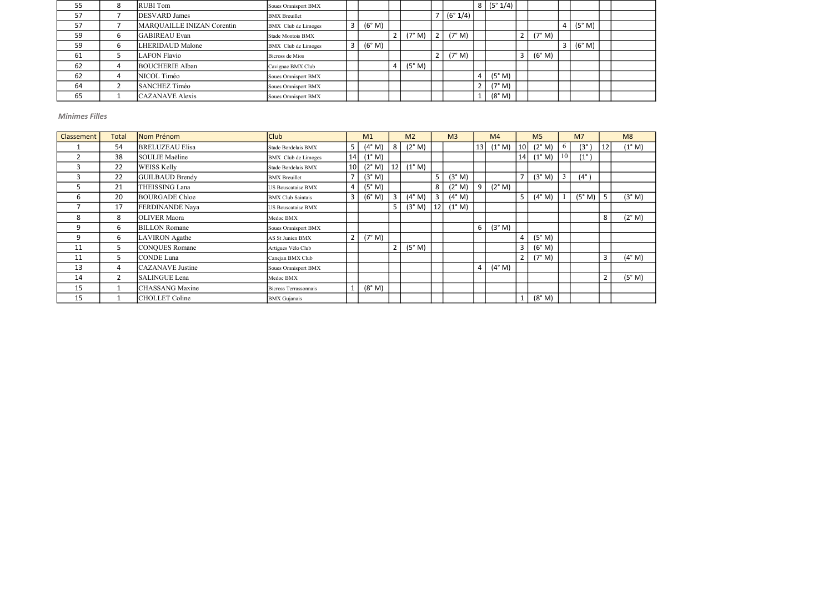| 55 |   | <b>RUBI</b> Tom            | Soues Omnisport BMX  |        |        |   |          |                       | 8   (5° 1/4) |        |              |        |  |
|----|---|----------------------------|----------------------|--------|--------|---|----------|-----------------------|--------------|--------|--------------|--------|--|
| 57 |   | <b>DESVARD</b> James       | <b>BMX</b> Breuillet |        |        |   | (6° 1/4) |                       |              |        |              |        |  |
| 57 |   | MARQUAILLE INIZAN Corentin | BMX Club de Limoges  | (6° M) |        |   |          |                       |              |        | 4            | (5° M) |  |
| 59 | h | GABIREAU Evan              | Stade Montois BMX    |        | (7° M) |   | (7° M)   |                       |              | (7° M) |              |        |  |
| 59 |   | <b>LHERIDAUD Malone</b>    | BMX Club de Limoges  | (6° M) |        |   |          |                       |              |        | $\mathbf{3}$ | (6° M) |  |
| 61 |   | LAFON Flavio               | Bicross de Mios      |        |        | ▵ | (7° M)   |                       |              | (6° M) |              |        |  |
| 62 |   | <b>BOUCHERIE Alban</b>     | Cavignac BMX Club    |        | (5° M) |   |          |                       |              |        |              |        |  |
| 62 |   | NICOL Timéo                | Soues Omnisport BMX  |        |        |   |          |                       | (5° M)       |        |              |        |  |
| 64 |   | SANCHEZ Timéo              | Soues Omnisport BMX  |        |        |   |          | $\mathbf{2}^{\prime}$ | (7° M)       |        |              |        |  |
| 65 |   | CAZANAVE Alexis            | Soues Omnisport BMX  |        |        |   |          |                       | (8° M)       |        |              |        |  |

| Classement     | <b>Total</b>   | Nom Prénom              | <b>Club</b>              |                 | M1              |    | M <sub>2</sub>  |                | M <sub>3</sub>  |                | M <sub>4</sub>  |                | M <sub>5</sub>  |              | M <sub>7</sub> |                | M8     |
|----------------|----------------|-------------------------|--------------------------|-----------------|-----------------|----|-----------------|----------------|-----------------|----------------|-----------------|----------------|-----------------|--------------|----------------|----------------|--------|
|                | 54             | <b>BRELUZEAU Elisa</b>  | Stade Bordelais BMX      | 5 <sup>1</sup>  | $(4^{\circ}$ M) | 8  | (2° M)          |                |                 | 13             | $(1^{\circ} M)$ | 10             | (2° M)          | $\mathbf{p}$ | $(3^\circ)$    | 12             | (1° M) |
| $\overline{2}$ | 38             | SOULIE Maëline          | BMX Club de Limoges      | 14              | $(1^{\circ}$ M) |    |                 |                |                 |                |                 | 14             | $(1^{\circ} M)$ | 10           | $(1^{\circ})$  |                |        |
| 3              | 22             | WEISS Kelly             | Stade Bordelais BMX      | 10 <sup>1</sup> | $(2^{\circ}$ M) | 12 | $(1^{\circ} M)$ |                |                 |                |                 |                |                 |              |                |                |        |
| 3              | 22             | GUILBAUD Brendy         | <b>BMX</b> Breuillet     |                 | (3° M)          |    |                 | 5              | (3° M)          |                |                 | $\overline{ }$ | (3° M)          |              | $(4^{\circ})$  |                |        |
| 5              | 21             | THEISSING Lana          | US Bouscataise BMX       | 4               | (5° M)          |    |                 | 8              | (2° M)          | 9              | (2° M)          |                |                 |              |                |                |        |
| 6              | 20             | <b>BOURGADE Chloe</b>   | <b>BMX Club Saintais</b> | 3               | (6° M)          | 3  | (4° M)          | $\overline{3}$ | $(4^{\circ}$ M) |                |                 | 5              | (4° M)          |              | (5° M)         | 5              | (3° M) |
|                | 17             | FERDINANDE Naya         | US Bouscataise BMX       |                 |                 |    | (3° M)          | 12             | $(1^{\circ} M)$ |                |                 |                |                 |              |                |                |        |
| 8              | 8              | <b>OLIVER</b> Maora     | Medoc BMX                |                 |                 |    |                 |                |                 |                |                 |                |                 |              |                | 8              | (2° M) |
| 9              | 6              | <b>BILLON</b> Romane    | Soues Omnisport BMX      |                 |                 |    |                 |                |                 | 6 <sup>1</sup> | (3° M)          |                |                 |              |                |                |        |
| 9              | 6              | <b>LAVIRON</b> Agathe   | AS St Junien BMX         | 2 <sup>1</sup>  | (7° M)          |    |                 |                |                 |                |                 | 4              | (5° M)          |              |                |                |        |
| 11             | 5              | <b>CONQUES Romane</b>   | Artigues Vélo Club       |                 |                 |    | (5° M)          |                |                 |                |                 | 3              | (6° M)          |              |                |                |        |
| 11             | 5              | CONDE Luna              | Canejan BMX Club         |                 |                 |    |                 |                |                 |                |                 | $\overline{2}$ | (7° M)          |              |                | $\overline{3}$ | (4° M) |
| 13             | 4              | <b>CAZANAVE</b> Justine | Soues Omnisport BMX      |                 |                 |    |                 |                |                 | 4 <sup>1</sup> | $(4^{\circ}$ M) |                |                 |              |                |                |        |
| 14             | $\overline{2}$ | <b>SALINGUE Lena</b>    | Medoc BMX                |                 |                 |    |                 |                |                 |                |                 |                |                 |              |                | $\overline{2}$ | (5° M) |
| 15             | $\mathbf{1}$   | <b>CHASSANG</b> Maxine  | Bicross Terrassonnais    |                 | (8° M)          |    |                 |                |                 |                |                 |                |                 |              |                |                |        |
| 15             |                | <b>CHOLLET Coline</b>   | <b>BMX</b> Gujanais      |                 |                 |    |                 |                |                 |                |                 |                | (8° M)          |              |                |                |        |

| $rac{8}{\circ}$          |                          |
|--------------------------|--------------------------|
| $\overline{\phantom{a}}$ | M)                       |
|                          |                          |
|                          |                          |
|                          |                          |
|                          |                          |
|                          | ° M)                     |
|                          |                          |
|                          | $\degree$ M)             |
|                          |                          |
|                          |                          |
|                          |                          |
|                          | ° M)                     |
|                          |                          |
|                          | $\frac{\circ}{\sqrt{M}}$ |
|                          |                          |
|                          |                          |

Minimes Filles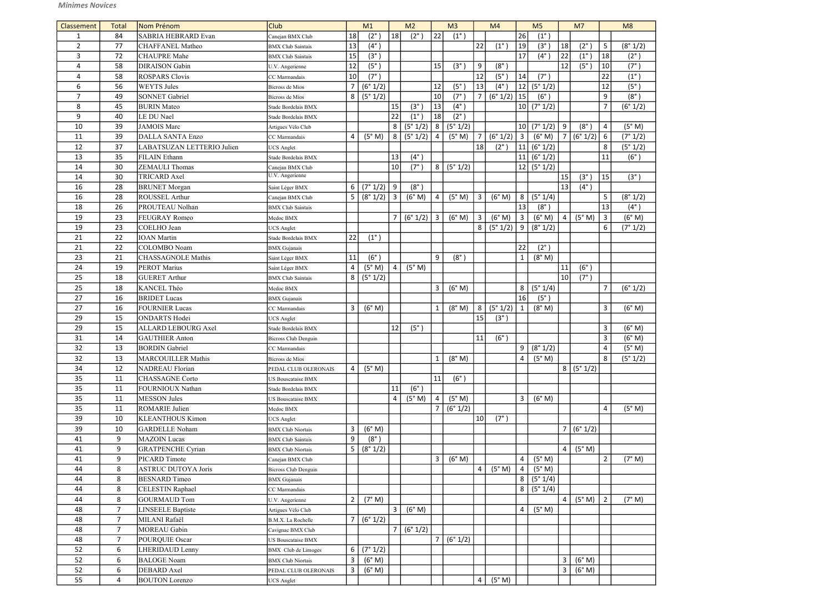| Classement     | <b>Total</b>   | Nom Prénom                 | <b>Club</b>                             |                      | M1                |                | M <sub>2</sub> |                       | M <sub>3</sub> |                | M <sub>4</sub> |                 | M <sub>5</sub> |                | M7            |                | M8                |
|----------------|----------------|----------------------------|-----------------------------------------|----------------------|-------------------|----------------|----------------|-----------------------|----------------|----------------|----------------|-----------------|----------------|----------------|---------------|----------------|-------------------|
| $\mathbf{1}$   | 84             | <b>SABRIA HEBRARD Evan</b> |                                         | 18                   | $(2^{\circ}$      | 18             | $(2^{\circ})$  | 22                    | $(1^{\circ})$  |                |                | 26              | $(1^{\circ})$  |                |               |                |                   |
| $\overline{2}$ | 77             | <b>CHAFFANEL Matheo</b>    | Canejan BMX Club                        | 13                   | $(4^\circ)$       |                |                |                       |                | 22             | $(1^{\circ})$  | 19              | (3°)           | 18             | $(2^{\circ})$ | 5              | (8° 1/2)          |
| 3              | 72             | <b>CHAUPRE</b> Mahe        | <b>BMX</b> Club Saintais                | 15                   | (3°)              |                |                |                       |                |                |                | 17              | $(4^{\circ})$  | 22             | $(1^{\circ})$ | 18             | $(2^{\circ})$     |
|                |                |                            | <b>BMX</b> Club Saintais                |                      |                   |                |                |                       |                |                |                |                 |                |                |               |                |                   |
| $\overline{4}$ | 58             | <b>DIRAISON</b> Gabin      | U.V. Angerienne                         | 12                   | (5 <sup>°</sup> ) |                |                | 15                    | $(3^\circ)$    | 9              | $(8^\circ)$    |                 |                | 12             | $(5^\circ)$   | 10             | $(7^\circ)$       |
| $\overline{4}$ | 58             | <b>ROSPARS Clovis</b>      | CC Marmandais                           | 10<br>$\overline{7}$ | $(7^\circ)$       |                |                |                       |                | 12             | $(5^\circ$     | 14              | $(7^\circ)$    |                |               | 22             | $(1^{\circ})$     |
| 6              | 56             | <b>WEYTS Jules</b>         | Bicross de Mios                         |                      | (6° 1/2)          |                |                | 12                    | $(5^\circ)$    | 13             | $(4^\circ)$    | 12              | (5° 1/2)       |                |               | 12             | (5 <sup>°</sup> ) |
| $\overline{7}$ | 49             | <b>SONNET Gabriel</b>      | Bicross de Mios                         | 8                    | (5° 1/2)          |                |                | 10                    | $(7^\circ)$    |                | (6° 1/2)       | 15              | $(6^\circ)$    |                |               | 9              | $(8^\circ)$       |
| 8              | 45             | <b>BURIN</b> Mateo         | Stade Bordelais BMX                     |                      |                   | 15             | $(3^{\circ})$  | 13                    | $(4^{\circ})$  |                |                | 10 <sup>1</sup> | (7° 1/2)       |                |               | $\overline{7}$ | (6° 1/2)          |
| 9              | 40             | LE DU Nael                 | Stade Bordelais BMX                     |                      |                   | 22             | $(1^{\circ})$  | 18                    | $(2^{\circ})$  |                |                |                 |                |                |               |                |                   |
| 10             | 39             | <b>JAMOIS Marc</b>         | Artigues Vélo Club                      |                      |                   | 8              | (5° 1/2)       | 8                     | (5° 1/2)       |                |                | 10 <sup>1</sup> | (7° 1/2)       | 9              | $(8^\circ)$   | $\overline{4}$ | (5° M)            |
| 11             | 39             | <b>DALLA SANTA Enzo</b>    | CC Marmandais                           | 4                    | (5° M)            | 8              | (5° 1/2)       | $\overline{a}$        | (5° M)         | $\overline{7}$ | (6° 1/2)       | $\overline{3}$  | (6° M)         | $\overline{7}$ | (6° 1/2)      | 6              | (7° 1/2)          |
| 12             | 37             | LABATSUZAN LETTERIO Julien | <b>JCS</b> Anglet                       |                      |                   |                |                |                       |                | 18             | $(2^{\circ})$  | 11              | (6° 1/2)       |                |               | 8              | (5° 1/2)          |
| 13             | 35             | <b>FILAIN</b> Ethann       | Stade Bordelais BMX                     |                      |                   | 13             | $(4^{\circ})$  |                       |                |                |                | 11              | (6° 1/2)       |                |               | 11             | $(6^\circ)$       |
| 14             | 30             | <b>ZEMAULI</b> Thomas      | Canejan BMX Club                        |                      |                   | 10             | $(7^\circ)$    | 8                     | (5° 1/2)       |                |                | 12              | (5° 1/2)       |                |               |                |                   |
| 14             | 30             | TRICARD Axel               | U.V. Angerienne                         |                      |                   |                |                |                       |                |                |                |                 |                | 15             | $(3^\circ)$   | 15             | (3°)              |
| 16             | 28             | <b>BRUNET</b> Morgan       | Saint Léger BMX                         | 6                    | (7° 1/2)          | 9              | $(8^\circ)$    |                       |                |                |                |                 |                | 13             | $(4^\circ)$   |                |                   |
| 16             | 28             | ROUSSEL Arthur             | Canejan BMX Club                        | 5                    | (8° 1/2)          | $\overline{3}$ | (6° M)         | Δ                     | (5° M)         | 3              | (6° M)         | 8               | (5° 1/4)       |                |               | 5              | (8° 1/2)          |
| 18             | 26             | PROUTEAU Nolhan            | <b>BMX</b> Club Saintais                |                      |                   |                |                |                       |                |                |                | 13              | (8°)           |                |               | 13             | $(4^{\circ})$     |
| 19             | 23             | <b>FEUGRAY Romeo</b>       | Medoc BMX                               |                      |                   | 7 <sup>1</sup> | $(6° 1/2)$ 3   |                       | (6° M)         | $\overline{3}$ | (6° M)         | $\overline{3}$  | (6° M)         | 4              | (5° M)        | $\overline{3}$ | (6° M)            |
| 19             | 23             | COELHO Jean                | <b>UCS</b> Anglet                       |                      |                   |                |                |                       |                | 8              | (5° 1/2)       | 9               | (8° 1/2)       |                |               | 6              | (7° 1/2)          |
| 21             | 22             | <b>IOAN</b> Martin         | Stade Bordelais BMX                     | 22                   | $(1^{\circ})$     |                |                |                       |                |                |                |                 |                |                |               |                |                   |
| 21             | 22             | <b>COLOMBO</b> Noam        | <b>BMX</b> Gujanais                     |                      |                   |                |                |                       |                |                |                | 22              | $(2^{\circ})$  |                |               |                |                   |
| 23             | 21             | <b>CHASSAGNOLE Mathis</b>  | Saint Léger BMX                         | 11                   | (6°)              |                |                | 9                     | $(8^\circ)$    |                |                | 1               | (8° M)         |                |               |                |                   |
| 24             | 19             | <b>PEROT Marius</b>        | Saint Léger BMX                         | 4                    | (5° M)            | $\overline{4}$ | (5° M)         |                       |                |                |                |                 |                | 11             | $(6^\circ)$   |                |                   |
| 25             | 18             | <b>GUERET Arthur</b>       | <b>BMX</b> Club Saintais                | 8                    | (5° 1/2)          |                |                |                       |                |                |                |                 |                | 10             | $(7^\circ)$   |                |                   |
| 25             | 18             | KANCEL Théo                | Medoc BMX                               |                      |                   |                |                | 3                     | (6° M)         |                |                | 8               | (5° 1/4)       |                |               | $\overline{7}$ | (6° 1/2)          |
| 27             | 16             | <b>BRIDET</b> Lucas        | <b>BMX</b> Gujanais                     |                      |                   |                |                |                       |                |                |                | 16              | $(5^\circ)$    |                |               |                |                   |
| 27             | 16             | <b>FOURNIER Lucas</b>      | CC Marmandais                           | 3                    | (6° M)            |                |                | $\mathbf{1}$          | (8° M)         | 8              | (5° 1/2)       | $\mathbf{1}$    | (8° M)         |                |               | $\overline{3}$ | (6° M)            |
| 29             | 15             | <b>ONDARTS</b> Hodei       | <b>UCS</b> Anglet                       |                      |                   |                |                |                       |                | 15             | $(3^\circ)$    |                 |                |                |               |                |                   |
| 29             | 15             | <b>ALLARD LEBOURG Axel</b> | Stade Bordelais BMX                     |                      |                   | 12             | (5°)           |                       |                |                |                |                 |                |                |               | $\overline{3}$ | (6° M)            |
| 31             | 14             | <b>GAUTHIER Anton</b>      | <b>Bicross Club Denguin</b>             |                      |                   |                |                |                       |                | 11             | $(6^{\circ})$  |                 |                |                |               | $\overline{3}$ | (6° M)            |
| 32             | 13             | <b>BORDIN</b> Gabriel      | CC Marmandais                           |                      |                   |                |                |                       |                |                |                | 9               | (8° 1/2)       |                |               | $\overline{4}$ | (5° M)            |
| 32             | 13             | <b>MARCOUILLER Mathis</b>  | Bicross de Mios                         |                      |                   |                |                | 1                     | (8° M)         |                |                | 4               | (5° M)         |                |               | 8              | (5° 1/2)          |
| 34             | 12             | NADREAU Florian            | PEDAL CLUB OLERONAIS                    | 4                    | (5° M)            |                |                |                       |                |                |                |                 |                | 8 <sup>1</sup> | (5° 1/2)      |                |                   |
| 35             | 11             | <b>CHASSAGNE Corto</b>     | <b>US Bouscataise BMX</b>               |                      |                   |                |                | 11                    | $(6^\circ)$    |                |                |                 |                |                |               |                |                   |
| 35             | 11             | FOURNIOUX Nathan           | Stade Bordelais BMX                     |                      |                   | 11             | (6°)           |                       |                |                |                |                 |                |                |               |                |                   |
| 35             | 11             | <b>MESSON</b> Jules        | US Bouscataise BMX                      |                      |                   | 4              | (5° M)         | $\boldsymbol{\Delta}$ | (5° M)         |                |                | $\mathbf{3}$    | (6° M)         |                |               |                |                   |
| 35             | 11             | ROMARIE Julien             | Medoc BMX                               |                      |                   |                |                | $\overline{7}$        | (6° 1/2)       |                |                |                 |                |                |               | $\overline{4}$ | (5° M)            |
| 39             | 10             | <b>KLEANTHOUS Kimon</b>    | <b>UCS</b> Anglet                       |                      |                   |                |                |                       |                | 10             | $(7^\circ)$    |                 |                |                |               |                |                   |
| 39             | 10             | <b>GARDELLE Noham</b>      | <b>BMX</b> Club Niortais                | 3                    | (6° M)            |                |                |                       |                |                |                |                 |                |                | (6° 1/2)      |                |                   |
| 41             | 9              | <b>MAZOIN</b> Lucas        | <b>BMX</b> Club Saintais                | 9                    | $(8^\circ)$       |                |                |                       |                |                |                |                 |                |                |               |                |                   |
| 41             | 9              | <b>GRATPENCHE Cyrian</b>   | <b>BMX</b> Club Niortais                | 5                    | (8° 1/2)          |                |                |                       |                |                |                |                 |                | 4              | (5° M)        |                |                   |
| 41             | 9              | PICARD Timote              | Canejan BMX Club                        |                      |                   |                |                | 3                     | (6° M)         |                |                | $\overline{4}$  | (5° M)         |                |               | $\overline{2}$ | (7° M)            |
| 44             | 8              | <b>ASTRUC DUTOYA Joris</b> | Bicross Club Denguin                    |                      |                   |                |                |                       |                | $\overline{4}$ | (5° M)         | $\overline{4}$  | (5° M)         |                |               |                |                   |
| 44             | 8              | <b>BESNARD</b> Timeo       | <b>BMX</b> Gujanais                     |                      |                   |                |                |                       |                |                |                | 8 <sup>1</sup>  | (5° 1/4)       |                |               |                |                   |
| 44             | 8              | <b>CELESTIN Raphael</b>    | CC Marmandais                           |                      |                   |                |                |                       |                |                |                | 8 <sup>1</sup>  | (5° 1/4)       |                |               |                |                   |
| 44             | 8              | <b>GOURMAUD Tom</b>        | U.V. Angerienne                         | 2                    | (7° M)            |                |                |                       |                |                |                |                 |                | 4              | (5° M)        | $\overline{2}$ | (7° M)            |
| 48             | $\overline{7}$ | <b>LINSEELE Baptiste</b>   | Artigues Vélo Club                      |                      |                   | $\overline{3}$ | (6° M)         |                       |                |                |                | 4               | (5° M)         |                |               |                |                   |
| 48             | $\overline{7}$ | MILANI Rafaël              | B.M.X. La Rochelle                      |                      | (6° 1/2)          |                |                |                       |                |                |                |                 |                |                |               |                |                   |
| 48             | $\overline{7}$ | <b>MOREAU Gabin</b>        |                                         |                      |                   | $\overline{7}$ | (6° 1/2)       |                       |                |                |                |                 |                |                |               |                |                   |
| 48             | $\overline{7}$ | POURQUIE Oscar             | Cavignac BMX Club<br>US Bouscataise BMX |                      |                   |                |                | 7                     | (6° 1/2)       |                |                |                 |                |                |               |                |                   |
| 52             | 6              | LHERIDAUD Lenny            |                                         | 6                    | (7° 1/2)          |                |                |                       |                |                |                |                 |                |                |               |                |                   |
| 52             | 6              | <b>BALOGE Noam</b>         | <b>BMX</b> Club de Limoges              | 3                    | (6° M)            |                |                |                       |                |                |                |                 |                | 3              |               |                |                   |
|                |                |                            | <b>BMX</b> Club Niortais                |                      |                   |                |                |                       |                |                |                |                 |                |                | (6° M)        |                |                   |
| 52             | 6              | <b>DEBARD</b> Axel         | PEDAL CLUB OLERONAIS                    | 3                    | (6° M)            |                |                |                       |                |                |                |                 |                | 3              | (6° M)        |                |                   |
| 55             | 4              | <b>BOUTON</b> Lorenzo      | <b>UCS</b> Anglet                       |                      |                   |                |                |                       |                | 4              | (5° M)         |                 |                |                |               |                |                   |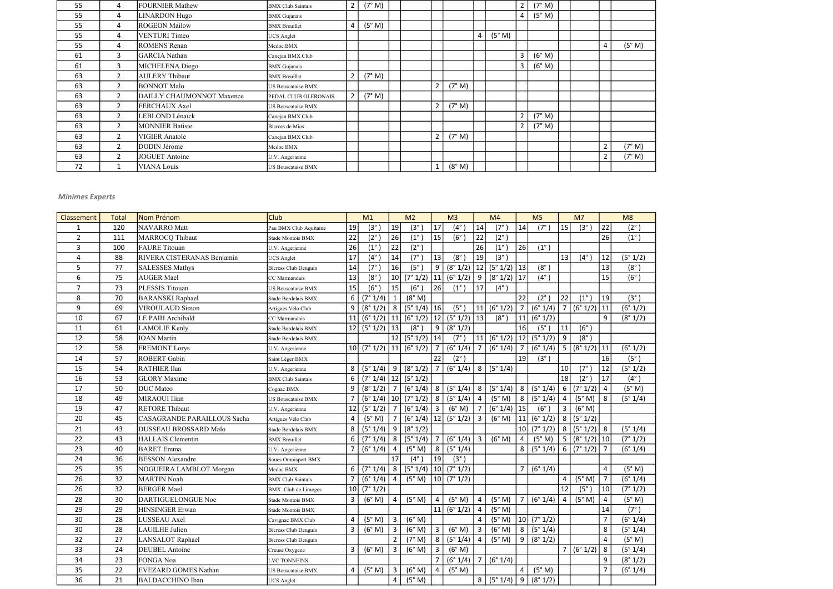| 55 | 4              | FOURNIER Mathew           | <b>BMX Club Saintais</b>  | 2 <sup>1</sup> | (7° M) |  |                |        |                |        | 2 <sup>1</sup> | (7° M) |  |                |        |
|----|----------------|---------------------------|---------------------------|----------------|--------|--|----------------|--------|----------------|--------|----------------|--------|--|----------------|--------|
| 55 | 4              | LINARDON Hugo             | <b>BMX</b> Gujanais       |                |        |  |                |        |                |        | $4 \mid$       | (5° M) |  |                |        |
| 55 | 4              | <b>ROGEON Mailow</b>      | <b>BMX</b> Breuillet      | 4              | (5° M) |  |                |        |                |        |                |        |  |                |        |
| 55 | 4              | <b>VENTURI</b> Timeo      | <b>UCS</b> Anglet         |                |        |  |                |        | $\overline{4}$ | (5° M) |                |        |  |                |        |
| 55 | 4              | <b>ROMENS</b> Renan       | Medoc BMX                 |                |        |  |                |        |                |        |                |        |  | $\overline{4}$ | (5° M) |
| 61 | 3              | GARCIA Nathan             | Canejan BMX Club          |                |        |  |                |        |                |        | $\mathbf{3}$   | (6° M) |  |                |        |
| 61 | 3              | MICHELENA Diego           | <b>BMX</b> Gujanais       |                |        |  |                |        |                |        | $\mathbf{3}$   | (6° M) |  |                |        |
| 63 | $\overline{2}$ | <b>AULERY Thibaut</b>     | <b>BMX</b> Breuillet      | $\overline{2}$ | (7° M) |  |                |        |                |        |                |        |  |                |        |
| 63 | $\overline{2}$ | <b>BONNOT Malo</b>        | US Bouscataise BMX        |                |        |  | $\overline{2}$ | (7° M) |                |        |                |        |  |                |        |
| 63 | $\overline{2}$ | DAILLY CHAUMONNOT Maxence | PEDAL CLUB OLERONAIS      | $\overline{2}$ | (7° M) |  |                |        |                |        |                |        |  |                |        |
| 63 | $\overline{2}$ | <b>FERCHAUX Axel</b>      | US Bouscataise BMX        |                |        |  | $\overline{2}$ | (7° M) |                |        |                |        |  |                |        |
| 63 | $\overline{2}$ | LEBLOND Lénaïck           | Canejan BMX Club          |                |        |  |                |        |                |        | $\overline{2}$ | (7° M) |  |                |        |
| 63 | $\overline{2}$ | <b>MONNIER Batiste</b>    | Bicross de Mios           |                |        |  |                |        |                |        | $2^{\circ}$    | (7° M) |  |                |        |
| 63 | $\overline{2}$ | <b>VIGIER Anatole</b>     | Canejan BMX Club          |                |        |  | $\overline{2}$ | (7° M) |                |        |                |        |  |                |        |
| 63 |                | <b>DODIN</b> Jérome       | Medoc BMX                 |                |        |  |                |        |                |        |                |        |  | $\overline{2}$ | (7° M) |
| 63 | $\overline{2}$ | <b>JOGUET</b> Antoine     | U.V. Angerienne           |                |        |  |                |        |                |        |                |        |  | $\overline{2}$ | (7° M) |
| 72 |                | <b>VIANA Louis</b>        | <b>US Bouscataise BMX</b> |                |        |  | $\mathbf{1}$   | (8° M) |                |        |                |        |  |                |        |

| Classement     | <b>Total</b> | <b>Nom Prénom</b>                  | Club                        |                 | M1            |                | M <sub>2</sub>  |                 | M <sub>3</sub> |                | M4            |                 | M <sub>5</sub>         |                 | M <sub>7</sub> |                         | M8                |
|----------------|--------------|------------------------------------|-----------------------------|-----------------|---------------|----------------|-----------------|-----------------|----------------|----------------|---------------|-----------------|------------------------|-----------------|----------------|-------------------------|-------------------|
| 1              | 120          | NAVARRO Matt                       | Pau BMX Club Aquitaine      | 19              | $(3^\circ)$   | 19             | $(3^{\circ}$    | 17              | $(4^\circ)$    | 14             | $(7^\circ)$   | 14              | $(7^\circ$             | 15              | $(3^\circ)$    | 22                      | $(2^{\circ})$     |
| $\overline{2}$ | 111          | MARROCQ Thibaut                    | Stade Montois BMX           | 22              | $(2^{\circ}$  | 26             | $(1^{\circ})$   | 15              | $(6^{\circ}$   | 22             | $(2^{\circ})$ |                 |                        |                 |                | 26                      | $(1^{\circ})$     |
| 3              | 100          | <b>FAURE</b> Titouan               | U.V. Angerienne             | 26              | $(1^{\circ}$  | 22             | $(2^{\circ})$   |                 |                | 26             | $(1^{\circ})$ | 26              | $(1^{\circ})$          |                 |                |                         |                   |
| 4              | 88           | RIVERA CISTERANAS Benjamin         | <b>JCS</b> Anglet           | 17              | $(4^{\circ})$ | 14             | $(7^\circ)$     | 13              | $(8^\circ$     | 19             | (3°)          |                 |                        | 13              | $(4^{\circ})$  | 12                      | (5° 1/2)          |
| 5              | 77           | <b>SALESSES Mathys</b>             | <b>Bicross Club Denguin</b> | 14              | $(7^\circ$    | 16             | (5°)            | 9               | (8° 1/2)       | 12             | $(5° 1/2)$ 13 |                 | $(8^\circ)$            |                 |                | 13                      | $(8^\circ)$       |
| 6              | 75           | <b>AUGER Mael</b>                  | CC Marmandais               | 13              | $(8^{\circ}$  | 10             | (7° 1/2)        | 11              | (6° 1/2)       | 9              | (8° 1/2)      | 17              | $(4^\circ)$            |                 |                | 15                      | $(6^\circ)$       |
| $\overline{7}$ | 73           | PLESSIS Titouan                    | US Bouscataise BMX          | 15              | $(6^{\circ}$  | 15             | $(6^\circ)$     | 26              | $(1^{\circ})$  | 17             | $(4^{\circ})$ |                 |                        |                 |                |                         |                   |
| 8              | 70           | <b>BARANSKI</b> Raphael            | Stade Bordelais BMX         | 6               | (7° 1/4)      | $\mathbf{1}$   | (8° M)          |                 |                |                |               | 22              | $(2^{\circ})$          | 22              | $(1^{\circ})$  | 19                      | (3 <sup>°</sup> ) |
| 9              | 69           | VIROULAUD Simon                    | Artigues Vélo Club          | 9               | (8° 1/2)      | 8              | $(5° 1/4)$   16 |                 | $(5^\circ)$    | 11             | (6° 1/2)      | $\overline{7}$  | (6° 1/4)               | $\overline{7}$  | $(6° 1/2)$ 11  |                         | (6° 1/2)          |
| 10             | 67           | LE PAIH Archibald                  | CC Marmandais               | $\vert$ 11      | (6° 1/2)      | 11             | $(6° 1/2)$ 12   |                 | (5° 1/2)       | 13             | $(8^\circ)$   | 11              | (6° 1/2)               |                 |                | 9                       | (8° 1/2)          |
| 11             | 61           | <b>LAMOLIE Kenly</b>               | Stade Bordelais BMX         | 12              | (5° 1/2)      | 13             | $(8^\circ)$     | 9               | (8° 1/2)       |                |               | 16              | $(5^\circ$             | 11              | (6°)           |                         |                   |
| 12             | 58           | <b>IOAN</b> Martin                 | Stade Bordelais BMX         |                 |               | 12             | (5° 1/2)        | 14              | $(7^\circ)$    | 11             | (6° 1/2)      | 12              | (5° 1/2)               | 9               | $(8^\circ)$    |                         |                   |
| 12             | 58           | <b>FREMONT Lorys</b>               | U.V. Angerienne             | 10 <sup>1</sup> | (7° 1/2)      | 11             | (6° 1/2)        | $\overline{7}$  | (6° 1/4)       | $\overline{7}$ | (6° 1/4)      | $\overline{7}$  | (6° 1/4)               | $5\phantom{.0}$ | $(8° 1/2)$ 11  |                         | (6° 1/2)          |
| 14             | 57           | <b>ROBERT</b> Gabin                | Saint Léger BMX             |                 |               |                |                 | 22              | $(2^{\circ})$  |                |               | 19              | (3°)                   |                 |                | 16                      | $(5^\circ)$       |
| 15             | 54           | <b>RATHIER Ilan</b>                | U.V. Angerienne             | 8               | (5° 1/4)      | 9              | $(8° 1/2)$ 7    |                 | (6° 1/4)       | 8 <sup>1</sup> | (5° 1/4)      |                 |                        | 10              | $(7^\circ)$    | 12                      | (5° 1/2)          |
| 16             | 53           | <b>GLORY</b> Maxime                | <b>BMX</b> Club Saintais    | 6               | (7° 1/4)      | 12             | (5° 1/2)        |                 |                |                |               |                 |                        | 18              | $(2^{\circ})$  | 17                      | $(4^{\circ})$     |
| 17             | 50           | <b>DUC</b> Mateo                   | Cognac BMX                  | 9               | (8° 1/2)      | $\overline{7}$ | $(6° 1/4)$ 8    |                 | (5° 1/4)       | 8              | (5° 1/4)      | 8               | (5° 1/4)               | 6               | (7° 1/2)       | $\overline{a}$          | (5° M)            |
| 18             | 49           | MIRAOUI Ilian                      | US Bouscataise BMX          |                 | (6° 1/4)      | 10             | $(7°1/2)$ 8     |                 | (5° 1/4)       | $\overline{4}$ | (5° M)        | 8               | (5° 1/4)               | $\overline{4}$  | (5° M)         | 8                       | (5° 1/4)          |
| 19             | 47           | <b>RETORE Thibaut</b>              | U.V. Angerienne             | 12              | (5° 1/2)      | $\overline{7}$ | $(6°1/4)$ 3     |                 | (6° M)         | $\overline{7}$ | (6° 1/4)      | 15              | $(6^\circ)$            | $\overline{3}$  | (6° M)         |                         |                   |
| 20             | 45           | <b>CASAGRANDE PARAILLOUS Sacha</b> | Artigues Vélo Club          | 4               | (5° M)        | $\overline{7}$ | $(6° 1/4)$   12 |                 | (5° 1/2)       | $\mathbf{3}$   | (6° M)        | 11              | (6° 1/2)               | 8               | (5° 1/2)       |                         |                   |
| 21             | 43           | DUSSEAU BROSSARD Malo              | Stade Bordelais BMX         | 8               | (5° 1/4)      | 9              | (8° 1/2)        |                 |                |                |               | 10 <sup>1</sup> | (7° 1/2)               | 8               | $(5°1/2)$ 8    |                         | (5° 1/4)          |
| 22             | 43           | <b>HALLAIS</b> Clementin           | <b>BMX</b> Breuillet        | 6               | (7° 1/4)      | 8              | (5°1/4)         | $\overline{7}$  | (6° 1/4)       | $\mathbf{3}$   | (6° M)        | $\overline{4}$  | (5° M)                 | $5\phantom{.0}$ | $(8° 1/2)$ 10  |                         | (7° 1/2)          |
| 23             | 40           | <b>BARET</b> Emma                  | U.V. Angerienne             | 7               | (6° 1/4)      | $\overline{4}$ | (5° M)          | 8               | (5° 1/4)       |                |               | 8               | (5° 1/4)               | 6               | $(7°1/2)$ 7    |                         | (6° 1/4)          |
| 24             | 36           | <b>BESSON</b> Alexandre            | Soues Omnisport BMX         |                 |               | 17             | $(4^{\circ})$   | 19              | (3°)           |                |               |                 |                        |                 |                |                         |                   |
| 25             | 35           | NOGUEIRA LAMBLOT Morgan            | Medoc BMX                   | 6               | (7° 1/4)      | 8              | $(5° 1/4)$   10 |                 | (7° 1/2)       |                |               | $\overline{7}$  | (6° 1/4)               |                 |                | 4                       | (5° M)            |
| 26             | 32           | <b>MARTIN Noah</b>                 | <b>BMX</b> Club Saintais    |                 | (6° 1/4)      | $\overline{4}$ | (5° M)          | 10 <sup>1</sup> | (7° 1/2)       |                |               |                 |                        | 4               | (5° M)         | $\overline{7}$          | (6° 1/4)          |
| 26             | 32           | <b>BERGER Mael</b>                 | <b>BMX</b> Club de Limoges  | 10 <sup>1</sup> | (7° 1/2)      |                |                 |                 |                |                |               |                 |                        | 12              | (5°)           | 10                      | (7° 1/2)          |
| 28             | 30           | DARTIGUELONGUE Noe                 | Stade Montois BMX           | 3               | (6° M)        | $\overline{4}$ | (5° M)          | $\sqrt{4}$      | (5° M)         | 4              | (5° M)        | $\overline{7}$  | (6° 1/4)               | 4               | (5° M)         | $\overline{\mathbf{4}}$ | (5° M)            |
| 29             | 29           | HINSINGER Erwan                    | Stade Montois BMX           |                 |               |                |                 | 11              | (6° 1/2)       | $\overline{4}$ | (5° M)        |                 |                        |                 |                | 14                      | (7°)              |
| 30             | 28           | LUSSEAU Axel                       | Cavignac BMX Club           | 4               | (5° M)        | $\overline{3}$ | (6° M)          |                 |                | $\overline{4}$ |               |                 | $(5° M)$ 10 $(7° 1/2)$ |                 |                | $\overline{7}$          | (6° 1/4)          |
| 30             | 28           | <b>LAUILHE Julien</b>              | <b>Bicross Club Denguin</b> | 3               | (6° M)        | $\overline{3}$ | (6° M)          | $\mathbf{3}$    | (6° M)         | $\mathbf{3}$   | (6° M)        | 8 <sup>1</sup>  | (5° 1/4)               |                 |                | 8                       | (5° 1/4)          |
| 32             | 27           | LANSALOT Raphael                   | <b>Bicross Club Denguin</b> |                 |               | $\overline{2}$ | (7° M)          | 8               | (5° 1/4)       | $\overline{4}$ | (5° M)        | 9 <sup>1</sup>  | (8° 1/2)               |                 |                | 4                       | (5° M)            |
| 33             | 24           | <b>DEUBEL</b> Antoine              | Creuse Oxygene              | 3 <sup>1</sup>  | (6° M)        | $\mathbf{3}$   | (6° M)          | $\mathsf{3}$    | (6° M)         |                |               |                 |                        | $\overline{7}$  | (6°1/2) 8      |                         | (5° 1/4)          |
| 34             | 23           | FONGA Noa                          | LVC TONNEINS                |                 |               |                |                 | 7               | (6° 1/4)       | $\overline{7}$ | (6° 1/4)      |                 |                        |                 |                | 9                       | (8° 1/2)          |
| 35             | 22           | EVEZARD GOMES Nathan               | US Bouscataise BMX          | 4               | (5° M)        | $\overline{3}$ | (6° M)          | $\overline{4}$  | (5° M)         |                |               | $\overline{4}$  | (5° M)                 |                 |                | $\overline{7}$          | (6° 1/4)          |
| 36             | 21           | <b>BALDACCHINO Iban</b>            | UCS Anglet                  |                 |               | $\overline{4}$ | (5° M)          |                 |                | 8              | (5° 1/4)      | 9 <sup>1</sup>  | (8° 1/2)               |                 |                |                         |                   |

## Minimes Experts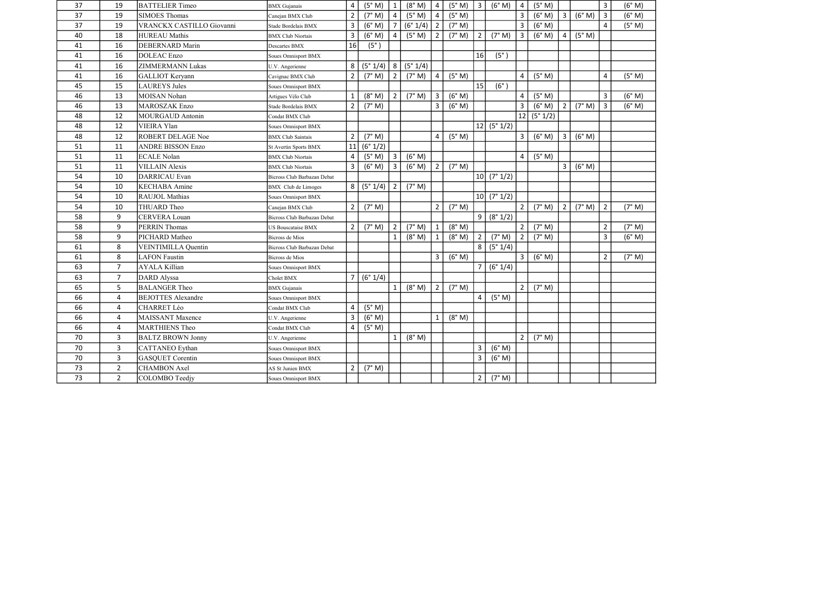| 37<br>19<br>SIMOES Thomas<br>Canejan BMX Club<br>37<br>19<br>VRANCKX CASTILLO Giovanni<br>Stade Bordelais BMX<br>40<br>18<br><b>HUREAU</b> Mathis<br><b>BMX Club Niortais</b><br>41<br>16<br><b>DEBERNARD Marin</b><br>Descartes BMX<br>16<br>DOLEAC Enzo<br>41<br>Soues Omnisport BMX<br>16<br>41<br>ZIMMERMANN Lukas<br>U.V. Angerienne<br>16<br>41<br>GALLIOT Keryann<br>Cavignac BMX Club<br>45<br>15<br><b>LAUREYS Jules</b><br>Soues Omnisport BMX<br>46<br>13<br>MOISAN Nohan<br>Artigues Vélo Club<br>46<br>13<br>MAROSZAK Enzo<br>Stade Bordelais BMX<br>48<br>12<br>MOURGAUD Antonin<br>Condat BMX Club |                             | $\overline{2}$<br>3<br>3<br>16<br>8<br>$\overline{2}$<br>$\mathbf{1}$<br>$\overline{2}$ | (7° M)<br>(6° M)<br>(6° M)<br>$(5^\circ)$<br>(5° 1/4)<br>(7° M)<br>(8° M)<br>(7° M) | $\overline{4}$<br>$\overline{4}$<br>8 <sup>1</sup><br>$2^{\circ}$<br>2 | (5° M)<br>(6° 1/4)<br>(5° M)<br>(5° 1/4)<br>(7° M)<br>(7° M) | $\overline{4}$<br>$\vert$ 2<br>$\overline{2}$<br>$\overline{4}$<br>$\overline{3}$ | (5° M)<br>(7° M)<br>(7° M)<br>(5° M) | $\overline{2}$<br>16<br>15 | (7° M)<br>$(5^\circ)$<br>$(6^\circ)$ | 3<br>3<br>3<br>4 | (6° M)<br>(6° M)<br>(6° M)<br>(5° M) | $\overline{3}$<br>4 | (6° M)<br>(5° M) | $\overline{3}$<br>$\overline{4}$<br>$\overline{4}$ | (6° M)<br>(5° M)<br>(5° M) |
|-------------------------------------------------------------------------------------------------------------------------------------------------------------------------------------------------------------------------------------------------------------------------------------------------------------------------------------------------------------------------------------------------------------------------------------------------------------------------------------------------------------------------------------------------------------------------------------------------------------------|-----------------------------|-----------------------------------------------------------------------------------------|-------------------------------------------------------------------------------------|------------------------------------------------------------------------|--------------------------------------------------------------|-----------------------------------------------------------------------------------|--------------------------------------|----------------------------|--------------------------------------|------------------|--------------------------------------|---------------------|------------------|----------------------------------------------------|----------------------------|
|                                                                                                                                                                                                                                                                                                                                                                                                                                                                                                                                                                                                                   |                             |                                                                                         |                                                                                     |                                                                        |                                                              |                                                                                   |                                      |                            |                                      |                  |                                      |                     |                  |                                                    |                            |
|                                                                                                                                                                                                                                                                                                                                                                                                                                                                                                                                                                                                                   |                             |                                                                                         |                                                                                     |                                                                        |                                                              |                                                                                   |                                      |                            |                                      |                  |                                      |                     |                  |                                                    |                            |
|                                                                                                                                                                                                                                                                                                                                                                                                                                                                                                                                                                                                                   |                             |                                                                                         |                                                                                     |                                                                        |                                                              |                                                                                   |                                      |                            |                                      |                  |                                      |                     |                  |                                                    |                            |
|                                                                                                                                                                                                                                                                                                                                                                                                                                                                                                                                                                                                                   |                             |                                                                                         |                                                                                     |                                                                        |                                                              |                                                                                   |                                      |                            |                                      |                  |                                      |                     |                  |                                                    |                            |
|                                                                                                                                                                                                                                                                                                                                                                                                                                                                                                                                                                                                                   |                             |                                                                                         |                                                                                     |                                                                        |                                                              |                                                                                   |                                      |                            |                                      |                  |                                      |                     |                  |                                                    |                            |
|                                                                                                                                                                                                                                                                                                                                                                                                                                                                                                                                                                                                                   |                             |                                                                                         |                                                                                     |                                                                        |                                                              |                                                                                   |                                      |                            |                                      |                  |                                      |                     |                  |                                                    |                            |
|                                                                                                                                                                                                                                                                                                                                                                                                                                                                                                                                                                                                                   |                             |                                                                                         |                                                                                     |                                                                        |                                                              |                                                                                   |                                      |                            |                                      |                  |                                      |                     |                  |                                                    |                            |
|                                                                                                                                                                                                                                                                                                                                                                                                                                                                                                                                                                                                                   |                             |                                                                                         |                                                                                     |                                                                        |                                                              |                                                                                   |                                      |                            |                                      |                  |                                      |                     |                  |                                                    |                            |
|                                                                                                                                                                                                                                                                                                                                                                                                                                                                                                                                                                                                                   |                             |                                                                                         |                                                                                     |                                                                        |                                                              |                                                                                   | (6° M)                               |                            |                                      | 4                | (5° M)                               |                     |                  | $\overline{3}$                                     | (6° M)                     |
|                                                                                                                                                                                                                                                                                                                                                                                                                                                                                                                                                                                                                   |                             |                                                                                         |                                                                                     |                                                                        |                                                              | $\overline{3}$                                                                    | (6° M)                               |                            |                                      | 3                | (6° M)                               | $\overline{2}$      | (7° M)           | $\overline{3}$                                     | (6° M)                     |
|                                                                                                                                                                                                                                                                                                                                                                                                                                                                                                                                                                                                                   |                             |                                                                                         |                                                                                     |                                                                        |                                                              |                                                                                   |                                      |                            |                                      | 12               | (5° 1/2)                             |                     |                  |                                                    |                            |
| 12<br>48<br>VIEIRA Ylan<br>Soues Omnisport BMX                                                                                                                                                                                                                                                                                                                                                                                                                                                                                                                                                                    |                             |                                                                                         |                                                                                     |                                                                        |                                                              |                                                                                   |                                      |                            | 12   (5° 1/2)                        |                  |                                      |                     |                  |                                                    |                            |
| 48<br><b>ROBERT DELAGE Noe</b><br>12<br><b>BMX Club Saintais</b>                                                                                                                                                                                                                                                                                                                                                                                                                                                                                                                                                  |                             | $\overline{2}$                                                                          | (7° M)                                                                              |                                                                        |                                                              | 4                                                                                 | (5° M)                               |                            |                                      | $\mathbf{3}$     | (6° M)                               | $\overline{3}$      | (6° M)           |                                                    |                            |
| 51<br>11<br><b>ANDRE BISSON Enzo</b><br>St Avertin Sports BMX                                                                                                                                                                                                                                                                                                                                                                                                                                                                                                                                                     |                             | 11                                                                                      | (6° 1/2)                                                                            |                                                                        |                                                              |                                                                                   |                                      |                            |                                      |                  |                                      |                     |                  |                                                    |                            |
| 51<br>11<br><b>ECALE Nolan</b><br><b>BMX Club Niortais</b>                                                                                                                                                                                                                                                                                                                                                                                                                                                                                                                                                        |                             | 4                                                                                       | (5° M)                                                                              | $\mathbf{3}$                                                           | (6° M)                                                       |                                                                                   |                                      |                            |                                      | 4                | (5° M)                               |                     |                  |                                                    |                            |
| 51<br><b>VILLAIN Alexis</b><br>11<br><b>BMX</b> Club Niortais                                                                                                                                                                                                                                                                                                                                                                                                                                                                                                                                                     |                             | 3                                                                                       | (6° M)                                                                              | $\mathbf{3}$                                                           | (6° M)                                                       | $\overline{2}$                                                                    | (7° M)                               |                            |                                      |                  |                                      | $\overline{3}$      | (6° M)           |                                                    |                            |
| 54<br>10<br>DARRICAU Evan                                                                                                                                                                                                                                                                                                                                                                                                                                                                                                                                                                                         | Bicross Club Barbazan Debat |                                                                                         |                                                                                     |                                                                        |                                                              |                                                                                   |                                      |                            | 10   (7° 1/2)                        |                  |                                      |                     |                  |                                                    |                            |
| 54<br>10<br><b>KECHABA</b> Amine<br><b>BMX</b> Club de Limoges                                                                                                                                                                                                                                                                                                                                                                                                                                                                                                                                                    |                             | 8 <sup>1</sup>                                                                          | (5° 1/4)                                                                            | $\overline{2}$                                                         | (7° M)                                                       |                                                                                   |                                      |                            |                                      |                  |                                      |                     |                  |                                                    |                            |
| 54<br>10<br><b>RAUJOL Mathias</b><br>Soues Omnisport BMX                                                                                                                                                                                                                                                                                                                                                                                                                                                                                                                                                          |                             |                                                                                         |                                                                                     |                                                                        |                                                              |                                                                                   |                                      |                            | 10   (7° 1/2)                        |                  |                                      |                     |                  |                                                    |                            |
| 54<br>10<br>THUARD Theo<br>Canejan BMX Club                                                                                                                                                                                                                                                                                                                                                                                                                                                                                                                                                                       |                             | $\overline{2}$                                                                          | (7° M)                                                                              |                                                                        |                                                              | $\overline{2}$                                                                    | (7° M)                               |                            |                                      | $\overline{2}$   | (7° M)                               | $\overline{2}$      | (7° M)           | $\overline{2}$                                     | (7° M)                     |
| 58<br>9<br>CERVERA Louan                                                                                                                                                                                                                                                                                                                                                                                                                                                                                                                                                                                          | Bicross Club Barbazan Debat |                                                                                         |                                                                                     |                                                                        |                                                              |                                                                                   |                                      | 9 <sup>1</sup>             | (8° 1/2)                             |                  |                                      |                     |                  |                                                    |                            |
| 58<br>9<br>PERRIN Thomas<br><b>US Bouscataise BMX</b>                                                                                                                                                                                                                                                                                                                                                                                                                                                                                                                                                             |                             | $2^{\circ}$                                                                             | (7° M)                                                                              | $2^{\circ}$                                                            | (7° M)                                                       | $\mathbf{1}$                                                                      | (8° M)                               |                            |                                      | $\overline{2}$   | (7° M)                               |                     |                  | $\overline{2}$                                     | (7° M)                     |
| 58<br>9<br>PICHARD Matheo<br><b>Bicross de Mios</b>                                                                                                                                                                                                                                                                                                                                                                                                                                                                                                                                                               |                             |                                                                                         |                                                                                     | $\mathbf{1}$                                                           | (8° M)                                                       | $\mathbf{1}$                                                                      | (8° M)                               | $\overline{2}$             | (7° M)                               | $\overline{2}$   | (7° M)                               |                     |                  | $\overline{\mathbf{3}}$                            | (6° M)                     |
| 8<br>61<br>VEINTIMILLA Quentin                                                                                                                                                                                                                                                                                                                                                                                                                                                                                                                                                                                    | Bicross Club Barbazan Debat |                                                                                         |                                                                                     |                                                                        |                                                              |                                                                                   |                                      | 8 <sup>1</sup>             | (5° 1/4)                             |                  |                                      |                     |                  |                                                    |                            |
| 8<br>61<br><b>LAFON Faustin</b><br>Bicross de Mios                                                                                                                                                                                                                                                                                                                                                                                                                                                                                                                                                                |                             |                                                                                         |                                                                                     |                                                                        |                                                              | 3                                                                                 | (6° M)                               |                            |                                      | 3                | (6° M)                               |                     |                  | $\overline{2}$                                     | (7° M)                     |
| $\overline{7}$<br>63<br><b>AYALA Killian</b><br>Soues Omnisport BMX                                                                                                                                                                                                                                                                                                                                                                                                                                                                                                                                               |                             |                                                                                         |                                                                                     |                                                                        |                                                              |                                                                                   |                                      |                            | (6° 1/4)                             |                  |                                      |                     |                  |                                                    |                            |
| $\overline{7}$<br>63<br>DARD Alyssa<br>Cholet BMX                                                                                                                                                                                                                                                                                                                                                                                                                                                                                                                                                                 |                             | $\overline{7}$                                                                          | (6° 1/4)                                                                            |                                                                        |                                                              |                                                                                   |                                      |                            |                                      |                  |                                      |                     |                  |                                                    |                            |
| 65<br>5<br><b>BALANGER Theo</b><br><b>BMX</b> Gujanais                                                                                                                                                                                                                                                                                                                                                                                                                                                                                                                                                            |                             |                                                                                         |                                                                                     | 1                                                                      | (8° M)                                                       | $\overline{2}$                                                                    | (7° M)                               |                            |                                      | $2^{\circ}$      | (7° M)                               |                     |                  |                                                    |                            |
| 66<br>4<br><b>BEJOTTES Alexandre</b><br>Soues Omnisport BMX                                                                                                                                                                                                                                                                                                                                                                                                                                                                                                                                                       |                             |                                                                                         |                                                                                     |                                                                        |                                                              |                                                                                   |                                      | 4                          | (5° M)                               |                  |                                      |                     |                  |                                                    |                            |
| 66<br>4<br>CHARRET Léo<br>Condat BMX Club                                                                                                                                                                                                                                                                                                                                                                                                                                                                                                                                                                         |                             | 4                                                                                       | (5° M)                                                                              |                                                                        |                                                              |                                                                                   |                                      |                            |                                      |                  |                                      |                     |                  |                                                    |                            |
| 66<br>4<br>MAISSANT Maxence<br>U.V. Angerienne                                                                                                                                                                                                                                                                                                                                                                                                                                                                                                                                                                    |                             | $\overline{3}$                                                                          | (6° M)                                                                              |                                                                        |                                                              |                                                                                   | (8° M)                               |                            |                                      |                  |                                      |                     |                  |                                                    |                            |
| 66<br>4<br><b>MARTHIENS Theo</b><br>Condat BMX Club                                                                                                                                                                                                                                                                                                                                                                                                                                                                                                                                                               |                             | $\overline{\mathbf{4}}$                                                                 | (5° M)                                                                              |                                                                        |                                                              |                                                                                   |                                      |                            |                                      |                  |                                      |                     |                  |                                                    |                            |
| 70<br>3<br><b>BALTZ BROWN Jonny</b><br>U.V. Angerienne                                                                                                                                                                                                                                                                                                                                                                                                                                                                                                                                                            |                             |                                                                                         |                                                                                     | $\mathbf{1}$                                                           | (8° M)                                                       |                                                                                   |                                      |                            |                                      | $\overline{2}$   | (7° M)                               |                     |                  |                                                    |                            |
| 3<br>70<br><b>CATTANEO</b> Eythan<br>Soues Omnisport BMX                                                                                                                                                                                                                                                                                                                                                                                                                                                                                                                                                          |                             |                                                                                         |                                                                                     |                                                                        |                                                              |                                                                                   |                                      | 3                          | (6° M)                               |                  |                                      |                     |                  |                                                    |                            |
| 3<br>70<br>GASQUET Corentin<br>Soues Omnisport BMX                                                                                                                                                                                                                                                                                                                                                                                                                                                                                                                                                                |                             |                                                                                         |                                                                                     |                                                                        |                                                              |                                                                                   |                                      | 3                          | (6° M)                               |                  |                                      |                     |                  |                                                    |                            |
| $\overline{2}$<br>73<br><b>CHAMBON Axel</b><br>AS St Junien BMX                                                                                                                                                                                                                                                                                                                                                                                                                                                                                                                                                   |                             | $\overline{2}$                                                                          | (7° M)                                                                              |                                                                        |                                                              |                                                                                   |                                      |                            |                                      |                  |                                      |                     |                  |                                                    |                            |
| 73<br>2 <sup>1</sup><br>COLOMBO Teedjy<br>Soues Omnisport BMX                                                                                                                                                                                                                                                                                                                                                                                                                                                                                                                                                     |                             |                                                                                         |                                                                                     |                                                                        |                                                              |                                                                                   |                                      | $\overline{2}$             | (7° M)                               |                  |                                      |                     |                  |                                                    |                            |

| $\frac{(6° M)}{(6° M)}$<br>$\frac{(5° M)}{(5° M)}$ |  |
|----------------------------------------------------|--|
|                                                    |  |
|                                                    |  |
|                                                    |  |
|                                                    |  |
|                                                    |  |
|                                                    |  |
| (5° M)                                             |  |
|                                                    |  |
| (6° M)                                             |  |
| (6° M)                                             |  |
|                                                    |  |
|                                                    |  |
|                                                    |  |
|                                                    |  |
|                                                    |  |
|                                                    |  |
|                                                    |  |
|                                                    |  |
|                                                    |  |
| (7° M)                                             |  |
|                                                    |  |
| (7° M)                                             |  |
| $\overline{(6° M)}$                                |  |
|                                                    |  |
| $\overline{(7° \text{ M})}$                        |  |
|                                                    |  |
|                                                    |  |
|                                                    |  |
|                                                    |  |
|                                                    |  |
|                                                    |  |
|                                                    |  |
|                                                    |  |
|                                                    |  |
|                                                    |  |
|                                                    |  |
|                                                    |  |
|                                                    |  |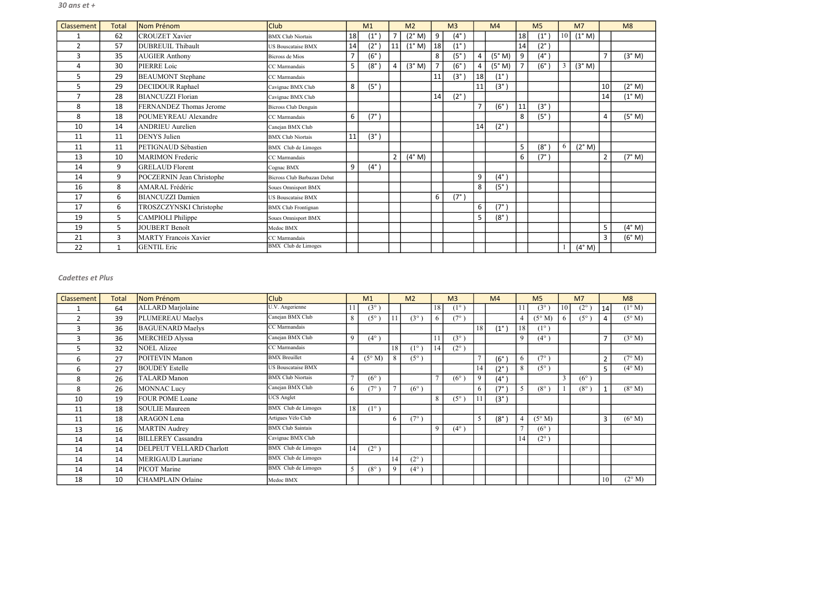| Classement    | Total        | Nom Prénom                | <b>Club</b>                 |                | M <sub>1</sub> |                | M <sub>2</sub>  |                  | M <sub>3</sub> |                | M <sub>4</sub>    |    | M <sub>5</sub>    |        | M <sub>7</sub> |                | M8     |
|---------------|--------------|---------------------------|-----------------------------|----------------|----------------|----------------|-----------------|------------------|----------------|----------------|-------------------|----|-------------------|--------|----------------|----------------|--------|
|               | 62           | <b>CROUZET Xavier</b>     | <b>BMX Club Niortais</b>    | 18             | $(1^{\circ})$  | $\overline{7}$ | (2° M)          | $\boldsymbol{9}$ | $(4^{\circ})$  |                |                   | 18 | $(1^{\circ})$     | $10\,$ | (1° M)         |                |        |
| $\mathcal{P}$ | 57           | <b>DUBREUIL Thibault</b>  | <b>US Bouscataise BMX</b>   | 14             | $(2^{\circ})$  | 11             | $(1^{\circ} M)$ | 18               | $(1^{\circ})$  |                |                   | 14 | $(2^{\circ})$     |        |                |                |        |
| 3             | 35           | <b>AUGIER Anthony</b>     | Bicross de Mios             | $\overline{7}$ | (6°)           |                |                 | 8                | $(5^\circ$     | 4              | (5° M)            | 9  | $(4^{\circ})$     |        |                | $\overline{7}$ | (3° M) |
| 4             | 30           | PIERRE Loic               | CC Marmandais               | 5              | $(8^\circ)$    | $\overline{4}$ | (3° M)          | $\overline{7}$   | $(6^\circ$     | 4              | (5° M)            |    | $(6^\circ)$       | 3      | (3° M)         |                |        |
| 5             | 29           | <b>BEAUMONT</b> Stephane  | CC Marmandais               |                |                |                |                 | 11               | $(3^\circ)$    | 18             | $(1^{\circ})$     |    |                   |        |                |                |        |
| 5             | 29           | <b>DECIDOUR Raphael</b>   | Cavignac BMX Club           | 8              | $(5^\circ)$    |                |                 |                  |                | 11             | (3°)              |    |                   |        |                | 10             | (2° M) |
|               | 28           | <b>BIANCUZZI Florian</b>  | Cavignac BMX Club           |                |                |                |                 | 14               | $(2^{\circ})$  |                |                   |    |                   |        |                | 14             | (1° M) |
| 8             | 18           | FERNANDEZ Thomas Jerome   | <b>Bicross Club Denguin</b> |                |                |                |                 |                  |                | $\overline{ }$ | $(6^\circ$        | 11 | (3°)              |        |                |                |        |
| 8             | 18           | POUMEYREAU Alexandre      | CC Marmandais               | 6              | (7°)           |                |                 |                  |                |                |                   | 8  | (5 <sup>°</sup> ) |        |                | $\overline{4}$ | (5° M) |
| 10            | 14           | <b>ANDRIEU</b> Aurelien   | Canejan BMX Club            |                |                |                |                 |                  |                | 14             | $(2^{\circ})$     |    |                   |        |                |                |        |
| 11            | 11           | <b>DENYS</b> Julien       | <b>BMX Club Niortais</b>    | 11             | (3°)           |                |                 |                  |                |                |                   |    |                   |        |                |                |        |
| 11            | 11           | PETIGNAUD Sébastien       | BMX Club de Limoges         |                |                |                |                 |                  |                |                |                   | 5  | $(8^\circ)$       | 6      | (2° M)         |                |        |
| 13            | 10           | <b>MARIMON</b> Frederic   | CC Marmandais               |                |                | 2 <sup>1</sup> | $(4^{\circ}$ M) |                  |                |                |                   | 6  | (7°)              |        |                | $\overline{2}$ | (7° M) |
| 14            | 9            | <b>GRELAUD Florent</b>    | Cognac BMX                  | 9              | $(4^{\circ})$  |                |                 |                  |                |                |                   |    |                   |        |                |                |        |
| 14            | 9            | POCZERNIN Jean Christophe | Bicross Club Barbazan Debat |                |                |                |                 |                  |                | 9              | $(4^\circ)$       |    |                   |        |                |                |        |
| 16            | 8            | AMARAL Frédéric           | Soues Omnisport BMX         |                |                |                |                 |                  |                | 8              | (5 <sup>°</sup> ) |    |                   |        |                |                |        |
| 17            | 6            | <b>BIANCUZZI</b> Damien   | <b>US Bouscataise BMX</b>   |                |                |                |                 | 6                | $(7^{\circ})$  |                |                   |    |                   |        |                |                |        |
| 17            | 6            | TROSZCZYNSKI Christophe   | <b>BMX</b> Club Frontignan  |                |                |                |                 |                  |                | 6              | $(7^\circ)$       |    |                   |        |                |                |        |
| 19            | 5            | <b>CAMPIOLI Philippe</b>  | Soues Omnisport BMX         |                |                |                |                 |                  |                | 5              | $(8^\circ)$       |    |                   |        |                |                |        |
| 19            | 5            | <b>JOUBERT Benoît</b>     | Medoc BMX                   |                |                |                |                 |                  |                |                |                   |    |                   |        |                | 5              | (4° M) |
| 21            | 3            | MARTY Francois Xavier     | CC Marmandais               |                |                |                |                 |                  |                |                |                   |    |                   |        |                | $\overline{3}$ | (6° M) |
| 22            | $\mathbf{1}$ | <b>GENTIL Eric</b>        | <b>BMX</b> Club de Limoges  |                |                |                |                 |                  |                |                |                   |    |                   |        | (4° M)         |                |        |

| Classement | <b>Total</b> | Nom Prénom                      | Club                       |    | M1              |                | M <sub>2</sub> |                | M <sub>3</sub> |                | M <sub>4</sub> |    | M <sub>5</sub> |    | M <sub>7</sub> |                | M8              |
|------------|--------------|---------------------------------|----------------------------|----|-----------------|----------------|----------------|----------------|----------------|----------------|----------------|----|----------------|----|----------------|----------------|-----------------|
|            | 64           | ALLARD Marjolaine               | U.V. Angerienne            | 11 | $(3^{\circ})$   |                |                | 18             | $(1^{\circ})$  |                |                |    | $(3^{\circ})$  | 10 | $(2^{\circ})$  | 14             | $(1^{\circ} M)$ |
| 2          | 39           | PLUMEREAU Maelys                | Canejan BMX Club           | 8  | $(5^{\circ})$   |                | $(3^{\circ})$  | 6              | $(7^{\circ})$  |                |                |    | $(5^\circ M)$  | 6  | $(5^{\circ})$  | $\overline{4}$ | $(5^{\circ} M)$ |
| 3          | 36           | <b>BAGUENARD Maelys</b>         | CC Marmandais              |    |                 |                |                |                |                | 18             | $(1^{\circ}$   | 18 | $(1^{\circ})$  |    |                |                |                 |
| 3          | 36           | MERCHED Alyssa                  | Canejan BMX Club           | 9  | $(4^{\circ})$   |                |                |                | $(3^{\circ})$  |                |                | Q  | $(4^{\circ})$  |    |                | $\overline{7}$ | $(3^\circ M)$   |
| 5          | 32           | <b>NOEL Alizee</b>              | CC Marmandais              |    |                 | 18             | $(1^{\circ})$  | 14             | $(2^{\circ})$  |                |                |    |                |    |                |                |                 |
| 6          | 27           | POITEVIN Manon                  | <b>BMX</b> Breuillet       |    | $(5^{\circ} M)$ | 8              | $(5^{\circ})$  |                |                | $\overline{ }$ | $(6^{\circ}$   | 6. | $(7^{\circ})$  |    |                | $\overline{2}$ | $(7^{\circ} M)$ |
| 6          | 27           | <b>BOUDEY</b> Estelle           | <b>US Bouscataise BMX</b>  |    |                 |                |                |                |                | 14             | $(2^{\circ}$   | 8  | $(5^{\circ})$  |    |                | 5              | $(4^{\circ} M)$ |
| 8          | 26           | <b>TALARD</b> Manon             | <b>BMX Club Niortais</b>   |    | $(6^{\circ})$   |                |                | $\overline{ }$ | $(6^{\circ})$  | 9              | $(4^{\circ}$   |    |                | 3  | $(6^{\circ})$  |                |                 |
| 8          | 26           | MONNAC Lucy                     | Canejan BMX Club           | 6  | $(7^{\circ})$   | $\overline{ }$ | $(6^{\circ})$  |                |                | 6              | $(7^\circ$     |    | $(8^\circ)$    |    | $(8^\circ)$    | $\mathbf{1}$   | $(8^\circ M)$   |
| 10         | 19           | <b>FOUR POME Loane</b>          | <b>UCS Anglet</b>          |    |                 |                |                | 8              | $(5^{\circ})$  |                | $(3^{\circ})$  |    |                |    |                |                |                 |
| 11         | 18           | <b>SOULIE Maureen</b>           | <b>BMX</b> Club de Limoges | 18 | $(1^{\circ})$   |                |                |                |                |                |                |    |                |    |                |                |                 |
| 11         | 18           | <b>ARAGON</b> Lena              | Artigues Vélo Club         |    |                 | 6              | $(7^{\circ})$  |                |                | 5              | $(8^\circ)$    |    | $(5^\circ M)$  |    |                | 3              | $(6^{\circ} M)$ |
| 13         | 16           | <b>MARTIN</b> Audrey            | <b>BMX Club Saintais</b>   |    |                 |                |                | 9              | $(4^{\circ})$  |                |                |    | $(6^{\circ})$  |    |                |                |                 |
| 14         | 14           | <b>BILLEREY</b> Cassandra       | Cavignac BMX Club          |    |                 |                |                |                |                |                |                | 14 | $(2^{\circ})$  |    |                |                |                 |
| 14         | 14           | <b>DELPEUT VELLARD Charlott</b> | <b>BMX</b> Club de Limoges | 14 | $(2^{\circ})$   |                |                |                |                |                |                |    |                |    |                |                |                 |
| 14         | 14           | MERIGAUD Lauriane               | BMX Club de Limoges        |    |                 | 14             | $(2^{\circ})$  |                |                |                |                |    |                |    |                |                |                 |
| 14         | 14           | PICOT Marine                    | <b>BMX</b> Club de Limoges | 5  | $(8^\circ$      | 9              | $(4^{\circ}$   |                |                |                |                |    |                |    |                |                |                 |
| 18         | 10           | CHAMPLAIN Orlaine               | Medoc BMX                  |    |                 |                |                |                |                |                |                |    |                |    |                | 10             | $(2^{\circ} M)$ |

#### Cadettes et Plus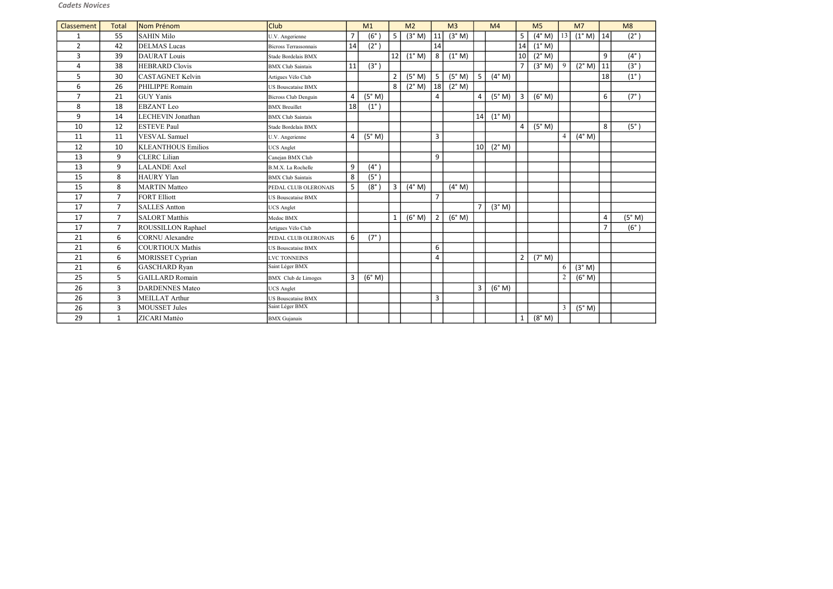| Classement     | Total          | Nom Prénom                | <b>Club</b>                  |                | M1                |                | M <sub>2</sub>  |                | M <sub>3</sub>  |                | M <sub>4</sub>  |                | M <sub>5</sub>  |                | M <sub>7</sub> |                | M8            |
|----------------|----------------|---------------------------|------------------------------|----------------|-------------------|----------------|-----------------|----------------|-----------------|----------------|-----------------|----------------|-----------------|----------------|----------------|----------------|---------------|
| $\mathbf{1}$   | 55             | <b>SAHIN Milo</b>         | U.V. Angerienne              | $\overline{7}$ | $(6^\circ)$       | 5 <sup>1</sup> | (3° M)          | 11             | (3° M)          |                |                 | 5              | (4° M)          | 13             | (1° M)         | 14             | $(2^{\circ})$ |
| $\overline{2}$ | 42             | <b>DELMAS</b> Lucas       | <b>Bicross Terrassonnais</b> | 14             | $(2^{\circ})$     |                |                 | 14             |                 |                |                 | 14             | $(1^{\circ}$ M) |                |                |                |               |
| $\overline{3}$ | 39             | <b>DAURAT</b> Louis       | Stade Bordelais BMX          |                |                   | 12             | $(1^{\circ}$ M) | 8              | $(1^{\circ} M)$ |                |                 | 10             | (2° M)          |                |                | 9              | $(4^{\circ})$ |
| 4              | 38             | <b>HEBRARD Clovis</b>     | <b>BMX</b> Club Saintais     | 11             | $(3^{\circ})$     |                |                 |                |                 |                |                 | $\overline{7}$ | (3° M)          | 9              | (2° M)         | 11             | $(3^{\circ})$ |
| 5              | 30             | <b>CASTAGNET Kelvin</b>   | Artigues Vélo Club           |                |                   | $\overline{2}$ | (5° M)          | 5              | (5° M)          | 5              | (4° M)          |                |                 |                |                | 18             | $(1^{\circ})$ |
| 6              | 26             | PHILIPPE Romain           | <b>US Bouscataise BMX</b>    |                |                   | 8 <sup>1</sup> | (2° M)          | 18             | $(2^{\circ} M)$ |                |                 |                |                 |                |                |                |               |
| $\overline{7}$ | 21             | <b>GUY</b> Yanis          | <b>Bicross Club Denguin</b>  | $\overline{4}$ | (5° M)            |                |                 | 4              |                 | $\overline{4}$ | (5° M)          | 3              | (6° M)          |                |                | 6              | $(7^{\circ})$ |
| 8              | 18             | <b>EBZANT</b> Leo         | <b>BMX</b> Breuillet         | 18             | $(1^{\circ})$     |                |                 |                |                 |                |                 |                |                 |                |                |                |               |
| 9              | 14             | <b>LECHEVIN Jonathan</b>  | <b>BMX</b> Club Saintais     |                |                   |                |                 |                |                 | 14             | $(1^{\circ} M)$ |                |                 |                |                |                |               |
| 10             | 12             | <b>ESTEVE Paul</b>        | Stade Bordelais BMX          |                |                   |                |                 |                |                 |                |                 | $\overline{4}$ | (5° M)          |                |                | 8              | $(5^{\circ})$ |
| 11             | 11             | VESVAL Samuel             | U.V. Angerienne              | 4              | (5° M)            |                |                 | 3              |                 |                |                 |                |                 | $\overline{4}$ | (4° M)         |                |               |
| 12             | 10             | <b>KLEANTHOUS Emilios</b> | <b>UCS</b> Anglet            |                |                   |                |                 |                |                 | 10             | $(2^{\circ} M)$ |                |                 |                |                |                |               |
| 13             | 9              | <b>CLERC</b> Lilian       | Canejan BMX Club             |                |                   |                |                 | 9              |                 |                |                 |                |                 |                |                |                |               |
| 13             | 9              | <b>LALANDE</b> Axel       | B.M.X. La Rochelle           | 9              | $(4^{\circ})$     |                |                 |                |                 |                |                 |                |                 |                |                |                |               |
| 15             | 8              | HAURY Ylan                | <b>BMX</b> Club Saintais     | 8              | (5 <sup>°</sup> ) |                |                 |                |                 |                |                 |                |                 |                |                |                |               |
| 15             | 8              | <b>MARTIN Matteo</b>      | PEDAL CLUB OLERONAIS         | 5              | $(8^\circ$        | $\overline{3}$ | $(4^{\circ}$ M) |                | (4° M)          |                |                 |                |                 |                |                |                |               |
| 17             | $\overline{7}$ | <b>FORT Elliott</b>       | <b>US Bouscataise BMX</b>    |                |                   |                |                 | $\overline{7}$ |                 |                |                 |                |                 |                |                |                |               |
| 17             | $\overline{7}$ | <b>SALLES Antton</b>      | <b>UCS</b> Anglet            |                |                   |                |                 |                |                 | $\overline{7}$ | (3° M)          |                |                 |                |                |                |               |
| 17             | $\overline{7}$ | <b>SALORT</b> Matthis     | Medoc BMX                    |                |                   | $1\vert$       | (6° M)          | $\overline{2}$ | (6° M)          |                |                 |                |                 |                |                | $\overline{4}$ | (5° M)        |
| 17             | $\overline{7}$ | <b>ROUSSILLON Raphael</b> | Artigues Vélo Club           |                |                   |                |                 |                |                 |                |                 |                |                 |                |                |                | $(6^{\circ})$ |
| 21             | 6              | CORNU Alexandre           | PEDAL CLUB OLERONAIS         | 6              | (7°)              |                |                 |                |                 |                |                 |                |                 |                |                |                |               |
| 21             | 6              | COURTIOUX Mathis          | <b>US Bouscataise BMX</b>    |                |                   |                |                 | 6              |                 |                |                 |                |                 |                |                |                |               |
| 21             | 6              | MORISSET Cyprian          | <b>LVC TONNEINS</b>          |                |                   |                |                 | 4              |                 |                |                 | $2^{\circ}$    | (7° M)          |                |                |                |               |
| 21             | 6              | GASCHARD Ryan             | Saint Léger BMX              |                |                   |                |                 |                |                 |                |                 |                |                 | 6              | (3° M)         |                |               |
| 25             | 5              | GAILLARD Romain           | <b>BMX</b> Club de Limoges   | 3              | (6° M)            |                |                 |                |                 |                |                 |                |                 | 2              | (6° M)         |                |               |
| 26             | $\overline{3}$ | <b>DARDENNES Mateo</b>    | <b>UCS</b> Anglet            |                |                   |                |                 |                |                 | 3              | (6° M)          |                |                 |                |                |                |               |
| 26             | $\mathbf{3}$   | MEILLAT Arthur            | US Bouscataise BMX           |                |                   |                |                 | 3              |                 |                |                 |                |                 |                |                |                |               |
| 26             | $\overline{3}$ | MOUSSET Jules             | Saint Léger BMX              |                |                   |                |                 |                |                 |                |                 |                |                 | 3              | (5° M)         |                |               |
| 29             | $\mathbf{1}$   | ZICARI Mattéo             | <b>BMX</b> Gujanais          |                |                   |                |                 |                |                 |                |                 | $\mathbf{1}$   | (8° M)          |                |                |                |               |

| 8<br>(2° )                                         |
|----------------------------------------------------|
|                                                    |
|                                                    |
| $\frac{(4°)}{(3°)}$                                |
|                                                    |
| $\overline{7^{\circ}}$<br>$\overline{\phantom{a}}$ |
|                                                    |
| $(5^{\circ})$                                      |
|                                                    |
|                                                    |
|                                                    |
|                                                    |
|                                                    |
|                                                    |
|                                                    |
| 。<br>(6° )                                         |
|                                                    |
|                                                    |
|                                                    |
|                                                    |
|                                                    |
|                                                    |
|                                                    |
|                                                    |
|                                                    |

# Cadets Novices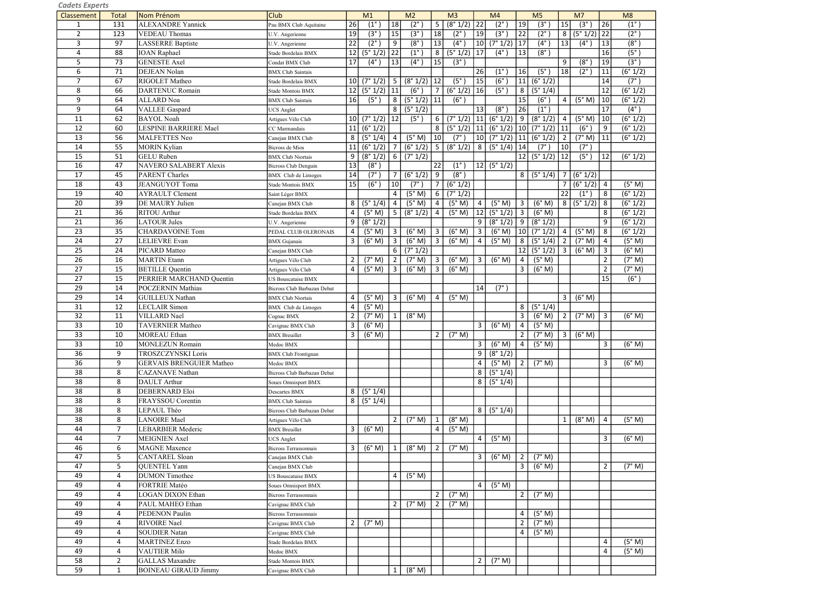| caaets experts  |                 |                                 |                              |                 |                          |                 |                        |                 |                        |                |                                 |                 |                          |                         |                |                 |                        |
|-----------------|-----------------|---------------------------------|------------------------------|-----------------|--------------------------|-----------------|------------------------|-----------------|------------------------|----------------|---------------------------------|-----------------|--------------------------|-------------------------|----------------|-----------------|------------------------|
| Classement      | <b>Total</b>    | Nom Prénom                      | <b>Club</b>                  |                 | M <sub>1</sub>           |                 | M <sub>2</sub>         |                 | M <sub>3</sub>         |                | M <sub>4</sub>                  |                 | M <sub>5</sub>           |                         | M <sub>7</sub> |                 | M8                     |
| $\mathbf{1}$    | 131             | <b>ALEXANDRE Yannick</b>        | Pau BMX Club Aquitaine       | 26              | $(1^{\circ}$             | 18              | $\overline{2^{\circ}}$ | $\sqrt{5}$      | (8° 1/2)               | 22             | $\overline{2^{\circ}}$          | 19              | $(3^\circ$               | 15                      | $(3^\circ$     | 26              | $(1^{\circ})$          |
| $\overline{2}$  | 123             | VEDEAU Thomas                   | U.V. Angerienne              | 19              | $\overline{3^\circ}$     | 15              | $\overline{3^{\circ}}$ | 18              | $(2^{\circ})$          | 19             | $(3^\circ)$                     | $\overline{22}$ | $\overline{2^{\circ}}$   | 8                       | (5° 1/2)       | 22              | $(2^{\circ})$          |
| 3               | 97              | <b>LASSERRE</b> Baptiste        | U.V. Angerienne              | $\overline{22}$ | $(2^\circ)$              | 9               | $\overline{8^\circ}$   | $\overline{13}$ | $\overline{(4^\circ)}$ | 10             | (7° 1/2)                        | 17              | $\overline{(4^{\circ}})$ | 13                      | $(4^\circ)$    | $\overline{13}$ | $\overline{(8^\circ)}$ |
| $\overline{4}$  | 88              | <b>IOAN</b> Raphael             | Stade Bordelais BMX          | 12              | (5° 1/2)                 | $\overline{22}$ | $(1^{\circ}$           | 8               | (5° 1/2)               | 17             | $(4^\circ)$                     | 13              | (8 <sup>°</sup> )        |                         |                | 16              | $\overline{(5^\circ)}$ |
| 5               | 73              | <b>GENESTE</b> Axel             | Condat BMX Club              | 17              | $(4^\circ)$              | 13              | $(4^{\circ})$          | 15              | $(3^\circ)$            |                |                                 |                 |                          | 9                       | (8°)           | 19              | $\overline{(3^\circ)}$ |
| 6               | 71              | <b>DEJEAN Nolan</b>             | <b>BMX</b> Club Saintais     |                 |                          |                 |                        |                 |                        | 26             | $(1^{\circ}$                    | 16              | $(5^\circ$               | 18                      | $(2^{\circ})$  | 11              | (6° 1/2)               |
| $\overline{7}$  | 67              | RIGOLET Matheo                  | Stade Bordelais BMX          | 10 <sup>1</sup> | (7° 1/2)                 | 5 <sub>o</sub>  | (8° 1/2)               | 12              | $(5^\circ$             | 15             | (6°)                            | 11              | (6° 1/2)                 |                         |                | 14              | $(7^{\circ})$          |
| 8               | 66              | <b>DARTENUC Romain</b>          |                              | 12              | (5° 1/2)                 | 11              | $(6^\circ)$            | 7               | (6° 1/2)               | 16             | $(5^\circ)$                     | 8               | (5° 1/4)                 |                         |                | 12              | (6° 1/2)               |
|                 |                 |                                 | Stade Montois BMX            |                 |                          |                 |                        |                 |                        |                |                                 |                 |                          |                         |                |                 |                        |
| 9               | 64              | <b>ALLARD</b> Noa               | <b>BMX</b> Club Saintais     | 16              | $(5^\circ)$              | 8 <sup>1</sup>  | (5° 1/2)               | 11              | $(6^\circ)$            |                |                                 | 15              | $(6^\circ$               | $\overline{4}$          | (5° M)         | 10              | (6° 1/2)               |
| 9               | 64              | <b>VALLEE</b> Gaspard           | <b>UCS Anglet</b>            |                 |                          | 8 <sup>1</sup>  | (5° 1/2)               |                 |                        | 13             | $(8^\circ)$                     | 26              | (1 <sup>°</sup> )        |                         |                | $\overline{17}$ | $(4^\circ)$            |
| 11              | 62              | <b>BAYOL Noah</b>               | Artigues Vélo Club           | 10 <sup>1</sup> | (7° 1/2)                 | 12              | $(5^\circ)$            | 6               |                        |                | $(7° 1/2)$ 11 $(6° 1/2)$        | 9               | (8° 1/2)                 | 4                       | (5° M)         | 10              | (6° 1/2)               |
| 12              | 60              | LESPINE BARRIERE Mael           | CC Marmandais                | 11              | (6° 1/2)                 |                 |                        | 8               | (5° 1/2)               |                | $ 11 $ (6° 1/2)                 | 10 <sup>1</sup> | (7° 1/2)                 | 11                      | (6°)           | 9               | (6° 1/2)               |
| 13              | 56              | MALFETTES Neo                   | Canejan BMX Club             | 8               | $\sqrt{(5^{\circ} 1/4)}$ | 4               | (5° M)                 | 10              | $(7^{\circ})$          |                | $\boxed{10}$ $\boxed{7}$ ° 1/2) | 11              | (6° 1/2)                 | $\overline{2}$          | (7° M)         | 11              | (6° 1/2)               |
| 14              | 55              | <b>MORIN Kylian</b>             | <b>Bicross</b> de Mios       | 11              | (6° 1/2)                 | 7 <sup>1</sup>  | (6° 1/2)               | $5\phantom{.0}$ | (8° 1/2)               | $8\phantom{1}$ | (5°1/4)                         | 14              | $(7^\circ$               | 10                      | $(7^\circ)$    |                 |                        |
| 15              | 51              | <b>GELU</b> Ruben               | <b>BMX Club Niortais</b>     | 9               | (8° 1/2)                 | $6 \mid$        | (7° 1/2)               |                 |                        |                |                                 | 12              | (5° 1/2)                 | 12                      | (5°)           | 12              | (6° 1/2)               |
| 16              | 47              | NAVERO SALABERT Alexis          | <b>Bicross Club Denguin</b>  | 13              | $(8^\circ)$              |                 |                        | 22              | $(1^{\circ})$          |                | $ 12 $ (5° 1/2)                 |                 |                          |                         |                |                 |                        |
| 17              | 45              | <b>PARENT Charles</b>           | <b>BMX</b> Club de Limoges   | 14              | $(7^\circ)$              | $\overline{7}$  | (6°1/2)                | 9               | $(8^\circ)$            |                |                                 |                 | 8   (5° 1/4)             | 7 I                     | (6°1/2)        |                 |                        |
| 18              | 43              | <b>JEANGUYOT Toma</b>           | Stade Montois BMX            | 15              | (6°)                     | 10              | (7 <sup>°</sup> )      | $\overline{7}$  | (6° 1/2)               |                |                                 |                 |                          | 7 <sup>1</sup>          | (6° 1/2)       | $\sqrt{4}$      | (5° M)                 |
| 19              | 40              | <b>AYRAULT</b> Clement          | Saint Léger BMX              |                 |                          | $\overline{4}$  | (5° M)                 | 6               | (7°1/2)                |                |                                 |                 |                          | 22                      | $(1^{\circ})$  | 8               | (6° 1/2)               |
| 20              | 39              | DE MAURY Julien                 | Canejan BMX Club             | 8               | (5° 1/4)                 | $\overline{4}$  | (5° M)                 | 4               | (5° M)                 | 4              | (5° M)                          | 3               | (6° M)                   | 8                       | (5° 1/2)       | 8               | $\overline{(6}° 1/2)$  |
| 21              | 36              | <b>RITOU</b> Arthur             | Stade Bordelais BMX          | 4               | (5° M)                   | 5               | (8° 1/2)               | $\overline{4}$  | (5° M)                 | 12             | (5° 1/2)                        | 3               | (6° M)                   |                         |                | 8               | (6° 1/2)               |
|                 |                 |                                 |                              |                 |                          |                 |                        |                 |                        |                |                                 |                 |                          |                         |                |                 |                        |
| 21              | 36              | <b>LATOUR Jules</b>             | U.V. Angerienne              | 9               | (8° 1/2)                 |                 |                        |                 |                        | 9              | (8° 1/2)                        | 9               | (8° 1/2)                 |                         |                | 9               | (6° 1/2)               |
| 23              | 35              | <b>CHARDAVOINE Tom</b>          | PEDAL CLUB OLERONAIS         | 4               | (5° M)                   | 3 <sup>1</sup>  | (6° M)                 | $\overline{3}$  | (6° M)                 | $\mathbf{3}$   | (6° M)                          | 10 <sup>1</sup> | (7° 1/2)                 | $\overline{4}$          | (5° M)         | $\,8\,$         | (6° 1/2)               |
| 24              | $\overline{27}$ | <b>LELIEVRE</b> Evan            | <b>BMX</b> Gujanais          | 3               | (6° M)                   | $\mathbf{3}$    | (6° M)                 | $\overline{3}$  | (6° M)                 | 4              | (5° M)                          | 8               | (5° 1/4)                 | $\overline{2}$          | (7° M)         | $\overline{4}$  | (5° M)                 |
| 25              | 24              | PICARD Matteo                   | Canejan BMX Club             |                 |                          | 6               | $\sqrt{(7°1/2)}$       |                 |                        |                |                                 | 12              | (5° 1/2)                 | $\overline{\mathbf{3}}$ | (6° M)         | $\overline{3}$  | $\overline{(6° M)}$    |
| 26              | 16              | <b>MARTIN</b> Etann             | Artigues Vélo Club           | 2               | (7° M)                   | 2               | (7° M)                 | $\overline{3}$  | (6° M)                 | $\mathbf{3}$   | (6° M)                          | 4               | (5° M)                   |                         |                | $\overline{2}$  | (7° M)                 |
| 27              | 15              | <b>BETILLE</b> Quentin          | Artigues Vélo Club           | 4               | (5° M)                   | $\mathbf{3}$    | (6° M)                 | 3               | (6° M)                 |                |                                 | 3               | (6° M)                   |                         |                | $\overline{2}$  | (7° M)                 |
| 27              | 15              | PERRIER MARCHAND Quentin        | JS Bouscataise BMX           |                 |                          |                 |                        |                 |                        |                |                                 |                 |                          |                         |                | 15              | (6°)                   |
| 29              | 14              | <b>POCZERNIN Mathias</b>        | Bicross Club Barbazan Debat  |                 |                          |                 |                        |                 |                        | 14             | $(7^\circ)$                     |                 |                          |                         |                |                 |                        |
| 29              | 14              | <b>GUILLEUX Nathan</b>          | <b>BMX</b> Club Niortais     | 4               | (5° M)                   | 3 <sup>1</sup>  | (6° M)                 | 4               | (5° M)                 |                |                                 |                 |                          | $\mathbf{3}$            | (6° M)         |                 |                        |
| $\overline{31}$ | 12              | <b>LECLAIR</b> Simon            | <b>BMX</b> Club de Limoges   | 4               | (5° M)                   |                 |                        |                 |                        |                |                                 | 8               | (5° 1/4)                 |                         |                |                 |                        |
| 32              | 11              | <b>VILLARD</b> Nael             | Cognac BMX                   | $\overline{2}$  | (7° M)                   | 1               | (8° M)                 |                 |                        |                |                                 | 3               | (6° M)                   | $\overline{2}$          | (7° M)         | $\overline{3}$  | (6° M)                 |
| 33              | 10              | <b>TAVERNIER Matheo</b>         | Cavignac BMX Club            | 3               | (6° M)                   |                 |                        |                 |                        | $\mathbf{3}$   | (6° M)                          | 4               | (5° M)                   |                         |                |                 |                        |
| 33              | 10              | <b>MOREAU</b> Ethan             | <b>BMX</b> Breuillet         | 3               | (6° M)                   |                 |                        | $\overline{2}$  | (7° M)                 |                |                                 | $\overline{2}$  | (7° M)                   | $\overline{3}$          | (6° M)         |                 |                        |
| 33              | 10              | <b>MONLEZUN Romain</b>          | Medoc BMX                    |                 |                          |                 |                        |                 |                        | $\mathbf{3}$   | (6° M)                          |                 | (5° M)                   |                         |                | 3               | (6° M)                 |
|                 |                 | <b>TROSZCZYNSKI Loris</b>       |                              |                 |                          |                 |                        |                 |                        |                |                                 | 4               |                          |                         |                |                 |                        |
| 36              | 9               |                                 | <b>BMX</b> Club Frontignan   |                 |                          |                 |                        |                 |                        | 9              | (8° 1/2)                        |                 |                          |                         |                |                 |                        |
| $\overline{36}$ | 9               | <b>GERVAIS BRENGUIER Matheo</b> | Medoc BMX                    |                 |                          |                 |                        |                 |                        | 4              | (5° M)                          | 2               | (7° M)                   |                         |                | 3               | (6° M)                 |
| 38              | 8               | <b>CAZANAVE</b> Nathan          | Bicross Club Barbazan Debat  |                 |                          |                 |                        |                 |                        | 8 <sup>1</sup> | (5°1/4)                         |                 |                          |                         |                |                 |                        |
| 38              | 8               | DAULT Arthur                    | Soues Omnisport BMX          |                 |                          |                 |                        |                 |                        | 8 <sup>1</sup> | (5° 1/4)                        |                 |                          |                         |                |                 |                        |
| 38              | 8               | <b>DEBERNARD Eloi</b>           | Descartes BMX                | 8               | (5° 1/4)                 |                 |                        |                 |                        |                |                                 |                 |                          |                         |                |                 |                        |
| 38              | 8               | FRAYSSOU Corentin               | <b>BMX</b> Club Saintais     | 8               | (5° 1/4)                 |                 |                        |                 |                        |                |                                 |                 |                          |                         |                |                 |                        |
| 38              | 8               | LEPAUL Théo                     | Bicross Club Barbazan Debat  |                 |                          |                 |                        |                 |                        |                | 8   (5° 1/4)                    |                 |                          |                         |                |                 |                        |
| 38              | 8               | <b>LANOIRE</b> Mael             | Artigues Vélo Club           |                 |                          | 2               | (7° M)                 | $\mathbf{1}$    | (8° M)                 |                |                                 |                 |                          | $\mathbf{1}$            | (8° M)         | 4               | (5° M)                 |
| 44              | $\overline{7}$  | <b>LEBARBIER Mederic</b>        | <b>BMX</b> Breuillet         | 3               | (6° M)                   |                 |                        | 4               | (5° M)                 |                |                                 |                 |                          |                         |                |                 |                        |
| 44              | $\overline{7}$  | <b>MEIGNIEN Axel</b>            | <b>JCS</b> Anglet            |                 |                          |                 |                        |                 |                        | 4              | (5° M)                          |                 |                          |                         |                | 3               | (6° M)                 |
| 46              | 6               | <b>MAGNE</b> Maxence            | <b>Bicross Terrassonnais</b> | 3               | (6° M)                   | $1\vert$        | (8° M)                 | $\overline{2}$  | (7° M)                 |                |                                 |                 |                          |                         |                |                 |                        |
| 47              | 5               | <b>CANTAREL Sloan</b>           | Canejan BMX Club             |                 |                          |                 |                        |                 |                        | $\mathbf{3}$   | (6° M)                          | $\overline{2}$  | (7° M)                   |                         |                |                 |                        |
| 47              | 5               | <b>QUENTEL Yann</b>             | Canejan BMX Club             |                 |                          |                 |                        |                 |                        |                |                                 | 3               | (6° M)                   |                         |                | $\overline{2}$  | (7° M)                 |
| 49              | 4               | <b>DUMON</b> Timothee           | US Bouscataise BMX           |                 |                          | $\overline{4}$  | (5° M)                 |                 |                        |                |                                 |                 |                          |                         |                |                 |                        |
| 49              | 4               | FORTRIE Matéo                   |                              |                 |                          |                 |                        |                 |                        | $\overline{4}$ | (5° M)                          |                 |                          |                         |                |                 |                        |
|                 |                 |                                 | Soues Omnisport BMX          |                 |                          |                 |                        |                 |                        |                |                                 |                 |                          |                         |                |                 |                        |
| 49              | 4               | <b>LOGAN DIXON Ethan</b>        | <b>Bicross Terrassonnais</b> |                 |                          |                 |                        | $\overline{2}$  | (7° M)                 |                |                                 | 2               | (7° M)                   |                         |                |                 |                        |
| 49              | 4               | PAUL MAHEO Ethan                | Cavignac BMX Club            |                 |                          | 2               | (7° M)                 | $\overline{2}$  | (7° M)                 |                |                                 |                 |                          |                         |                |                 |                        |
| 49              | 4               | PEDENON Paulin                  | <b>Bicross Terrassonnais</b> |                 |                          |                 |                        |                 |                        |                |                                 | 4               | (5° M)                   |                         |                |                 |                        |
| 49              | 4               | <b>RIVOIRE</b> Nael             | Cavignac BMX Club            | $2^{\circ}$     | (7° M)                   |                 |                        |                 |                        |                |                                 | $\overline{2}$  | (7° M)                   |                         |                |                 |                        |
| 49              | 4               | <b>SOUDIER Natan</b>            | Cavignac BMX Club            |                 |                          |                 |                        |                 |                        |                |                                 | 4               | (5° M)                   |                         |                |                 |                        |
| 49              | 4               | <b>MARTINEZ Enzo</b>            | Stade Bordelais BMX          |                 |                          |                 |                        |                 |                        |                |                                 |                 |                          |                         |                | $\overline{a}$  | (5° M)                 |
| 49              | 4               | <b>VAUTIER Milo</b>             | Medoc BMX                    |                 |                          |                 |                        |                 |                        |                |                                 |                 |                          |                         |                | $\overline{4}$  | (5° M)                 |
| 58              | $\overline{2}$  | <b>GALLAS</b> Maxandre          | Stade Montois BMX            |                 |                          |                 |                        |                 |                        | $\overline{2}$ | (7° M)                          |                 |                          |                         |                |                 |                        |
| 59              | $\mathbf{1}$    | <b>BOINEAU GIRAUD Jimmy</b>     | Cavignac BMX Club            |                 |                          | 1               | (8° M)                 |                 |                        |                |                                 |                 |                          |                         |                |                 |                        |
|                 |                 |                                 |                              |                 |                          |                 |                        |                 |                        |                |                                 |                 |                          |                         |                |                 |                        |

|  | <b>Cadets Experts</b> |
|--|-----------------------|
|--|-----------------------|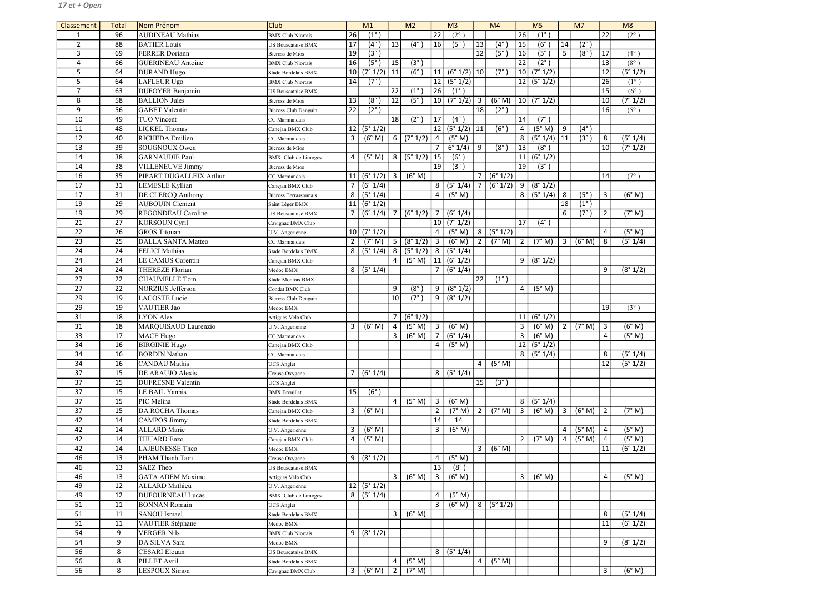| Classement      | <b>Total</b> | Nom Prénom                | <b>Club</b>                  | M1              |                          |                 | M <sub>2</sub>                    |                 | M <sub>3</sub>         |                 | M <sub>4</sub>           |                         | M <sub>5</sub>                   |                | M <sub>7</sub>    |                 | M8                |
|-----------------|--------------|---------------------------|------------------------------|-----------------|--------------------------|-----------------|-----------------------------------|-----------------|------------------------|-----------------|--------------------------|-------------------------|----------------------------------|----------------|-------------------|-----------------|-------------------|
| 1               | 96           | <b>AUDINEAU</b> Mathias   | <b>BMX Club Niortais</b>     | 26              | $(1^{\circ})$            |                 |                                   | 22              | $(2^{\circ})$          |                 |                          | 26                      | $(1^{\circ}$                     |                |                   | 22              | $(2^{\circ})$     |
| $\overline{2}$  | 88           | <b>BATIER Louis</b>       | US Bouscataise BMX           | 17              | $(4^\circ)$              | 13              | $(4^\circ)$                       | 16              | $(5^\circ)$            | 13              | $(4^\circ)$              | 15                      | (6°)                             | 14             | $(2^{\circ})$     |                 |                   |
| 3               | 69           | <b>FERRER Doriann</b>     | <b>Bicross</b> de Mios       | 19              | $(3^\circ)$              |                 |                                   |                 |                        | 12              | $(5^\circ$               | 16                      | (5 <sup>°</sup> )                | 5              | $(8^\circ)$       | <b>17</b>       | $(4^{\circ})$     |
| $\overline{4}$  | 66           | <b>GUERINEAU</b> Antoine  | <b>BMX Club Niortais</b>     | 16              | (5 <sup>°</sup> )        | 15              | $(3^\circ)$                       |                 |                        |                 |                          | 22                      | $(2^{\circ})$                    |                |                   | 13              | $(8^{\circ})$     |
| 5               | 64           | <b>DURAND Hugo</b>        | Stade Bordelais BMX          | 10              | $(7^{\circ} 1/2)$        | 11              | $(6^\circ$                        | 11              | $(6° 1/2)$ 10          |                 | $(7^\circ$               | 10 <sup>1</sup>         | (7° 1/2)                         |                |                   | 12              | (5° 1/2)          |
| 5               | 64           | LAFLEUR Ugo               | <b>BMX Club Niortais</b>     | 14              | $\overline{(7^\circ)}$   |                 |                                   | 12              | (5°1/2)                |                 |                          |                         | 12   (5° 1/2)                    |                |                   | 26              | $(1^{\circ})$     |
| $\overline{7}$  | 63           | <b>DUFOYER Benjamin</b>   | US Bouscataise BMX           |                 |                          | 22              | $(1^{\circ}$                      | 26              | $(1^{\circ})$          |                 |                          |                         |                                  |                |                   | 15              | $(6^{\circ})$     |
| 8               | 58           | <b>BALLION Jules</b>      | <b>Bicross de Mios</b>       | 13              | $(8^\circ)$              | 12              | $(5^\circ)$                       | 10              | (7° 1/2)               | $\overline{3}$  | (6° M)                   |                         | $ 10 $ (7° 1/2)                  |                |                   | 10 <sup>°</sup> | (7° 1/2)          |
| 9               | 56           | <b>GABET</b> Valentin     | <b>Bicross Club Denguin</b>  | $\overline{22}$ | $(2^{\circ})$            |                 |                                   |                 |                        | 18              | $(2^{\circ})$            |                         |                                  |                |                   | 16              | $(5^{\circ})$     |
| 10              | 49           | <b>TUO Vincent</b>        | CC Marmandais                |                 |                          | 18              | $(2^{\circ}$                      | 17              | $(4^{\circ})$          |                 |                          | 14                      | $(7^\circ)$                      |                |                   |                 |                   |
| 11              | 48           | <b>LICKEL Thomas</b>      | Canejan BMX Club             | 12              | (5° 1/2)                 |                 |                                   | 12              | (5° 1/2)               | 11              | (6°)                     | 4                       | (5° M)                           | 9              | $(4^\circ)$       |                 |                   |
| 12              | 40           | <b>RICHEDA</b> Emilien    | CC Marmandais                | 3               | (6° M)                   | 6 <sup>1</sup>  | (7° 1/2)                          | 4               | (5° M)                 |                 |                          | 8                       | (5° 1/4)                         | 11             | (3 <sup>°</sup> ) | 8               | (5° 1/4)          |
| 13              | 39           | SOUGNOUX Owen             | Bicross de Mios              |                 |                          |                 |                                   | 7               | $\sqrt{6^{\circ} 1/4}$ | 9               | $(8^\circ)$              | 13                      | $(8^\circ)$                      |                |                   | 10 <sup>1</sup> | (7° 1/2)          |
| 14              | 38           | GARNAUDIE Paul            | <b>BMX</b> Club de Limoges   | $\overline{4}$  | (5° M)                   | 8 <sup>1</sup>  | (5°1/2)                           | 15              | $(6^\circ)$            |                 |                          | 11                      | (6° 1/2)                         |                |                   |                 |                   |
| 14              | 38           | <b>VILLENEUVE Jimmy</b>   | <b>Bicross</b> de Mios       |                 |                          |                 |                                   | 19              | $(3^\circ)$            |                 |                          | 19                      | $(3^\circ)$                      |                |                   |                 |                   |
| 16              | 35           | PIPART DUGALLEIX Arthur   | CC Marmandais                | 11              | (6° 1/2)                 | 3               | (6° M)                            |                 |                        | 7               | (6° 1/2)                 |                         |                                  |                |                   | 14              | $(7^{\circ})$     |
| 17              | 31           | LEMESLE Kyllian           | Canejan BMX Club             | $\overline{7}$  | (6° 1/4)                 |                 |                                   | 8               | (5° 1/4)               | 7               | (6° 1/2)                 | 9                       | (8° 1/2)                         |                |                   |                 |                   |
| 17              | 31           | <b>DE CLERCQ Anthony</b>  | <b>Bicross Terrassonnais</b> | 8               | (5° 1/4)                 |                 |                                   | 4               | (5° M)                 |                 |                          | 8 <sup>1</sup>          | (5° 1/4)                         | 8              | (5 <sup>°</sup> ) | 3               | (6° M)            |
| 19              | 29           | <b>AUBOUIN Clement</b>    | Saint Léger BMX              | 11              | (6° 1/2)                 |                 |                                   |                 |                        |                 |                          |                         |                                  | 18             | $(1^{\circ})$     |                 |                   |
| 19              | 29           | <b>REGONDEAU</b> Caroline | US Bouscataise BMX           | 7               | (6° 1/4)                 | $\overline{7}$  | (6° 1/2)                          | $\overline{7}$  | (6° 1/4)               |                 |                          |                         |                                  | 6              | $(7^\circ)$       | $\overline{2}$  | (7° M)            |
| 21              | 27           | <b>KORSOUN Cyril</b>      | Cavignac BMX Club            |                 |                          |                 |                                   | 10 <sup>1</sup> | (7° 1/2)               |                 |                          | 17                      | $(4^{\circ})$                    |                |                   |                 |                   |
| 22              | 26           | <b>GROS</b> Titouan       | U.V. Angerienne              |                 | $\boxed{10}$ $(7° 1/2)$  |                 |                                   | 4               | (5° M)                 | 8               | (5° 1/2)                 |                         |                                  |                |                   | 4               | (5° M)            |
| 23              | 25           | <b>DALLA SANTA Matteo</b> | CC Marmandais                | $\overline{2}$  | (7° M)                   | 5 <sup>1</sup>  | (8° 1/2)                          | $\vert$ 3       | (6° M)                 | $\overline{2}$  | (7° M)                   | 2                       | (7° M)                           | $\overline{3}$ | (6° M)            | 8               | (5° 1/4)          |
| 24              | 24           | <b>FELICI Mathias</b>     | Stade Bordelais BMX          | 8               | (5° 1/4)                 | 8 <sup>1</sup>  | (5° 1/2)                          | 8               | (5° 1/4)               |                 |                          |                         |                                  |                |                   |                 |                   |
| 24              | 24           | <b>LE CAMUS Corentin</b>  | Canejan BMX Club             |                 |                          | $\vert$ 4       | (5° M)                            | 11              | (6° 1/2)               |                 |                          | 9 <sup>1</sup>          | (8° 1/2)                         |                |                   |                 |                   |
| 24              | 24           | <b>THEREZE Florian</b>    | Medoc BMX                    | 8 <sup>1</sup>  | (5° 1/4)                 |                 |                                   | $\overline{7}$  | (6° 1/4)               |                 |                          |                         |                                  |                |                   | 9               | (8° 1/2)          |
| 27              | 22           | <b>CHAUMELLE Tom</b>      | Stade Montois BMX            |                 |                          |                 |                                   |                 |                        | $\overline{22}$ | $(1^{\circ})$            |                         |                                  |                |                   |                 |                   |
| 27              | 22           | NORZIUS Jefferson         | Condat BMX Club              |                 |                          | 9               | $(8^\circ$                        | 9               | (8° 1/2)               |                 |                          | $\overline{4}$          | (5° M)                           |                |                   |                 |                   |
| 29              | 19           | <b>LACOSTE</b> Lucie      |                              |                 |                          | 10 <sup>1</sup> | $(7^\circ$                        | 9               | (8° 1/2)               |                 |                          |                         |                                  |                |                   |                 |                   |
| 29              | 19           | VAUTIER Jao               | <b>Bicross Club Denguin</b>  |                 |                          |                 |                                   |                 |                        |                 |                          |                         |                                  |                |                   | 19              |                   |
|                 |              |                           | Medoc BMX                    |                 |                          |                 |                                   |                 |                        |                 |                          |                         |                                  |                |                   |                 | $(3^{\circ})$     |
| 31              | 18           | LYON Alex                 | Artigues Vélo Club           |                 |                          | $\overline{7}$  | (6° 1/2)                          |                 |                        |                 |                          |                         | 11   (6° 1/2)<br>3 (6°M) 2 (7°M) |                |                   |                 |                   |
| 31              | 18           | MARQUISAUD Laurenzio      | U.V. Angerienne              | $\overline{3}$  | $(6° M)$ 4               | $\overline{3}$  | $(5^{\circ} M)$ 3 $(6^{\circ} M)$ |                 |                        |                 |                          | $\overline{\mathbf{3}}$ |                                  |                |                   | $\vert$ 3       | (6° M)            |
| $\overline{33}$ | 17           | <b>MACE</b> Hugo          | CC Marmandais                |                 |                          |                 | (6° M)                            | $\overline{7}$  | (6° 1/4)               |                 |                          |                         | (6° M)                           |                |                   | 4               | (5° M)            |
| 34              | 16           | <b>BIRGINIE Hugo</b>      | Canejan BMX Club             |                 |                          |                 |                                   | 4               | (5° M)                 |                 |                          |                         | 12   (5° 1/2)                    |                |                   |                 |                   |
| 34              | 16           | <b>BORDIN Nathan</b>      | CC Marmandais                |                 |                          |                 |                                   |                 |                        |                 |                          |                         | 8   (5°1/4)                      |                |                   | 8               | (5° 1/4)          |
| 34              | 16           | <b>CANDAU</b> Mathis      | <b>JCS</b> Anglet            |                 |                          |                 |                                   |                 |                        | 4               | (5° M)                   |                         |                                  |                |                   | 12              | $\sqrt{(5° 1/2)}$ |
| 37              | 15           | DE ARAUJO Alexis          | Creuse Oxygene               | $7^{\circ}$     | (6° 1/4)                 |                 |                                   | 8               | (5° 1/4)               |                 |                          |                         |                                  |                |                   |                 |                   |
| 37              | 15           | <b>DUFRESNE</b> Valentin  | <b>UCS</b> Anglet            |                 |                          |                 |                                   |                 |                        | 15              | $(3^{\circ})$            |                         |                                  |                |                   |                 |                   |
| 37              | 15           | LE BAIL Yannis            | <b>BMX</b> Breuillet         | 15              | $(6^\circ)$              |                 |                                   |                 |                        |                 |                          |                         |                                  |                |                   |                 |                   |
| $\overline{37}$ | 15           | PIC Melina                | Stade Bordelais BMX          |                 |                          | $\vert$ 4       | $\overline{(5^\circ M)}$          | $\overline{3}$  | (6° M)                 |                 |                          | 8 <sup>1</sup>          | (5°1/4)                          |                |                   |                 |                   |
| 37              | 15           | DA ROCHA Thomas           | Canejan BMX Club             | $\mathbf{3}$    | (6° M)                   |                 |                                   | $\overline{2}$  | (7° M)                 | $\overline{2}$  | $\overline{(7^\circ M)}$ | 3 <sup>1</sup>          | (6° M)                           | $\overline{3}$ | (6° M)            | $\overline{2}$  | (7° M)            |
| 42              | 14           | CAMPOS Jimmy              | Stade Bordelais BMX          |                 |                          |                 |                                   | 14              | 14                     |                 |                          |                         |                                  |                |                   |                 |                   |
| 42              | 14           | <b>ALLARD</b> Marie       | U.V. Angerienne              | 3               | (6° M)                   |                 |                                   | 3               | (6° M)                 |                 |                          |                         |                                  | 4              | (5° M)            | 4               | (5° M)            |
| 42              | 14           | <b>THUARD Enzo</b>        | Canejan BMX Club             | 4               | (5° M)                   |                 |                                   |                 |                        |                 |                          | $2^{\circ}$             | (7° M)                           | $\overline{4}$ | (5° M)            | $\overline{a}$  | (5° M)            |
| 42              | 14           | LAJEUNESSE Theo           | Medoc BMX                    |                 |                          |                 |                                   |                 |                        | $\mathbf{3}$    | (6° M)                   |                         |                                  |                |                   | 11              | (6° 1/2)          |
| 46              | 13           | PHAM Thanh Tam            | Creuse Oxygene               | 9               | (8° 1/2)                 |                 |                                   | 4               | (5° M)                 |                 |                          |                         |                                  |                |                   |                 |                   |
| 46              | 13           | <b>SAEZ Theo</b>          | US Bouscataise BMX           |                 |                          |                 |                                   | 13              | $(8^\circ)$            |                 |                          |                         |                                  |                |                   |                 |                   |
| 46              | 13           | <b>GATA ADEM Maxime</b>   | Artigues Vélo Club           |                 |                          | 3 <sup>1</sup>  | (6° M)                            | $\overline{3}$  | (6° M)                 |                 |                          | 3 <sup>1</sup>          | (6° M)                           |                |                   | 4               | (5° M)            |
| 49              | 12           | <b>ALLARD</b> Mathieu     | U.V. Angerienne              |                 | $\overline{12}$ (5° 1/2) |                 |                                   |                 |                        |                 |                          |                         |                                  |                |                   |                 |                   |
| 49              | 12           | <b>DUFOURNEAU Lucas</b>   | <b>BMX</b> Club de Limoges   | 8 <sup>1</sup>  | (5° 1/4)                 |                 |                                   | 4               | (5° M)                 |                 |                          |                         |                                  |                |                   |                 |                   |
| 51              | 11           | <b>BONNAN Romain</b>      | <b>UCS</b> Anglet            |                 |                          |                 |                                   | 3               | (6° M)                 | 8               | (5° 1/2)                 |                         |                                  |                |                   |                 |                   |
| 51              | 11           | <b>SANOU</b> Ismael       | Stade Bordelais BMX          |                 |                          | $\overline{3}$  | (6° M)                            |                 |                        |                 |                          |                         |                                  |                |                   | 8               | (5° 1/4)          |
| 51              | 11           | VAUTIER Stéphane          | Medoc BMX                    |                 |                          |                 |                                   |                 |                        |                 |                          |                         |                                  |                |                   | 11              | (6° 1/2)          |
| 54              | 9            | <b>VERGER Nils</b>        | <b>BMX</b> Club Niortais     | 9 <sup>1</sup>  | (8° 1/2)                 |                 |                                   |                 |                        |                 |                          |                         |                                  |                |                   |                 |                   |
| 54              | 9            | DA SILVA Sam              | Medoc BMX                    |                 |                          |                 |                                   |                 |                        |                 |                          |                         |                                  |                |                   | 9               | (8° 1/2)          |
| 56              | 8            | <b>CESARI</b> Elouan      | US Bouscataise BMX           |                 |                          |                 |                                   | 8               | (5° 1/4)               |                 |                          |                         |                                  |                |                   |                 |                   |
| 56              | 8            | PILLET Avril              | Stade Bordelais BMX          |                 |                          | 4               | (5° M)                            |                 |                        | 4               | (5° M)                   |                         |                                  |                |                   |                 |                   |
| 56              | 8            | <b>LESPOUX Simon</b>      | Cavignac BMX Club            | 3 <sup>1</sup>  | (6° M)                   | 2               | (7° M)                            |                 |                        |                 |                          |                         |                                  |                |                   | $\mathbf{3}$    | (6° M)            |
|                 |              |                           |                              |                 |                          |                 |                                   |                 |                        |                 |                          |                         |                                  |                |                   |                 |                   |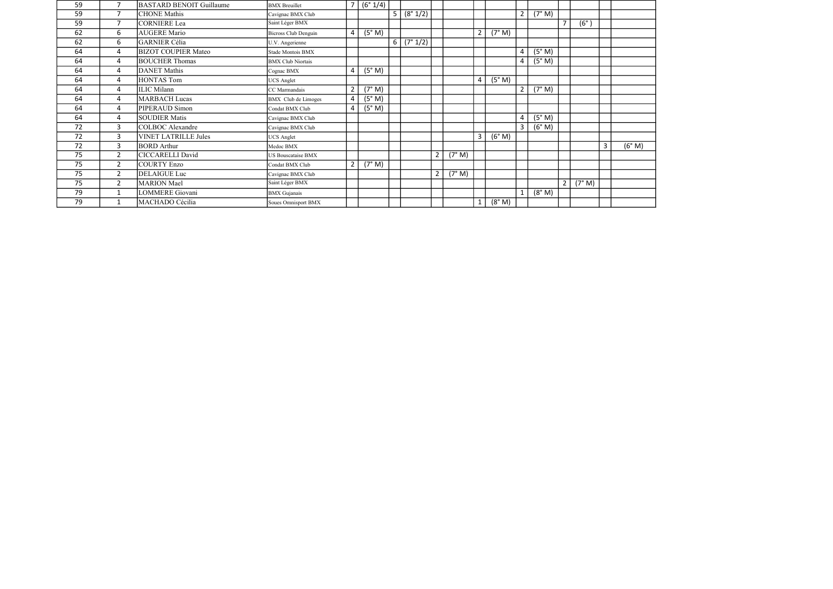| 59 | 7              | <b>BASTARD BENOIT Guillaume</b> | <b>BMX</b> Breuillet        | $\overline{7}$ | (6° 1/4) |                |          |                |        |              |        |                |        |                |             |   |     |
|----|----------------|---------------------------------|-----------------------------|----------------|----------|----------------|----------|----------------|--------|--------------|--------|----------------|--------|----------------|-------------|---|-----|
| 59 | $\overline{7}$ | <b>CHONE Mathis</b>             | Cavignac BMX Club           |                |          | 5 <sup>1</sup> | (8° 1/2) |                |        |              |        | $\overline{2}$ | (7° M) |                |             |   |     |
| 59 | $\overline{7}$ | <b>CORNIERE</b> Lea             | Saint Léger BMX             |                |          |                |          |                |        |              |        |                |        | $\overline{7}$ | $(6^\circ)$ |   |     |
| 62 | 6              | <b>AUGERE Mario</b>             | <b>Bicross Club Denguin</b> | 4              | (5° M)   |                |          |                |        | 2            | (7° M) |                |        |                |             |   |     |
| 62 | 6              | <b>GARNIER Célia</b>            | U.V. Angerienne             |                |          | 6 <sup>1</sup> | (7° 1/2) |                |        |              |        |                |        |                |             |   |     |
| 64 | 4              | <b>BIZOT COUPIER Mateo</b>      | Stade Montois BMX           |                |          |                |          |                |        |              |        | 4              | (5° M) |                |             |   |     |
| 64 | 4              | <b>BOUCHER Thomas</b>           | <b>BMX Club Niortais</b>    |                |          |                |          |                |        |              |        | 4              | (5° M) |                |             |   |     |
| 64 | 4              | <b>DANET</b> Mathis             | Cognac BMX                  | $\overline{4}$ | (5° M)   |                |          |                |        |              |        |                |        |                |             |   |     |
| 64 | 4              | <b>HONTAS Tom</b>               | <b>UCS</b> Anglet           |                |          |                |          |                |        | 4            | (5° M) |                |        |                |             |   |     |
| 64 | 4              | <b>ILIC</b> Milann              | CC Marmandais               | $\overline{2}$ | (7° M)   |                |          |                |        |              |        | 2              | (7° M) |                |             |   |     |
| 64 | 4              | <b>MARBACH Lucas</b>            | <b>BMX</b> Club de Limoges  | 4              | (5° M)   |                |          |                |        |              |        |                |        |                |             |   |     |
| 64 | 4              | PIPERAUD Simon                  | Condat BMX Club             | $\overline{4}$ | (5° M)   |                |          |                |        |              |        |                |        |                |             |   |     |
| 64 | 4              | <b>SOUDIER Matis</b>            | Cavignac BMX Club           |                |          |                |          |                |        |              |        | 4              | (5° M) |                |             |   |     |
| 72 | 3              | <b>COLBOC</b> Alexandre         | Cavignac BMX Club           |                |          |                |          |                |        |              |        | 3              | (6° M) |                |             |   |     |
| 72 | 3              | <b>VINET LATRILLE Jules</b>     | <b>UCS</b> Anglet           |                |          |                |          |                |        | 3            | (6° M) |                |        |                |             |   |     |
| 72 | 3              | <b>BORD</b> Arthur              | Medoc BMX                   |                |          |                |          |                |        |              |        |                |        |                |             | 3 | (6) |
| 75 | $\overline{2}$ | <b>CICCARELLI David</b>         | <b>US Bouscataise BMX</b>   |                |          |                |          | $2^{\circ}$    | (7° M) |              |        |                |        |                |             |   |     |
| 75 | $\overline{2}$ | <b>COURTY Enzo</b>              | Condat BMX Club             | $\overline{2}$ | (7° M)   |                |          |                |        |              |        |                |        |                |             |   |     |
| 75 | 2              | <b>DELAIGUE Luc</b>             | Cavignac BMX Club           |                |          |                |          | $\overline{2}$ | (7° M) |              |        |                |        |                |             |   |     |
| 75 | $\overline{2}$ | <b>MARION</b> Mael              | Saint Léger BMX             |                |          |                |          |                |        |              |        |                |        | $\overline{2}$ | (7° M)      |   |     |
| 79 | $\mathbf{1}$   | <b>LOMMERE</b> Giovani          | <b>BMX</b> Gujanais         |                |          |                |          |                |        |              |        |                | (8° M) |                |             |   |     |
| 79 |                | MACHADO Cécilia                 | Soues Omnisport BMX         |                |          |                |          |                |        | $\mathbf{1}$ | (8° M) |                |        |                |             |   |     |